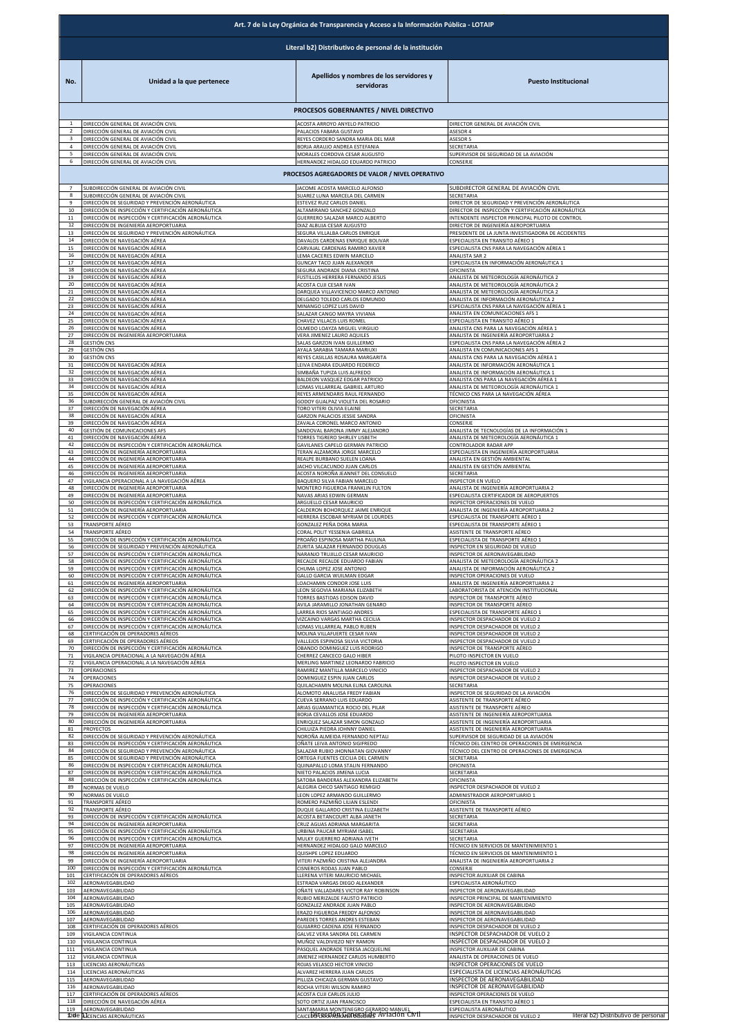|                   | Art. 7 de la Ley Orgánica de Transparencia y Acceso a la Información Pública - LOTAIP                                                               |                                                                                                      |                                                                                                                      |  |
|-------------------|-----------------------------------------------------------------------------------------------------------------------------------------------------|------------------------------------------------------------------------------------------------------|----------------------------------------------------------------------------------------------------------------------|--|
|                   |                                                                                                                                                     | Literal b2) Distributivo de personal de la institución                                               |                                                                                                                      |  |
| No.               | Unidad a la que pertenece                                                                                                                           | Apellidos y nombres de los servidores y<br>servidoras                                                | <b>Puesto Institucional</b>                                                                                          |  |
|                   |                                                                                                                                                     | PROCESOS GOBERNANTES / NIVEL DIRECTIVO                                                               |                                                                                                                      |  |
|                   | DIRECCIÓN GENERAL DE AVIACIÓN CIVIL                                                                                                                 | ACOSTA ARROYO ANYELO PATRICIO                                                                        | DIRECTOR GENERAL DE AVIACIÓN CIVIL                                                                                   |  |
|                   | DIRECCIÓN GENERAL DE AVIACIÓN CIVIL                                                                                                                 | PALACIOS FABARA GUSTAVO                                                                              | ASESOR 4                                                                                                             |  |
| 4<br>5            | DIRECCIÓN GENERAL DE AVIACIÓN CIVIL<br>DIRECCIÓN GENERAL DE AVIACIÓN CIVIL<br>DIRECCIÓN GENERAL DE AVIACIÓN CIVIL                                   | REYES CORDERO SANDRA MARIA DEL MAR<br>BORJA ARAUJO ANDREA ESTEFANIA<br>MORALES CORDOVA CESAR AUGUSTO | ASESOR 5<br>SECRETARIA<br>SUPERVISOR DE SEGURIDAD DE LA AVIACIÓN                                                     |  |
| 6                 | DIRECCIÓN GENERAL DE AVIACIÓN CIVIL                                                                                                                 | HERNANDEZ HIDALGO EDUARDO PATRICIO                                                                   | CONSERJE                                                                                                             |  |
| 7                 | SUBDIRECCIÓN GENERAL DE AVIACIÓN CIVIL                                                                                                              | PROCESOS AGREGADORES DE VALOR / NIVEL OPERATIVO<br>JACOME ACOSTA MARCELO ALFONSO                     | SUBDIRECTOR GENERAL DE AVIACIÓN CIVIL                                                                                |  |
| 8                 | SUBDIRECCIÓN GENERAL DE AVIACIÓN CIVIL                                                                                                              | SUAREZ LUNA MARCELA DEL CARMEN                                                                       | SECRETARIA                                                                                                           |  |
| 9                 | DIRECCIÓN DE SEGURIDAD Y PREVENCIÓN AERONÁUTICA                                                                                                     | ESTEVEZ RUIZ CARLOS DANIEL                                                                           | DIRECTOR DE SEGURIDAD Y PREVENCIÓN AERONÁUTICA                                                                       |  |
| 10                | DIRECCIÓN DE INSPECCIÓN Y CERTIFICACIÓN AERONÁUTICA                                                                                                 | ALTAMIRANO SANCHEZ GONZALO                                                                           | DIRECTOR DE INSPECCIÓN Y CERTIFICACIÓN AERONÁUTICA                                                                   |  |
| 11                | DIRECCIÓN DE INSPECCIÓN Y CERTIFICACIÓN AERONÁUTICA                                                                                                 | GUERRERO SALAZAR MARCO ALBERTO                                                                       | INTENDENTE INSPECTOR PRINCIPAL PILOTO DE CONTROL                                                                     |  |
| 12                | DIRECCIÓN DE INGENIERÍA AEROPORTUARIA                                                                                                               | DIAZ ALBUJA CESAR AUGUSTO                                                                            | DIRECTOR DE INGENIERÍA AEROPORTUARIA                                                                                 |  |
| 13                | DIRECCIÓN DE SEGURIDAD Y PREVENCIÓN AERONÁUTICA                                                                                                     | SEGURA VILLALBA CARLOS ENRIQUE                                                                       | PRESIDENTE DE LA JUNTA INVESTIGADORA DE ACCIDENTES                                                                   |  |
| 14                | DIRECCIÓN DE NAVEGACIÓN AÉREA                                                                                                                       | DAVALOS CARDENAS ENRIQUE BOLIVAR                                                                     | ESPECIALISTA EN TRANSITO AÉREO 1                                                                                     |  |
| 15                | DIRECCIÓN DE NAVEGACIÓN AÉREA                                                                                                                       | CARVAJAL CARDENAS RAMIRO XAVIER                                                                      | ESPECIALISTA CNS PARA LA NAVEGACIÓN AÉREA 1                                                                          |  |
| 16                | DIRECCIÓN DE NAVEGACIÓN AÉREA                                                                                                                       | LEMA CACERES EDWIN MARCELO                                                                           | ANALISTA SAR 2                                                                                                       |  |
| 17                | DIRECCIÓN DE NAVEGACIÓN AÉREA                                                                                                                       | GUNCAY TACO JUAN ALEXANDER                                                                           | ESPECIALISTA EN INFORMACIÓN AERONÁUTICA 1                                                                            |  |
| 18                | DIRECCIÓN DE NAVEGACIÓN AÉREA                                                                                                                       | SEGURA ANDRADE DIANA CRISTINA                                                                        | OFICINISTA                                                                                                           |  |
| 19                | DIRECCIÓN DE NAVEGACIÓN AÉREA                                                                                                                       | FUSTILLOS HERRERA FERNANDO JESUS                                                                     | ANALISTA DE METEOROLOGÍA AERONÁUTICA 2                                                                               |  |
| 20                | DIRECCIÓN DE NAVEGACIÓN AÉREA                                                                                                                       | ACOSTA CUJI CESAR IVAN                                                                               | ANALISTA DE METEOROLOGÍA AERONÁUTICA 2                                                                               |  |
| 21                | DIRECCIÓN DE NAVEGACIÓN AÉREA                                                                                                                       | DARQUEA VILLAVICENCIO MARCO ANTONIO                                                                  | ANALISTA DE METEOROLOGÍA AERONÁUTICA 2                                                                               |  |
| 22                | DIRECCIÓN DE NAVEGACIÓN AÉREA                                                                                                                       | DELGADO TOLEDO CARLOS EDMUNDO                                                                        | ANALISTA DE INFORMACIÓN AERONÁUTICA 2                                                                                |  |
| 23                | DIRECCIÓN DE NAVEGACIÓN AÉREA                                                                                                                       | MINANGO LOPEZ LUIS DAVID                                                                             | ESPECIALISTA CNS PARA LA NAVEGACIÓN AÉREA 1                                                                          |  |
| 24                | DIRECCIÓN DE NAVEGACIÓN AÉREA                                                                                                                       | SALAZAR CANGO MAYRA VIVIANA                                                                          | ANALISTA EN COMUNICACIONES AFS 1                                                                                     |  |
| 25                | DIRECCIÓN DE NAVEGACIÓN AÉREA                                                                                                                       | CHAVEZ VILLACIS LUIS ROMEL                                                                           | ESPECIALISTA EN TRANSITO AÉREO 1                                                                                     |  |
| 26                | DIRECCIÓN DE NAVEGACIÓN AÉREA                                                                                                                       | OLMEDO LOAYZA MIGUEL VIRGILIO                                                                        | ANALISTA CNS PARA LA NAVEGACIÓN AÉREA 1                                                                              |  |
| 27                | DIRECCIÓN DE INGENIERÍA AEROPORTUARIA                                                                                                               | VERA JIMENEZ LAURO AQUILES                                                                           | ANALISTA DE INGENIERÍA AEROPORTUARIA 2                                                                               |  |
| 28                | GESTIÓN CNS                                                                                                                                         | SALAS GARZON IVAN GUILLERMO                                                                          | ESPECIALISTA CNS PARA LA NAVEGACIÓN AÉREA 2                                                                          |  |
| 29                | GESTIÓN CNS                                                                                                                                         | AYALA SARABIA TAMARA MARIUXI                                                                         | ANALISTA EN COMUNICACIONES AFS 1                                                                                     |  |
| 30                | <b>GESTIÓN CNS</b>                                                                                                                                  | REYES CASILLAS ROSAURA MARGARITA                                                                     | ANALISTA CNS PARA LA NAVEGACIÓN AÉREA 1                                                                              |  |
| 31                | DIRECCIÓN DE NAVEGACIÓN AÉREA                                                                                                                       | LEIVA ENDARA EDUARDO FEDERICO                                                                        | ANALISTA DE INFORMACIÓN AERONÁUTICA 1                                                                                |  |
| 32                | DIRECCIÓN DE NAVEGACIÓN AÉREA                                                                                                                       | SIMBAÑA TUPIZA LUIS ALFREDO                                                                          | ANALISTA DE INFORMACIÓN AERONÁUTICA 1                                                                                |  |
| 33                | DIRECCIÓN DE NAVEGACIÓN AÉREA                                                                                                                       | BALDEON VASQUEZ EDGAR PATRICIO                                                                       | ANALISTA CNS PARA LA NAVEGACIÓN AÉREA 1                                                                              |  |
| 34                | DIRECCIÓN DE NAVEGACIÓN AÉREA                                                                                                                       | LOMAS VILLARREAL GABRIEL ARTURO                                                                      | ANALISTA DE METEOROLOGÍA AERONÁUTICA 1                                                                               |  |
| 35                | DIRECCIÓN DE NAVEGACIÓN AÉREA                                                                                                                       | REYES ARMENDARIS RAUL FERNANDO                                                                       | TÉCNICO CNS PARA LA NAVEGACIÓN AÉREA                                                                                 |  |
| 36                | JUBDIRECCIÓN GENERAL DE AVIACIÓN CIVIL                                                                                                              | GODOY GUALPAZ VIOLETA DEL ROSARIO                                                                    | OFICINISTA                                                                                                           |  |
| 37                | DIRECCIÓN DE NAVEGACIÓN AÉREA                                                                                                                       | TORO VITERI OLIVIA ELAINE                                                                            | SECRETARIA                                                                                                           |  |
| 38                | DIRECCIÓN DE NAVEGACIÓN AÉREA                                                                                                                       | GARZON PALACIOS JESSIE SANDRA                                                                        | OFICINISTA                                                                                                           |  |
| 39                | DIRECCIÓN DE NAVEGACIÓN AÉREA                                                                                                                       | ZAVALA CORONEL MARCO ANTONIO                                                                         | CONSERJE                                                                                                             |  |
| 40                | GESTIÓN DE COMUNICACIONES AFS                                                                                                                       | SANDOVAL BARONA JIMMY ALEJANDRO                                                                      | ANALISTA DE TECNOLOGÍAS DE LA INFORMACIÓN 1                                                                          |  |
| 41                | DIRECCIÓN DE NAVEGACIÓN AÉREA                                                                                                                       | TORRES TIGRERO SHIRLEY LISBETH                                                                       | ANALISTA DE METEOROLOGÍA AERONÁUTICA 1                                                                               |  |
| 42                | DIRECCIÓN DE INSPECCIÓN Y CERTIFICACIÓN AERONÁUTICA                                                                                                 | GAVILANES CAPELO GERMAN PATRICIO                                                                     | CONTROLADOR RADAR APP                                                                                                |  |
| 43                | <u>DIRECCIÓN DE INGENIERÍA AEROPORTUARIA</u>                                                                                                        | TERAN ALZAMORA JORGE MARCELO                                                                         | ESPECIALISTA EN INGENIERÍA AEROPORTUARIA                                                                             |  |
| 44                | DIRECCIÓN DE INGENIERÍA AEROPORTUARIA                                                                                                               | REALPE BURBANO SUELEN LOANA                                                                          | ANALISTA EN GESTIÓN AMBIENTAI                                                                                        |  |
| 45                | DIRECCIÓN DE INGENIERÍA AEROPORTUARIA                                                                                                               | JACHO VILCACUNDO JUAN CARLOS                                                                         | ANALISTA EN GESTIÓN AMBIENTAL                                                                                        |  |
| 46                | DIRECCIÓN DE INGENIERÍA AEROPORTUARIA                                                                                                               | ACOSTA NOROÑA JEANNET DEL CONSUELO                                                                   | SECRETARIA                                                                                                           |  |
| 47<br>48          | VIGILANCIA OPERACIONAL A LA NAVEGACIÓN AÉREA<br>DIRECCIÓN DE INGENIERÍA AEROPORTUARIA<br>DIRECCIÓN DE INGENIERÍA AEROPORTUARIA                      | BAQUERO SILVA FABIAN MARCELO<br>MONTERO FIGUEROA FRANKLIN FULTON<br>NAVAS ARIAS EDWIN GERMAN         | INSPECTOR EN VUELO<br>ANALISTA DE INGENIERÍA AEROPORTUARIA 2                                                         |  |
| 49<br>50<br>51    | DIRECCIÓN DE INSPECCIÓN Y CERTIFICACIÓN AERONÁUTICA<br>DIRECCIÓN DE INGENIERÍA AEROPORTUARIA                                                        | ARGUELLO CESAR MAURICIO<br>CALDERON BOHORQUEZ JAIME ENRIQUE                                          | ESPECIALISTA CERTIFICADOR DE AEROPUERTOS<br>INSPECTOR OPERACIONES DE VUELO<br>ANALISTA DE INGENIERÍA AEROPORTUARIA 2 |  |
| 52                | DIRECCIÓN DE INSPECCIÓN Y CERTIFICACIÓN AERONÁUTICA                                                                                                 | HERRERA ESCOBAR MYRIAM DE LOURDES                                                                    | ESPECIALISTA DE TRANSPORTE AÉREO 1                                                                                   |  |
| 53                | TRANSPORTE AÉREO                                                                                                                                    | GONZALEZ PEÑA DORA MARIA                                                                             | ESPECIALISTA DE TRANSPORTE AÉREO 1                                                                                   |  |
| 54                | TRANSPORTE AÉREO                                                                                                                                    | CORAL POLIT YESSENIA GABRIELA                                                                        | ASISTENTE DE TRANSPORTE AÉREO                                                                                        |  |
| 55                | DIRECCIÓN DE INSPECCIÓN Y CERTIFICACIÓN AERONÁUTICA                                                                                                 | PROAÑO ESPINOSA MARTHA PAULINA                                                                       | ESPECIALISTA DE TRANSPORTE AÉREO 1                                                                                   |  |
| 56                | DIRECCIÓN DE SEGURIDAD Y PREVENCIÓN AERONÁUTICA                                                                                                     | ZURITA SALAZAR FERNANDO DOUGLAS                                                                      | INSPECTOR EN SEGURIDAD DE VUELO                                                                                      |  |
| 57                | DIRECCIÓN DE INSPECCIÓN Y CERTIFICACIÓN AERONÁUTICA                                                                                                 | NARANJO TRUJILLO CESAR MAURICIO                                                                      | INSPECTOR DE AERONAVEGABILIDAD                                                                                       |  |
| 58                | DIRECCIÓN DE INSPECCIÓN Y CERTIFICACIÓN AERONÁUTICA                                                                                                 | RECALDE RECALDE EDUARDO FABIAN                                                                       | ANALISTA DE METEOROLOGÍA AERONÁUTICA 2                                                                               |  |
| 60<br>61          | DIRECCIÓN DE INSPECCIÓN Y CERTIFICACIÓN AERONÁUTICA<br>DIRECCIÓN DE INSPECCIÓN Y CERTIFICACIÓN AERONÁUTICA<br>DIRECCIÓN DE INGENIERÍA AEROPORTUARIA | CHUMA LOPEZ JOSE ANTONIO<br>GALLO GARCIA WUILMAN EDGAR<br>LOACHAMIN CONDOR JOSE LUIS                 | ANALISTA DE INFORMACIÓN AERONÁUTICA 2<br>INSPECTOR OPERACIONES DE VUELO<br>ANALISTA DE INGENIERÍA AEROPORTUARIA 2    |  |
| 62                | DIRECCIÓN DE INSPECCIÓN Y CERTIFICACIÓN AERONÁUTICA                                                                                                 | LEON SEGOVIA MARIANA ELIZABETH                                                                       | LABORATORISTA DE ATENCIÓN INSTITUCIONAL                                                                              |  |
| 63                | DIRECCIÓN DE INSPECCIÓN Y CERTIFICACIÓN AERONÁUTICA                                                                                                 | TORRES BASTIDAS EDISON DAVID                                                                         | INSPECTOR DE TRANSPORTE AÉREO                                                                                        |  |
| 64                | DIRECCIÓN DE INSPECCIÓN Y CERTIFICACIÓN AERONÁUTICA                                                                                                 | AVILA JARAMILLO JONATHAN GENARO                                                                      | INSPECTOR DE TRANSPORTE AÉREO                                                                                        |  |
| 65                | DIRECCIÓN DE INSPECCIÓN Y CERTIFICACIÓN AERONÁUTICA                                                                                                 | LARREA RIOS SANTIAGO ANDRES                                                                          | ESPECIALISTA DE TRANSPORTE AÉREO 1                                                                                   |  |
| 66                | DIRECCIÓN DE INSPECCIÓN Y CERTIFICACIÓN AERONÁUTICA                                                                                                 | VIZCAINO VARGAS MARTHA CECILIA                                                                       | INSPECTOR DESPACHADOR DE VUELO 2                                                                                     |  |
| 67                | DIRECCIÓN DE INSPECCIÓN Y CERTIFICACIÓN AERONÁUTICA                                                                                                 | LOMAS VILLARREAL PABLO RUBEN                                                                         | INSPECTOR DESPACHADOR DE VUELO 2                                                                                     |  |
| 68                | CERTIFICACIÓN DE OPERADORES AÉREOS                                                                                                                  | MOLINA VILLAFUERTE CESAR IVAN                                                                        | INSPECTOR DESPACHADOR DE VUELO 2                                                                                     |  |
| 69                | CERTIFICACIÓN DE OPERADORES AÉREOS                                                                                                                  | VALLEJOS ESPINOSA SILVIA VICTORIA                                                                    | INSPECTOR DESPACHADOR DE VUELO 2                                                                                     |  |
| 70                | DIRECCIÓN DE INSPECCIÓN Y CERTIFICACIÓN AERONÁUTICA                                                                                                 | OBANDO DOMINGUEZ LUIS RODRIGO                                                                        | INSPECTOR DE TRANSPORTE AÉREO                                                                                        |  |
| 71                | VIGILANCIA OPERACIONAL A LA NAVEGACIÓN AÉREA                                                                                                        | CHERREZ CANCECO GALO HIBER                                                                           | PILOTO INSPECTOR EN VUELO                                                                                            |  |
| 72                | VIGILANCIA OPERACIONAL A LA NAVEGACIÓN AÉREA                                                                                                        | MERLING MARTINEZ LEONARDO FABRICIO                                                                   | PILOTO INSPECTOR EN VUELO                                                                                            |  |
| 73                | OPERACIONES                                                                                                                                         | RAMIREZ MANTILLA MARCELO VINICIO                                                                     | INSPECTOR DESPACHADOR DE VUELO 2                                                                                     |  |
| 74                | OPERACIONES                                                                                                                                         | DOMINGUEZ ESPIN JUAN CARLOS                                                                          | INSPECTOR DESPACHADOR DE VUELO 2                                                                                     |  |
| 75                | OPERACIONES                                                                                                                                         | QUILACHAMIN MOLINA ELINA CAROLINA                                                                    | SECRETARIA                                                                                                           |  |
| 76                | DIRECCIÓN DE SEGURIDAD Y PREVENCIÓN AERONÁUTICA                                                                                                     | ALOMOTO ANALUISA FREDY FABIAN                                                                        | INSPECTOR DE SEGURIDAD DE LA AVIACIÓN                                                                                |  |
| 77                | DIRECCIÓN DE INSPECCIÓN Y CERTIFICACIÓN AERONÁUTICA                                                                                                 | CUEVA SERRANO LUIS EDUARDO                                                                           | ASISTENTE DE TRANSPORTE AÉREO                                                                                        |  |
| 78                | DIRECCIÓN DE INSPECCIÓN Y CERTIFICACIÓN AERONÁUTICA                                                                                                 | ARIAS GUAMANTICA ROCIO DEL PILAR                                                                     | ASISTENTE DE TRANSPORTE AÉREO                                                                                        |  |
| 79                | DIRECCIÓN DE INGENIERÍA AEROPORTUARIA                                                                                                               | BORJA CEVALLOS JOSE EDUARDO                                                                          | ASISTENTE DE INGENIERÍA AEROPORTUARIA                                                                                |  |
| 80                | DIRECCIÓN DE INGENIERÍA AEROPORTUARIA                                                                                                               | ENRIQUEZ SALAZAR SIMON GONZALO                                                                       | ASISTENTE DE INGENIERÍA AEROPORTUARIA                                                                                |  |
| 81                | PROYECTOS                                                                                                                                           | CHILUIZA PIEDRA JOHNNY DANIEL                                                                        | ASISTENTE DE INGENIERÍA AEROPORTUARIA                                                                                |  |
| 82                | DIRECCIÓN DE SEGURIDAD Y PREVENCIÓN AERONÁUTICA                                                                                                     | NOROÑA ALMEIDA FERNANDO NEPTALI                                                                      | SUPERVISOR DE SEGURIDAD DE LA AVIACIÓN                                                                               |  |
| 83                | DIRECCIÓN DE INSPECCIÓN Y CERTIFICACIÓN AERONÁUTICA                                                                                                 | OÑATE LEIVA ANTONIO SIGIFREDO                                                                        | TÉCNICO DEL CENTRO DE OPERACIONES DE EMERGENCIA                                                                      |  |
| 84                | DIRECCIÓN DE SEGURIDAD Y PREVENCIÓN AERONÁUTICA                                                                                                     | SALAZAR RUBIO JHONNATAN GIOVANNY                                                                     | TÉCNICO DEL CENTRO DE OPERACIONES DE EMERGENCIA                                                                      |  |
| 85                | DIRECCIÓN DE SEGURIDAD Y PREVENCIÓN AERONÁUTICA                                                                                                     | ORTEGA FUENTES CECILIA DEL CARMEN                                                                    | SECRETARIA                                                                                                           |  |
| 86                | DIRECCIÓN DE INSPECCIÓN Y CERTIFICACIÓN AERONÁUTICA                                                                                                 | QUINAPALLO LOMA STALIN FERNANDO                                                                      | OFICINISTA                                                                                                           |  |
| 87                | DIRECCIÓN DE INSPECCIÓN Y CERTIFICACIÓN AERONÁUTICA                                                                                                 | NIETO PALACIOS JIMENA LUCIA                                                                          | SECRETARIA                                                                                                           |  |
| 88                | DIRECCIÓN DE INSPECCIÓN Y CERTIFICACIÓN AERONÁUTICA                                                                                                 | SATOBA BANDERAS ALEXANDRA ELIZABETH                                                                  | OFICINISTA                                                                                                           |  |
| 89                | NORMAS DE VUELO                                                                                                                                     | ALEGRIA CHICO SANTIAGO REMIGIO                                                                       | INSPECTOR DESPACHADOR DE VUELO 2                                                                                     |  |
| 90                | NORMAS DE VUELO                                                                                                                                     | LEON LOPEZ ARMANDO GUILLERMO                                                                         | ADMINISTRADOR AEROPORTUARIO 1                                                                                        |  |
| 91                | TRANSPORTE AÉREO                                                                                                                                    | ROMERO PAZMIÑO LILIAN ESLENDI                                                                        | OFICINISTA                                                                                                           |  |
| 92                | TRANSPORTE AÉREO                                                                                                                                    | DUQUE GALLARDO CRISTINA ELIZABETH                                                                    | ASISTENTE DE TRANSPORTE AÉREO                                                                                        |  |
| 93                | DIRECCIÓN DE INSPECCIÓN Y CERTIFICACIÓN AERONÁUTICA                                                                                                 | ACOSTA BETANCOURT ALBA JANETH                                                                        | SECRETARIA                                                                                                           |  |
| 94                | DIRECCIÓN DE INGENIERÍA AEROPORTUARIA                                                                                                               | CRUZ AGUAS ADRIANA MARGARITA                                                                         | SECRETARIA                                                                                                           |  |
| 95                | DIRECCIÓN DE INSPECCIÓN Y CERTIFICACIÓN AERONÁUTICA                                                                                                 | URBINA PAUCAR MYRIAM ISABEL                                                                          | SECRETARIA                                                                                                           |  |
| 96                | DIRECCIÓN DE INSPECCIÓN Y CERTIFICACIÓN AERONÁUTICA                                                                                                 | MULKY GUERRERO ADRIANA IVETH                                                                         | SECRETARIA                                                                                                           |  |
| 97                | DIRECCIÓN DE INGENIERÍA AEROPORTUARIA                                                                                                               | HERNANDEZ HIDALGO GALO MARCELO                                                                       | TÉCNICO EN SERVICIOS DE MANTENIMIENTO 1                                                                              |  |
| 98                | DIRECCIÓN DE INGENIERÍA AEROPORTUARIA                                                                                                               | QUISHPE LOPEZ EDUARDO                                                                                | TÉCNICO EN SERVICIOS DE MANTENIMIENTO 1                                                                              |  |
| 99                | DIRECCIÓN DE INGENIERÍA AEROPORTUARIA                                                                                                               | VITERI PAZMIÑO CRISTINA ALEJANDRA                                                                    | ANALISTA DE INGENIERÍA AEROPORTUARIA 2                                                                               |  |
| 100               | DIRECCIÓN DE INSPECCIÓN Y CERTIFICACIÓN AERONÁUTICA                                                                                                 | CISNEROS RODAS JUAN PABLO                                                                            | CONSERJE                                                                                                             |  |
| 101               | CERTIFICACIÓN DE OPERADORES AÉREOS                                                                                                                  | LLERENA VITERI MAURICIO MICHAEL                                                                      | INSPECTOR AUXILIAR DE CABINA                                                                                         |  |
| 102               | AERONAVEGABILIDAD                                                                                                                                   | ESTRADA VARGAS DIEGO ALEXANDER                                                                       | ESPECIALISTA AERONÁUTICO                                                                                             |  |
| 103               | AERONAVEGABILIDAD                                                                                                                                   | OÑATE VALLADARES VICTOR RAY ROBINSON                                                                 | INSPECTOR DE AERONAVEGABILIDAD                                                                                       |  |
| 104               | AERONAVEGABILIDAD                                                                                                                                   | RUBIO MERIZALDE FAUSTO PATRICIO                                                                      | INSPECTOR PRINCIPAL DE MANTENIMIENTO                                                                                 |  |
| 105               | AERONAVEGABILIDAD                                                                                                                                   | GONZALEZ ANDRADE JUAN PABLO                                                                          | INSPECTOR DE AERONAVEGABILIDAD                                                                                       |  |
| 106               | AERONAVEGABILIDAD                                                                                                                                   | ERAZO FIGUEROA FREDDY ALFONSO                                                                        | INSPECTOR DE AERONAVEGABILIDAD                                                                                       |  |
| 107               | AERONAVEGABILIDAD                                                                                                                                   | PAREDES TORRES ANDRES ESTEBAN                                                                        | INSPECTOR DE AERONAVEGABILIDAD                                                                                       |  |
| 108<br>109<br>110 | CERTIFICACIÓN DE OPERADORES AÉREOS<br>VIGILANCIA CONTINUA                                                                                           | GUIJARRO CADENA JOSE FERNANDO<br>GALVEZ VERA SANDRA DEL CARMEN<br>MUÑOZ VALDIVIEZO NEY RAMON         | INSPECTOR DESPACHADOR DE VUELO 2<br>INSPECTOR DESPACHADOR DE VUELO 2<br>INSPECTOR DESPACHADOR DE VUELO 2             |  |
| 111<br>112        | VIGILANCIA CONTINUA<br>VIGILANCIA CONTINUA<br>VIGILANCIA CONTINUA                                                                                   | PASQUEL ANDRADE TERESA JACQUELINE<br>JIMENEZ HERNANDEZ CARLOS HUMBERTO                               | INSPECTOR AUXILIAR DE CABINA<br>ANALISTA DE OPERACIONES DE VUELO                                                     |  |
| 113               | LICENCIAS AERONÁUTICAS                                                                                                                              | ROJAS VELASCO HECTOR VINICIO                                                                         | INSPECTOR OPERACIONES DE VUELO                                                                                       |  |
| 114               | LICENCIAS AERONÁUTICAS                                                                                                                              | ALVAREZ HERRERA JUAN CARLOS                                                                          | ESPECIALISTA DE LICENCIAS AERONÁUTICAS                                                                               |  |
| 115               | AERONAVEGABILIDAD                                                                                                                                   | PILLIZA CHICAIZA GERMAN GUSTAVO                                                                      | INSPECTOR DE AERONAVEGABILIDAD                                                                                       |  |
| 116               | AERONAVEGABILIDAD                                                                                                                                   | ROCHA VITERI WILSON RAMIRO                                                                           | INSPECTOR DE AERONAVEGABILIDAD                                                                                       |  |
| 117               | CERTIFICACIÓN DE OPERADORES AÉREOS                                                                                                                  | ACOSTA CUJI CARLOS JULIO                                                                             | INSPECTOR OPERACIONES DE VUELO                                                                                       |  |
| 118               | DIRECCIÓN DE NAVEGACIÓN AÉREA                                                                                                                       | SOTO ORTIZ JUAN FRANCISCO                                                                            | ESPECIALISTA EN TRANSITO AÉREO 1                                                                                     |  |
| 119               | AERONAVEGABILIDAD                                                                                                                                   | SANTAMARIA MONTENEGRO GERARDO MANUEL                                                                 | ESPECIALISTA AERONÁUTICO                                                                                             |  |
|                   | 120e LICENCIAS AERONÁUTICAS                                                                                                                         | CAICEDUL RAAMASKAARDEGARE AVIACIÓN CIVIL                                                             | literal b2) Distributivo de personal<br>INSPECTOR DESPACHADOR DE VUELO 2                                             |  |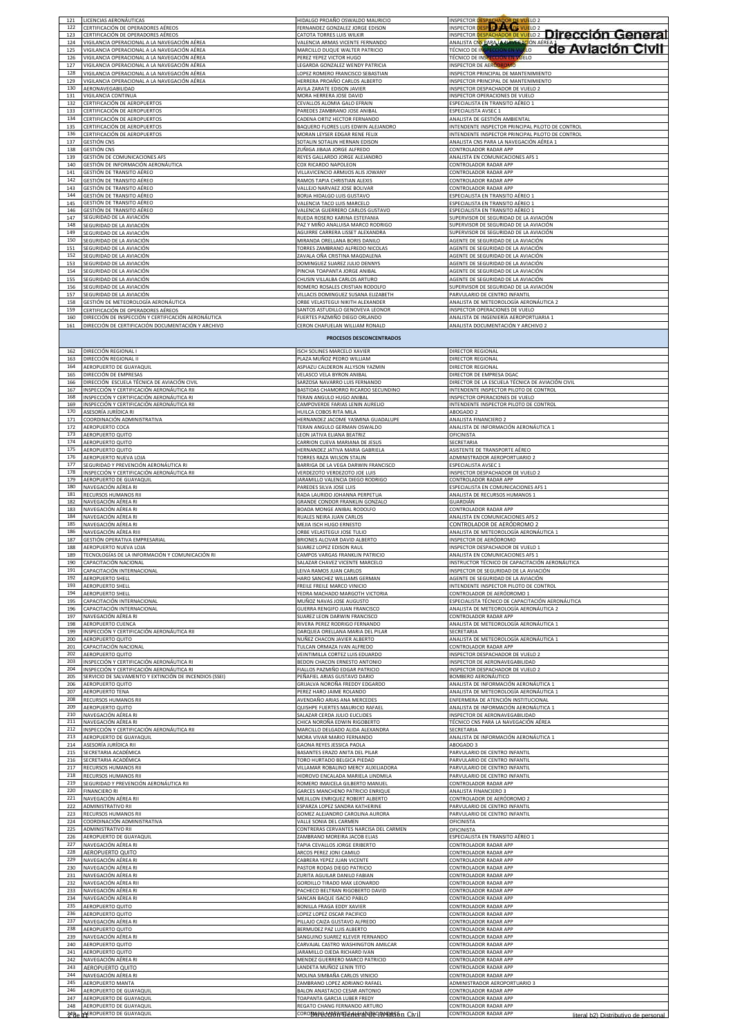| 122               | LICENCIAS AERONÁUTICAS<br>CERTIFICACIÓN DE OPERADORES AÉREOS                        | HIDALGO PROAÑO OSWALDO MAURICIO<br>FERNANDEZ GONZALEZ JORGE EDISON                           | INSPECTOR DESPACHADOR DE VUELO 2                                                                                  |
|-------------------|-------------------------------------------------------------------------------------|----------------------------------------------------------------------------------------------|-------------------------------------------------------------------------------------------------------------------|
| 123<br>124        | CERTIFICACIÓN DE OPERADORES AÉREOS<br>VIGILANCIA OPERACIONAL A LA NAVEGACIÓN AÉREA  | CATOTA TORRES LUIS WILKIR<br>VALENCIA ARMAS VICENTE FERNANDO                                 | INSPECTOR DESPACHADOR DE VUELO 2 DI rección General<br>ANALISTA CNS PARA LA NAVEGACIÓN AÉREA<br>de Aviación Civil |
| 125               | VIGILANCIA OPERACIONAL A LA NAVEGACIÓN AÉREA                                        | MARCILLO DUQUE WALTER PATRICIO                                                               | TÉCNICO DE INSPECCIÓN EN VUELO                                                                                    |
| 126               | VIGILANCIA OPERACIONAL A LA NAVEGACIÓN AÉREA                                        | PEREZ YEPEZ VICTOR HUGO                                                                      | TÉCNICO DE INSPECCIÓN EN VUELO                                                                                    |
| 127               | VIGILANCIA OPERACIONAL A LA NAVEGACIÓN AÉREA                                        | LEGARDA GONZALEZ WENDY PATRICIA                                                              | INSPECTOR DE AERÓDROMO                                                                                            |
| 128               | VIGILANCIA OPERACIONAL A LA NAVEGACIÓN AÉREA                                        | LOPEZ ROMERO FRANCISCO SEBASTIAN                                                             | INSPECTOR PRINCIPAL DE MANTENIMIENTO                                                                              |
| 129               | VIGILANCIA OPERACIONAL A LA NAVEGACIÓN AÉREA                                        | <b>IERRERA PROAÑO CARLOS ALBERTO</b>                                                         | INSPECTOR PRINCIPAL DE MANTENIMIENTO                                                                              |
| 130               | AERONAVEGABILIDAD                                                                   | AVILA ZARATE EDISON JAVIER                                                                   | INSPECTOR DESPACHADOR DE VUELO 2                                                                                  |
| 131               | VIGILANCIA CONTINUA                                                                 | MORA HERRERA JOSE DAVID                                                                      | INSPECTOR OPERACIONES DE VUELO                                                                                    |
| 132               | CERTIFICACIÓN DE AEROPUERTOS                                                        | CEVALLOS ALOMIA GALO EFRAIN                                                                  | ESPECIALISTA EN TRANSITO AÉREO 1                                                                                  |
| 133               | CERTIFICACIÓN DE AEROPUERTOS                                                        | PAREDES ZAMBRANO JOSE ANIBAL                                                                 | ESPECIALISTA AVSEC 1                                                                                              |
| 134               | CERTIFICACIÓN DE AEROPUERTOS                                                        | CADENA ORTIZ HECTOR FERNANDO                                                                 | ANALISTA DE GESTIÓN AMBIENTAL                                                                                     |
| 135               | CERTIFICACIÓN DE AEROPUERTOS                                                        | BAQUERO FLORES LUIS EDWIN ALEJANDRO                                                          | INTENDENTE INSPECTOR PRINCIPAL PILOTO DE CONTROL                                                                  |
| 136               | CERTIFICACIÓN DE AEROPUERTOS                                                        | MORAN LEYSER EDGAR RENE FELIX                                                                | INTENDENTE INSPECTOR PRINCIPAL PILOTO DE CONTROL                                                                  |
| 137               | GESTIÓN CNS                                                                         | SOTALIN SOTALIN HERNAN EDISON                                                                | ANALISTA CNS PARA LA NAVEGACIÓN AÉREA 1                                                                           |
| 138               | <b>GESTIÓN CNS</b>                                                                  | ZUÑIGA JIBAJA JORGE ALFREDO                                                                  | CONTROLADOR RADAR APP                                                                                             |
| 139               | GESTIÓN DE COMUNICACIONES AFS                                                       | REYES GALLARDO JORGE ALEJANDRO                                                               | ANALISTA EN COMUNICACIONES AFS 1                                                                                  |
| 140               | GESTIÓN DE INFORMACIÓN AERONÁUTICA                                                  | COX RICARDO NAPOLEON                                                                         | CONTROLADOR RADAR APP                                                                                             |
| 141               | GESTIÓN DE TRANSITO AÉREO                                                           | VILLAVICENCIO ARMIJOS ALIS JOWANY                                                            | CONTROLADOR RADAR APP                                                                                             |
| 142               | GESTIÓN DE TRANSITO AÉREO                                                           | RAMOS TAPIA CHRISTIAN ALEXIS                                                                 | CONTROLADOR RADAR APP                                                                                             |
| 143               | GESTIÓN DE TRANSITO AÉREO                                                           | VALLEJO NARVAEZ JOSE BOLIVAR                                                                 | CONTROLADOR RADAR APP                                                                                             |
| 144               | <b>GESTIÓN DE TRANSITO AÉREO</b>                                                    | BORJA HIDALGO LUIS GUSTAVO                                                                   | ESPECIALISTA EN TRANSITO AÉREO 1                                                                                  |
| 145               | GESTIÓN DE TRANSITO AÉREO                                                           | VALENCIA TACO LUIS MARCELO                                                                   | ESPECIALISTA EN TRANSITO AÉREO 1                                                                                  |
| 146               | GESTIÓN DE TRANSITO AÉREO                                                           | VALENCIA GUERRERO CARLOS GUSTAVO                                                             | ESPECIALISTA EN TRANSITO AÉREO 1                                                                                  |
| 147               | SEGURIDAD DE LA AVIACIÓN                                                            | RUEDA ROSERO KARINA ESTEFANIA                                                                | SUPERVISOR DE SEGURIDAD DE LA AVIACIÓN                                                                            |
| 148               | <u>SEGURIDAD DE LA AVIACIÓN</u>                                                     | PAZ Y MIÑO ANALUISA MARCO RODRIGO                                                            | SUPERVISOR DE SEGURIDAD DE LA AVIACIÓN                                                                            |
| 149               | SEGURIDAD DE LA AVIACIÓN                                                            | AGUIRRE CARRERA LISSET ALEXANDRA                                                             | SUPERVISOR DE SEGURIDAD DE LA AVIACIÓN                                                                            |
| 150               | SEGURIDAD DE LA AVIACIÓN                                                            | MIRANDA ORELLANA BORIS DANILO                                                                | AGENTE DE SEGURIDAD DE LA AVIACIÓN                                                                                |
| 151               | SEGURIDAD DE LA AVIACIÓN                                                            | TORRES ZAMBRANO ALFREDO NICOLAS                                                              | AGENTE DE SEGURIDAD DE LA AVIACIÓN                                                                                |
| 152               | SEGURIDAD DE LA AVIACIÓN                                                            | ZAVALA OÑA CRISTINA MAGDALENA                                                                | AGENTE DE SEGURIDAD DE LA AVIACIÓN                                                                                |
| 153               | SEGURIDAD DE LA AVIACIÓN                                                            | DOMINGUEZ SUAREZ JULIO DENNYS                                                                | AGENTE DE SEGURIDAD DE LA AVIACIÓN                                                                                |
| 154               | SEGURIDAD DE LA AVIACIÓN                                                            | PINCHA TOAPANTA JORGE ANIBAL                                                                 | AGENTE DE SEGURIDAD DE LA AVIACIÓN                                                                                |
| 155               | SEGURIDAD DE LA AVIACIÓN                                                            | CHUSIN VILLALBA CARLOS ARTURO                                                                | AGENTE DE SEGURIDAD DE LA AVIACIÓN                                                                                |
| 156               | SEGURIDAD DE LA AVIACIÓN                                                            | ROMERO ROSALES CRISTIAN RODOLFO                                                              | SUPERVISOR DE SEGURIDAD DE LA AVIACIÓN                                                                            |
| 157               | SEGURIDAD DE LA AVIACIÓN                                                            | VILLACIS DOMINGUEZ SUSANA ELIZABETH                                                          | PARVULARIO DE CENTRO INFANTIL                                                                                     |
| 158               | GESTIÓN DE METEOROLOGÍA AERONÁUTICA                                                 | ORBE VELASTEGUI NIKITH ALEXANDER                                                             | ANALISTA DE METEOROLOGÍA AERONÁUTICA 2                                                                            |
| 159               | CERTIFICACIÓN DE OPERADORES AÉREOS                                                  | ANTOS ASTUDILLO GENOVEVA LEONOR                                                              | INSPECTOR OPERACIONES DE VUELO                                                                                    |
| 160               | DIRECCIÓN DE INSPECCIÓN Y CERTIFICACIÓN AERONÁUTICA                                 | FUERTES PAZMIÑO DIEGO ORLANDO                                                                | ANALISTA DE INGENIERÍA AEROPORTUARIA 1                                                                            |
| 161               | DIRECCIÓN DE CERTIFICACIÓN DOCUMENTACIÓN Y ARCHIVO                                  | CERON CHAFUELAN WILLIAM RONALD<br>PROCESOS DESCONCENTRADOS                                   | ANALISTA DOCUMENTACIÓN Y ARCHIVO 2                                                                                |
| 162<br>163        | DIRECCIÓN REGIONAL I                                                                | ISCH SOLINES MARCELO XAVIER                                                                  | <b>DIRECTOR REGIONAL</b>                                                                                          |
| 164<br>165        | DIRECCIÓN REGIONAL II<br>AEROPUERTO DE GUAYAQUIL<br>DIRECCIÓN DE EMPRESAS           | PLAZA MUÑOZ PEDRO WILLIAM<br>ASPIAZU CALDERON ALLYSON YAZMIN<br>VELASCO VELA BYRON ANIBAL    | <b>DIRECTOR REGIONAL</b><br><b>DIRECTOR REGIONAL</b><br>DIRECTOR DE EMPRESA DGAC                                  |
| 166               | DIRECCIÓN ESCUELA TÉCNICA DE AVIACIÓN CIVIL                                         | SARZOSA NAVARRO LUIS FERNANDO                                                                | DIRECTOR DE LA ESCUELA TÉCNICA DE AVIACIÓN CIVIL                                                                  |
| 167               | INSPECCIÓN Y CERTIFICACIÓN AERONÁUTICA RII                                          | BASTIDAS CHAMORRO RICARDO SECUNDINO                                                          | INTENDENTE INSPECTOR PILOTO DE CONTROL                                                                            |
| 168               | <u>INSPECCIÓN Y CERTIFICACIÓN AERONÁUTICA RI</u>                                    | TERAN ANGULO HUGO ANIBAI                                                                     | INSPECTOR OPERACIONES DE VUELO                                                                                    |
| 169               | INSPECCIÓN Y CERTIFICACIÓN AERONÁUTICA RII                                          | CAMPOVERDE FARIAS LENIN AURELIO                                                              | INTENDENTE INSPECTOR PILOTO DE CONTROL                                                                            |
| 170               | ASESORÍA JURÍDICA RI                                                                | HUILCA COBOS RITA MILA                                                                       | ABOGADO 2                                                                                                         |
| 171               | COORDINACIÓN ADMINISTRATIVA                                                         | HERNANDEZ JACOME YASMINA GUADALUPE                                                           | ANALISTA FINANCIERO 2                                                                                             |
| 172               | AEROPUERTO COCA                                                                     | TERAN ANGULO GERMAN OSWALDO                                                                  | ANALISTA DE INFORMACIÓN AERONÁUTICA 1                                                                             |
| 173               | AEROPUERTO QUITO                                                                    | EON JATIVA ELIANA BEATRIZ                                                                    | OFICINISTA                                                                                                        |
| 174               | AEROPUERTO QUITO                                                                    | CARRION CUEVA MARIANA DE JESUS                                                               | SECRETARIA                                                                                                        |
| 175               | AEROPUERTO QUITO                                                                    | <b>IERNANDEZ JATIVA MARIA GABRIELA</b>                                                       | ASISTENTE DE TRANSPORTE AÉREO                                                                                     |
| 176               | AEROPUERTO NUEVA LOJA                                                               | <b>FORRES RAZA WILSON STALIN</b>                                                             | ADMINISTRADOR AEROPORTUARIO 2                                                                                     |
| 177<br>178<br>179 | SEGURIDAD Y PREVENCIÓN AERONÁUTICA RI<br>INSPECCIÓN Y CERTIFICACIÓN AERONÁUTICA RII | BARRIGA DE LA VEGA DARWIN FRANCISCO<br>VERDEZOTO VERDEZOTO JOE LUIS                          | ESPECIALISTA AVSEC 1<br>INSPECTOR DESPACHADOR DE VUELO 2                                                          |
| 180<br>181        | AEROPUERTO DE GUAYAQUIL<br>NAVEGACIÓN AÉREA RI<br>RECURSOS HUMANOS RII              | ARAMILLO VALENCIA DIEGO RODRIGO<br>PAREDES SILVA JOSE LUIS<br>RADA LAURIDO JOHANNA PERPETUA  | CONTROLADOR RADAR APP<br>ESPECIALISTA EN COMUNICACIONES AFS 1<br>ANALISTA DE RECURSOS HUMANOS 1                   |
| 182               | NAVEGACIÓN AÉREA RI                                                                 | GRANDE CONDOR FRANKLIN GONZALO                                                               | GUARDIÁN                                                                                                          |
| 183               | NAVEGACIÓN AÉREA RI                                                                 | BOADA MONGE ANIBAL RODOLFO                                                                   | CONTROLADOR RADAR APP                                                                                             |
| 184               | NAVEGACIÓN AÉREA RI                                                                 | RUALES NEIRA JUAN CARLOS                                                                     | ANALISTA EN COMUNICACIONES AFS 2                                                                                  |
| 185               | NAVEGACIÓN AÉREA RI                                                                 | MEJIA ISCH HUGO ERNESTO                                                                      | CONTROLADOR DE AERÓDROMO 2                                                                                        |
| 186               | NAVEGACIÓN AÉREA RIII                                                               | ORBE VELASTEGUI JOSE TULIO                                                                   | ANALISTA DE METEOROLOGÍA AERONÁUTICA 1                                                                            |
| 187               | GESTIÓN OPERATIVA EMPRESARIAL                                                       | BRIONES ALCIVAR DAVID ALBERTO                                                                | INSPECTOR DE AERÓDROMO                                                                                            |
| 188               | AEROPUERTO NUEVA LOJA                                                               | SUAREZ LOPEZ EDISON RAUL                                                                     | INSPECTOR DESPACHADOR DE VUELO 1                                                                                  |
| 189               | TECNOLOGÍAS DE LA INFORMACIÓN Y COMUNICACIÓN RI                                     | CAMPOS VARGAS FRANKLIN PATRICIO                                                              | ANALISTA EN COMUNICACIONES AFS 1                                                                                  |
| 190               | APACITACIÓN NACIONAL                                                                | SALAZAR CHAVEZ VICENTE MARCELO                                                               | INSTRUCTOR TÉCNICO DE CAPACITACIÓN AERONÁUTICA                                                                    |
| 191               | CAPACITACIÓN INTERNACIONAL                                                          | LEIVA RAMOS JUAN CARLOS                                                                      | INSPECTOR DE SEGURIDAD DE LA AVIACIÓN                                                                             |
|                   | <b>AEROPUERTO SHELL</b>                                                             | HARO SANCHEZ WILLIAMS GERMAN                                                                 | AGENTE DE SEGURIDAD DE LA AVIACIÓN                                                                                |
| 192               |                                                                                     |                                                                                              | INTENDENTE INSPECTOR PILOTO DE CONTROL                                                                            |
| 193               | AEROPUERTO SHELL                                                                    | FREILE FREILE MARCO VINICIO                                                                  | CONTROLADOR DE AERÓDROMO 1                                                                                        |
| 194               | <b>AEROPUERTO SHELL</b>                                                             | YEDRA MACHADO MARGOTH VICTORIA                                                               |                                                                                                                   |
| 195               | CAPACITACIÓN INTERNACIONAL                                                          | MUÑOZ NAVAS JOSE AUGUSTO                                                                     | ESPECIALISTA TÉCNICO DE CAPACITACIÓN AERONÁUTICA                                                                  |
| 196               | CAPACITACIÓN INTERNACIONAL                                                          | GUERRA RENGIFO JUAN FRANCISCO                                                                | ANALISTA DE METEOROLOGÍA AERONÁUTICA 2                                                                            |
| 197               | NAVEGACIÓN AÉREA RI                                                                 | SUAREZ LEON DARWIN FRANCISCO                                                                 | CONTROLADOR RADAR APP                                                                                             |
| 198               | AEROPUERTO CUENCA                                                                   | RIVERA PEREZ RODRIGO FERNANDO                                                                | ANALISTA DE METEOROLOGÍA AERONÁUTICA 1                                                                            |
| 199               | INSPECCIÓN Y CERTIFICACIÓN AERONÁUTICA RII                                          | DARQUEA ORELLANA MARIA DEL PILAR                                                             | SECRETARIA                                                                                                        |
| 200               | AEROPUERTO QUITO                                                                    | NUÑEZ CHACON JAVIER ALBERTO                                                                  | ANALISTA DE METEOROLOGÍA AERONÁUTICA 1                                                                            |
| 201               | CAPACITACIÓN NACIONAL                                                               | TULCAN ORMAZA IVAN ALFREDO                                                                   | CONTROLADOR RADAR APP                                                                                             |
| 202               | AEROPUERTO QUITO                                                                    | VEINTIMILLA CORTEZ LUIS EDUARDO                                                              | INSPECTOR DESPACHADOR DE VUELO 2                                                                                  |
| 203               | INSPECCIÓN Y CERTIFICACIÓN AERONÁUTICA RI                                           | BEDON CHACON ERNESTO ANTONIO                                                                 | INSPECTOR DE AERONAVEGABILIDAD                                                                                    |
| 204               | INSPECCIÓN Y CERTIFICACIÓN AERONÁUTICA RI                                           | FIALLOS PAZMIÑO EDGAR PATRICIO                                                               | INSPECTOR DESPACHADOR DE VUELO 2                                                                                  |
| 205               | SERVICIO DE SALVAMENTO Y EXTINCIÓN DE INCENDIOS (SSEI)                              | PEÑAFIEL ARIAS GUSTAVO DARIO                                                                 | BOMBERO AERONÁUTICO                                                                                               |
| 206               | AEROPUERTO QUITO                                                                    | GRIJALVA NOROÑA FREDDY EDGARDO                                                               | ANALISTA DE INFORMACIÓN AERONÁUTICA 1                                                                             |
| 207               | <b>AEROPUERTO TENA</b>                                                              | PEREZ HARO JAIME ROLANDO                                                                     | ANALISTA DE METEOROLOGÍA AERONÁUTICA 1                                                                            |
| 208               | RECURSOS HUMANOS RII                                                                | AVENDAÑO ARIAS ANA MERCEDES                                                                  | ENFERMERA DE ATENCIÓN INSTITUCIONAL                                                                               |
| 209               | AEROPUERTO QUITO                                                                    | QUISHPE FUERTES MAURICIO RAFAEL                                                              | ANALISTA DE INFORMACIÓN AERONÁUTICA 1                                                                             |
| 210               | NAVEGACIÓN AÉREA RI                                                                 | SALAZAR CERDA JULIO EUCLIDES                                                                 | INSPECTOR DE AERONAVEGABILIDAD                                                                                    |
| 211               | NAVEGACIÓN AÉREA RI                                                                 | CHICA NOROÑA EDWIN RIGOBERTO                                                                 | TÉCNICO CNS PARA LA NAVEGACIÓN AÉREA                                                                              |
| 212               | INSPECCIÓN Y CERTIFICACIÓN AERONÁUTICA RII                                          | MARCILLO DELGADO ALIDA ALEXANDRA                                                             | SECRETARIA                                                                                                        |
| 213               | AEROPUERTO DE GUAYAQUIL                                                             | MORA VIVAR MARIO FERNANDO                                                                    | ANALISTA DE INFORMACIÓN AERONÁUTICA 1                                                                             |
| 214               | ASESORÍA JURÍDICA RII                                                               | GAONA REYES JESSICA PAOLA                                                                    | ABOGADO 3                                                                                                         |
| 215               | SECRETARIA ACADÉMICA                                                                | <b>BASANTES ERAZO ANITA DEL PILAR</b>                                                        | PARVULARIO DE CENTRO INFANTIL                                                                                     |
| 216               | SECRETARIA ACADÉMICA                                                                | TORO HURTADO BELGICA PIEDAD                                                                  | PARVULARIO DE CENTRO INFANTIL                                                                                     |
| 217               | RECURSOS HUMANOS RII                                                                | VILLAMAR ROBALINO MERCY AUXILIADORA                                                          | PARVULARIO DE CENTRO INFANTIL                                                                                     |
| 218               | RECURSOS HUMANOS RII                                                                | HIDROVO ENCALADA MARIELA LINDMILA                                                            | PARVULARIO DE CENTRO INFANTIL                                                                                     |
| 219               | SEGURIDAD Y PREVENCIÓN AERONÁUTICA RII                                              | ROMERO IMAICELA GILBERTO MANUEL                                                              | CONTROLADOR RADAR APP                                                                                             |
| 220               | <b>FINANCIERO RI</b>                                                                | GARCES MANCHENO PATRICIO ENRIQUE                                                             | ANALISTA FINANCIERO 3                                                                                             |
| 221               | NAVEGACIÓN AÉREA RII                                                                | MEJILLON ENRIQUEZ ROBERT ALBERTO                                                             | CONTROLADOR DE AERÓDROMO 2                                                                                        |
| 222               | ADMINISTRATIVO RII                                                                  | ESPARZA LOPEZ SANDRA KATHERINE                                                               | PARVULARIO DE CENTRO INFANTIL                                                                                     |
| 223               | RECURSOS HUMANOS RII                                                                | GOMEZ ALEJANDRO CAROLINA AURORA                                                              | PARVULARIO DE CENTRO INFANTIL                                                                                     |
| 224               | COORDINACIÓN ADMINISTRATIVA                                                         | VALLE SONIA DEL CARMEN                                                                       | OFICINISTA                                                                                                        |
| 225               | ADMINISTRATIVO RII                                                                  | CONTRERAS CERVANTES NARCISA DEL CARMEN                                                       | OFICINISTA                                                                                                        |
| 226               | AEROPUERTO DE GUAYAQUIL                                                             | ZAMBRANO MOREIRA JACOB ELIAS                                                                 | ESPECIALISTA EN TRANSITO AÉREO 1                                                                                  |
| 227               | VAVEGACIÓN AÉREA RI                                                                 | TAPIA CEVALLOS JORGE ERIBERTO                                                                | CONTROLADOR RADAR APP                                                                                             |
| 228               | AEROPUERTO QUITO                                                                    | ARCOS PEREZ JONI CAMILO                                                                      | CONTROLADOR RADAR APP                                                                                             |
| 229               | NAVEGACIÓN AÉREA RI                                                                 | CABRERA YEPEZ JUAN VICENTE                                                                   | CONTROLADOR RADAR APP                                                                                             |
| 230               | NAVEGACIÓN AÉREA RI                                                                 | PASTOR RODAS DIEGO PATRICIO                                                                  | CONTROLADOR RADAR APP                                                                                             |
| 231               | NAVEGACIÓN AÉREA RI                                                                 | ZURITA AGUILAR DANILO FABIAN                                                                 | CONTROLADOR RADAR APP                                                                                             |
| 232               | NAVEGACIÓN AÉREA RII                                                                | GORDILLO TIRADO MAX LEONARDO                                                                 | CONTROLADOR RADAR APP                                                                                             |
| 233               | NAVEGACIÓN AÉREA RI                                                                 | PACHECO BELTRAN RIGOBERTO DAVID                                                              | CONTROLADOR RADAR APP                                                                                             |
| 234<br>235<br>236 | NAVEGACIÓN AÉREA RI<br>AEROPUERTO QUITO                                             | SANCAN BAQUE ISACIO PABLO<br>BONILLA FRAGA EDDY XAVIER                                       | CONTROLADOR RADAR APP<br>CONTROLADOR RADAR APP                                                                    |
| 237<br>238        | AEROPUERTO QUITO<br>NAVEGACIÓN AÉREA RI<br>AEROPUERTO QUITO                         | LOPEZ LOPEZ OSCAR PACIFICO<br>PILLAJO CAIZA GUSTAVO ALFREDO<br>BERMUDEZ PAZ LUIS ALBERTO     | CONTROLADOR RADAR APP<br>CONTROLADOR RADAR APP<br>CONTROLADOR RADAR APP                                           |
| 239               | NAVEGACIÓN AÉREA RI                                                                 | SANGUINO SUAREZ KLEVER FERNANDO                                                              | CONTROLADOR RADAR APP                                                                                             |
| 240               | AEROPUERTO QUITO                                                                    | CARVAJAL CASTRO WASHINGTON AMILCAR                                                           | CONTROLADOR RADAR APP                                                                                             |
| 241               | AEROPUERTO QUITO                                                                    | ARAMILLO OJEDA RICHARD IVAN                                                                  | CONTROLADOR RADAR APP                                                                                             |
| 242               | NAVEGACIÓN AÉREA RI                                                                 | MENDEZ GUERRERO MARCO PATRICIO                                                               | CONTROLADOR RADAR APP                                                                                             |
| 243               | AEROPUERTO QUITO                                                                    | LANDETA MUÑOZ LENIN TITO                                                                     | CONTROLADOR RADAR APP                                                                                             |
| 244               | NAVEGACIÓN AÉREA RI                                                                 | MOLINA SIMBAÑA CARLOS VINICIO                                                                | CONTROLADOR RADAR APP                                                                                             |
| 245               | AEROPUERTO MANTA                                                                    | ZAMBRANO LOPEZ ADRIANO RAFAEL                                                                | ADMINISTRADOR AEROPORTUARIO 3                                                                                     |
| 246<br>247<br>248 | AEROPUERTO DE GUAYAQUIL<br>AEROPUERTO DE GUAYAQUIL                                  | BALON ANASTACIO CESAR ANTONIO<br>TOAPANTA GARCIA LUBER FREDY<br>REGATO CHANG FERNANDO ARTURO | CONTROLADOR RADAR APP<br>CONTROLADOR RADAR APP<br>CONTROLADOR RADAR APP                                           |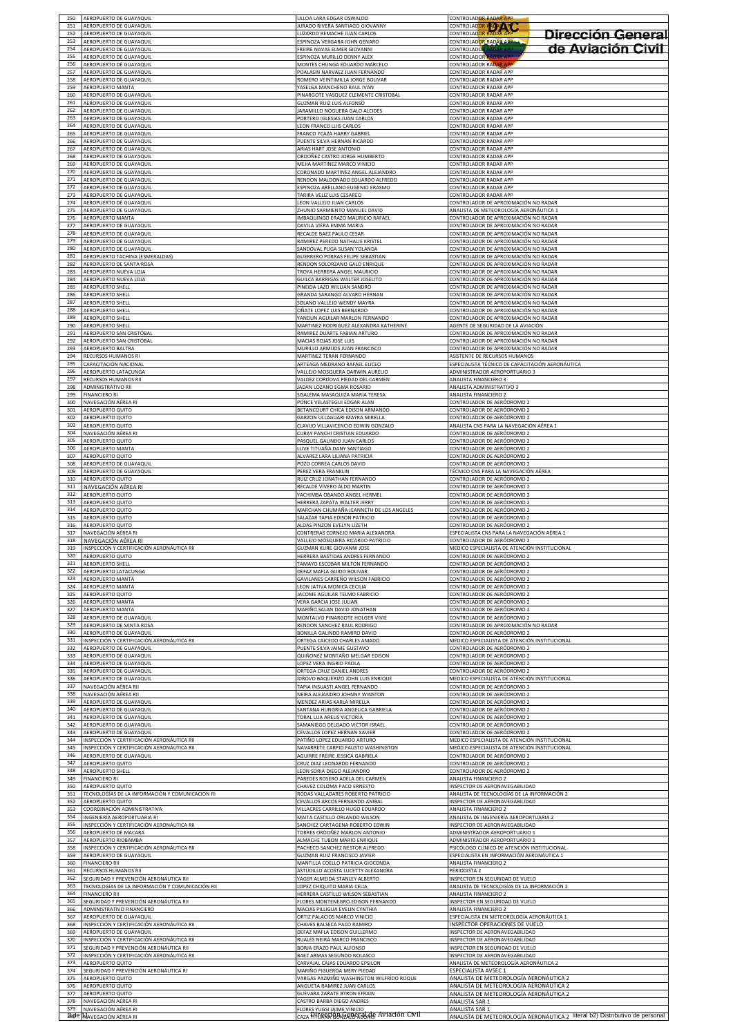| 250        | AEROPUERTO DE GUAYAQUIL                            | ULLOA LARA EDGAR OSWALDO                                               | <b>CONTROLADOR RADAR APP</b>                                                |
|------------|----------------------------------------------------|------------------------------------------------------------------------|-----------------------------------------------------------------------------|
| 251        | AEROPUERTO DE GUAYAQUIL                            | URADO RIVERA SANTIAGO GIOVANNY                                         | CONTROLADOR RADA APP                                                        |
| 252        | AEROPUERTO DE GUAYAQUIL                            | LUZARDO REMACHE JUAN CARLOS                                            | <b>CONTROLADOR RADAR APP</b><br>Dirección General                           |
| 253<br>254 | AEROPUERTO DE GUAYAQUIL<br>AEROPUERTO DE GUAYAQUIL | ESPINOZA VERGARA JOHN GENARO<br>REIRE NAVAS ELMER GIOVANNI             | CONTROLADOR RADAR APPA<br>de Aviación Civil<br><b>CONTROLADO</b>            |
| 255        | AEROPUERTO DE GUAYAQUIL                            | SPINOZA MURILLO DENNY ALEX                                             | CONTROLADOR RADAR AF                                                        |
| 256        | AEROPUERTO DE GUAYAQUIL                            | <b>MONTES CHUNGA EDUARDO MARCELO</b>                                   | CONTROLADOR RADAR AP                                                        |
| 257        | AEROPUERTO DE GUAYAQUIL                            | OALASIN NARVAEZ JUAN FERNANDO                                          | CONTROLADOR RADAR APP                                                       |
| 258        | AEROPUERTO DE GUAYAQUIL                            | ROMERO VEINTIMILLA JORGE BOLIVAR                                       | CONTROLADOR RADAR APP                                                       |
| 259        | AEROPUERTO MANTA                                   | YASELGA MANCHENO RAUL IVAN                                             | CONTROLADOR RADAR APP                                                       |
| 260        | AEROPUERTO DE GUAYAQUIL                            | PINARGOTE VASQUEZ CLEMENTE CRISTOBAL                                   | CONTROLADOR RADAR APP                                                       |
| 261        | AEROPUERTO DE GUAYAQUIL                            | GUZMAN RUIZ LUIS ALFONSO                                               | CONTROLADOR RADAR APP                                                       |
| 262        | AEROPUERTO DE GUAYAQUIL                            | ARAMILLO NOGUERA GALO ALCIDES                                          | CONTROLADOR RADAR APP                                                       |
| 263        | AEROPUERTO DE GUAYAQUIL                            | PORTERO IGLESIAS JUAN CARLOS                                           | CONTROLADOR RADAR APP                                                       |
| 264        | AEROPUERTO DE GUAYAQUIL                            | EON FRANCO LUIS CARLOS                                                 | CONTROLADOR RADAR APP                                                       |
| 265        | AEROPUERTO DE GUAYAQUIL                            | FRANCO YCAZA HARRY GABRIEL                                             | CONTROLADOR RADAR APP                                                       |
| 266        | AEROPUERTO DE GUAYAQUIL                            | PUENTE SILVA HERNAN RICARDO                                            | CONTROLADOR RADAR APP                                                       |
| 267        | AEROPUERTO DE GUAYAQUIL                            | ARIAS HART JOSE ANTONIO                                                | CONTROLADOR RADAR APP                                                       |
| 268        | AEROPUERTO DE GUAYAQUIL                            | ORDOÑEZ CASTRO JORGE HUMBERTO                                          | CONTROLADOR RADAR APP                                                       |
| 269        | AEROPUERTO DE GUAYAQUIL                            | MEJIA MARTINEZ MARCO VINICIO                                           | CONTROLADOR RADAR APP                                                       |
| 270        | AEROPUERTO DE GUAYAQUIL                            | CORONADO MARTINEZ ANGEL ALEJANDRO                                      | CONTROLADOR RADAR APP                                                       |
| 271        | AEROPUERTO DE GUAYAQUIL                            | RENDON MALDONADO EDUARDO ALFREDO                                       | CONTROLADOR RADAR APP                                                       |
| 272        | AEROPUERTO DE GUAYAQUIL                            | ESPINOZA ARELLANO EUGENIO ERASMO                                       | CONTROLADOR RADAR APP                                                       |
| 273        | AEROPUERTO DE GUAYAQUIL                            | TARIRA VELIZ LUIS CESAREO                                              | CONTROLADOR RADAR APP                                                       |
| 274        | AEROPUERTO DE GUAYAQUIL                            | EON VALLEJO JUAN CARLOS                                                | CONTROLADOR DE APROXIMACIÓN NO RADAR                                        |
| 275        | AEROPUERTO DE GUAYAQUIL                            | <b>IHUNIO SARMIENTO MANUEL DAVID</b>                                   | ANALISTA DE METEOROLOGÍA AERONÁUTICA :                                      |
| 276        | AEROPUERTO MANTA                                   | <b>IMBAQUINGO ERAZO MAURICIO RAFAEL</b>                                | CONTROLADOR DE APROXIMACIÓN NO RADAR                                        |
| 277        | AEROPUERTO DE GUAYAQUIL                            | DAVILA VIERA EMMA MARIA                                                | CONTROLADOR DE APROXIMACIÓN NO RADAR                                        |
| 278        | AEROPUERTO DE GUAYAQUIL                            | RECALDE BAEZ PAULO CESAR                                               | CONTROLADOR DE APROXIMACIÓN NO RADAR                                        |
| 279        | AEROPUERTO DE GUAYAQUIL                            | RAMIREZ PEREDO NATHALIE KRISTEL                                        | CONTROLADOR DE APROXIMACIÓN NO RADAR                                        |
| 280        | AEROPUERTO DE GUAYAQUIL                            | SANDOVAL PUGA SUSAN YOLANDA                                            | CONTROLADOR DE APROXIMACIÓN NO RADAR                                        |
| 281        | AEROPUERTO TACHINA (ESMERALDAS)                    | <b>GUERRERO PORRAS FELIPE SEBASTIAN</b>                                | CONTROLADOR DE APROXIMACIÓN NO RADAR                                        |
| 282        | AEROPUERTO DE SANTA ROSA<br>AEROPUERTO NUEVA LOJA  | RENDON SOLORZANO GALO ENRIQUE                                          | CONTROLADOR DE APROXIMACIÓN NO RADAR                                        |
| 283        | AEROPUERTO NUEVA LOJA                              | TROYA HERRERA ANGEL MAURICIO                                           | CONTROLADOR DE APROXIMACIÓN NO RADAR                                        |
| 284        |                                                    | GUILCA BARRIGAS WALTER JOSELITO                                        | CONTROLADOR DE APROXIMACIÓN NO RADAR                                        |
| 285        | AEROPUERTO SHELL                                   | PINEIDA LAZO WILLIAN SANDRO                                            | CONTROLADOR DE APROXIMACIÓN NO RADAR                                        |
| 286        | <b>AEROPUERTO SHELL</b>                            | GRANDA SARANGO ALVARO HERNAN                                           | CONTROLADOR DE APROXIMACIÓN NO RADAR                                        |
| 287        | <b>AEROPUERTO SHELL</b>                            | SOLANO VALLEJO WENDY MAYRA                                             | CONTROLADOR DE APROXIMACIÓN NO RADAR                                        |
| 288        | AEROPUERTO SHELL                                   | OÑATE LOPEZ LUIS BERNARDO                                              | CONTROLADOR DE APROXIMACIÓN NO RADAR                                        |
| 289        | AEROPUERTO SHELL                                   | ANDUN AGUILAR MARLON FERNANDO                                          | CONTROLADOR DE APROXIMACIÓN NO RADAR                                        |
| 290        | AEROPUERTO SHELL                                   | MARTINEZ RODRIGUEZ ALEXANDRA KATHERINE                                 | AGENTE DE SEGURIDAD DE LA AVIACIÓN                                          |
| 291        | AEROPUERTO SAN CRISTÓBAL                           | RAMIREZ DUARTE FABIAN ARTURO                                           | CONTROLADOR DE APROXIMACIÓN NO RADAR                                        |
| 292        | AEROPUERTO SAN CRISTÓBAL                           | AACIAS ROJAS JOSE LUIS                                                 | CONTROLADOR DE APROXIMACIÓN NO RADAR                                        |
| 293        | AEROPUERTO BALTRA                                  | <b>MURILLO ARMIJOS JUAN FRANCISCO</b>                                  | CONTROLADOR DE APROXIMACIÓN NO RADAR                                        |
| 294        | RECURSOS HUMANOS RI                                | <b>MARTINEZ TERAN FERNANDO</b>                                         | ASISTENTE DE RECURSOS HUMANOS                                               |
| 295        | CAPACITACIÓN NACIONAL                              | ARTEAGA MEDRANO RAFAEL ELICEO                                          | ESPECIALISTA TÉCNICO DE CAPACITACIÓN AERONÁUTICA                            |
| 296        | AEROPUERTO LATACUNGA                               | VALLEJO MOSQUERA DARWIN AURELIO                                        | ADMINISTRADOR AEROPORTUARIO 3                                               |
| 297        | RECURSOS HUMANOS RII                               | VALDEZ CORDOVA PIEDAD DEL CARMEN                                       | ANALISTA FINANCIERO 3                                                       |
| 298        | ADMINISTRATIVO RII                                 | ADAN LOZANO EGMA ROSARIO                                               | ANALISTA ADMINISTRATIVO 3                                                   |
| 299        | <b>FINANCIERO RI</b>                               | SISALEMA MASAQUIZA MARIA TERESA                                        | ANALISTA FINANCIERO 2                                                       |
| 300        | NAVEGACIÓN AÉREA RI                                | ONCE VELASTEGUI EDGAR ALAN                                             | CONTROLADOR DE AERÓDROMO 2                                                  |
| 301        | <b>AEROPUERTO QUITO</b>                            | BETANCOURT CHICA EDISON ARMANDO                                        | CONTROLADOR DE AERÓDROMO 2                                                  |
| 302        | AEROPUERTO QUITO                                   | GARZON ULLAGUARI MAYRA MIRELLA                                         | CONTROLADOR DE AERÓDROMO 2                                                  |
| 303        | AEROPUERTO QUITO                                   | CLAVIJO VILLAVICENCIO EDWIN GONZALO                                    | ANALISTA CNS PARA LA NAVEGACIÓN AÉREA 1                                     |
| 304        | NAVEGACIÓN AÉREA RI                                | URAY PANCHI CRISTIAN EDUARDO                                           | CONTROLADOR DE AERÓDROMO 2                                                  |
| 305        | AEROPUERTO QUITO                                   | ASQUEL GALINDO JUAN CARLOS                                             | CONTROLADOR DE AERÓDROMO 2                                                  |
| 306        | AEROPUERTO MANTA                                   | LLIVE TITUAÑA DANY SANTIAGO                                            | CONTROLADOR DE AERÓDROMO 2                                                  |
| 307        | AEROPUERTO QUITO                                   | ALVAREZ LARA LILIANA PATRICIA                                          | CONTROLADOR DE AERÓDROMO 2                                                  |
| 308        | AEROPUERTO DE GUAYAQUIL                            | POZO CORREA CARLOS DAVID                                               | CONTROLADOR DE AERÓDROMO 2                                                  |
| 309        | AEROPUERTO DE GUAYAQUIL                            | PEREZ VERA FRANKLIN                                                    | TÉCNICO CNS PARA LA NAVEGACIÓN AÉREA                                        |
| 310        | AEROPUERTO QUITO                                   | RUIZ CRUZ JONATHAN FERNANDO                                            | CONTROLADOR DE AERÓDROMO 2                                                  |
| 311        | NAVEGACIÓN AÉREA RI                                | RECALDE VIVERO ALDO MARTIN                                             | CONTROLADOR DE AERÓDROMO 2                                                  |
| 312        | AEROPUERTO QUITO                                   | YACHIMBA OBANDO ANGEL HERMEI                                           | CONTROLADOR DE AERÓDROMO 2                                                  |
| 313        | AEROPUERTO QUITO                                   | HERRERA ZAPATA WALTER JERRY                                            | CONTROLADOR DE AERÓDROMO 2                                                  |
| 314        | AEROPUERTO QUITO                                   | MARCHAN CHUMAÑA JEANNETH DE LOS ANGELES                                | CONTROLADOR DE AERÓDROMO 2                                                  |
| 315        | AEROPUERTO QUITO                                   | SALAZAR TAPIA EDISON PATRICIO                                          | CONTROLADOR DE AERÓDROMO 2                                                  |
| 316        | AEROPUERTO QUITO                                   | ALDAS PINZON EVELYN LIZETH                                             | CONTROLADOR DE AERÓDROMO 2                                                  |
| 317        | VAVEGACIÓN AÉREA RI                                | CONTRERAS CORNEJO MARIA ALEXANDRA                                      | SPECIALISTA CNS PARA LA NAVEGACIÓN AÉREA 1                                  |
| 318        | NAVEGACIÓN AÉREA RI                                | ALLEJO MOSQUERA RICARDO PATRICIO                                       | CONTROLADOR DE AERÓDROMO 2                                                  |
| 319        | INSPECCIÓN Y CERTIFICACIÓN AERONÁUTICA RII         | <b>GUZMAN KURE GIOVANNI JOSE</b>                                       | MEDICO ESPECIALISTA DE ATENCIÓN INSTITUCIONAL                               |
| 320        | AEROPUERTO QUITO                                   | HERRERA BASTIDAS ANDRES FERNANDO                                       | CONTROLADOR DE AERÓDROMO 2                                                  |
| 321        | AEROPUERTO SHELL<br>AEROPUERTO LATACUNGA           | TAMAYO ESCOBAR MILTON FERNANDO                                         | CONTROLADOR DE AERÓDROMO 2                                                  |
| 323        | AEROPUERTO MANTA                                   | DEFAZ MAFLA GUIDO BOLIVAR<br>GAVILANES CARREÑO WILSON FABRICIO         | CONTROLADOR DE AERÓDROMO 2<br>CONTROLADOR DE AERÓDROMO 2                    |
| 324        | AEROPUERTO MANTA                                   | EON JATIVA MONICA CECILIA                                              | CONTROLADOR DE AERÓDROMO 2                                                  |
| 325        | AEROPUERTO QUITO                                   | ACOME AGUILAR TELMO FABRICIO                                           | CONTROLADOR DE AERÓDROMO 2                                                  |
| 326        | <b>AEROPUERTO MANTA</b>                            | VERA GARCIA JOSE JULIAN                                                | CONTROLADOR DE AERÓDROMO 2                                                  |
| 327        | AEROPUERTO MANTA                                   | MARIÑO SALAN DAVID JONATHAN                                            | CONTROLADOR DE AERÓDROMO 2                                                  |
| 328        | AEROPUERTO DE GUAYAQUIL                            | MONTALVO PINARGOTE HOLGER VIVIE                                        | CONTROLADOR DE AERÓDROMO 2                                                  |
| 329        | AEROPUERTO DE SANTA ROSA                           | ENDON SANCHEZ RAUL RODRIGO                                             | CONTROLADOR DE APROXIMACIÓN NO RADAR                                        |
| 330        | AEROPUERTO DE GUAYAQUIL                            | <b>SONILLA GALINDO RAMIRO DAVID</b>                                    | CONTROLADOR DE AERÓDROMO 2                                                  |
| 331        | INSPECCIÓN Y CERTIFICACIÓN AERONÁUTICA RII         | ORTEGA CAICEDO CHARLES AMADO                                           | MEDICO ESPECIALISTA DE ATENCIÓN INSTITUCIONAL                               |
| 332        | AEROPUERTO DE GUAYAQUIL                            | PUENTE SILVA JAIME GUSTAVO                                             | CONTROLADOR DE AERÓDROMO 2                                                  |
| 333        | AEROPUERTO DE GUAYAQUIL                            | QUIÑONEZ MONTAÑO MELGAR EDISON                                         | CONTROLADOR DE AERÓDROMO 2                                                  |
| 334        | AEROPUERTO DE GUAYAQUIL                            | LOPEZ VERA INGRID PAOLA                                                | CONTROLADOR DE AERÓDROMO 2                                                  |
| 335        | AEROPUERTO DE GUAYAQUIL                            | ORTEGA CRUZ DANIEL ANDRES                                              | CONTROLADOR DE AERÓDROMO 2                                                  |
| 336<br>337 | AEROPUERTO DE GUAYAQUIL                            | DROVO BAQUERIZO JOHN LUIS ENRIQUE                                      | MEDICO ESPECIALISTA DE ATENCIÓN INSTITUCIONAL<br>CONTROLADOR DE AERÓDROMO 2 |
| 338        | NAVEGACIÓN AÉREA RII<br>NAVEGACIÓN AÉREA RII       | TAPIA INSUASTI ANGEL FERNANDO<br><b>NEIRA ALEJANDRO JOHNNY WINSTON</b> | CONTROLADOR DE AERÓDROMO 2                                                  |
| 339        | AEROPUERTO DE GUAYAQUIL                            | MENDEZ ARIAS KARLA MIRELLA                                             | CONTROLADOR DE AERÓDROMO 2                                                  |
| 340        | AEROPUERTO DE GUAYAQUIL                            | SANTANA HUNGRIA ANGELICA GABRIELA                                      | CONTROLADOR DE AERÓDROMO 2                                                  |
| 341        | AEROPUERTO DE GUAYAQUIL<br>AEROPUERTO DE GUAYAQUIL | ORAL LUA ARELIS VICTORIA<br>AMANIEGO DELGADO VICTOR ISRAEL             | CONTROLADOR DE AERÓDROMO 2                                                  |
| 342<br>343 | AEROPUERTO DE GUAYAQUIL                            | EVALLOS LOPEZ HERNAN XAVIER                                            | CONTROLADOR DE AERÓDROMO 2<br>CONTROLADOR DE AERÓDROMO 2                    |
| 344        | INSPECCIÓN Y CERTIFICACIÓN AERONÁUTICA RII         | ATIÑO LOPEZ EDUARDO ARTURO                                             | MEDICO ESPECIALISTA DE ATENCIÓN INSTITUCIONAL                               |
| 345        | INSPECCIÓN Y CERTIFICACIÓN AERONÁUTICA RII         | NAVARRETE CARPIO FAUSTO WASHINGTON                                     | MEDICO ESPECIALISTA DE ATENCIÓN INSTITUCIONAL                               |
| 346        | AEROPUERTO DE GUAYAQUIL                            | AGUIRRE FREIRE JESSICA GABRIELA                                        | CONTROLADOR DE AERÓDROMO 2                                                  |
| 347        | AEROPUERTO QUITO                                   | CRUZ DIAZ LEONARDO FERNANDO                                            | CONTROLADOR DE AERÓDROMO 2                                                  |
| 348        | AEROPUERTO SHELL                                   | LEON SORIA DIEGO ALEJANDRO                                             | CONTROLADOR DE AERÓDROMO 2                                                  |
| 349        | <b>FINANCIERO RI</b>                               | AREDES ROSERO ADELA DEL CARMEN                                         | ANALISTA FINANCIERO 2                                                       |
| 350        | AEROPUERTO QUITO                                   | CHAVEZ COLOMA PACO ERNESTO                                             | INSPECTOR DE AERONAVEGABILIDAD                                              |
| 351        | TECNOLOGÍAS DE LA INFORMACIÓN Y COMUNICACION RI    | RODAS VALLADARES ROBERTO PATRICIO                                      | ANALISTA DE TECNOLOGÍAS DE LA INFORMACIÓN 2                                 |
| 352        | AEROPUERTO QUITO                                   | EVALLOS ARCOS FERNANDO ANIBAL                                          | INSPECTOR DE AERONAVEGABILIDAD                                              |
| 353        | COORDINACIÓN ADMINISTRATIVA                        | VILLACRES CARRILLO HUGO EDUARDO                                        | ANALISTA FINANCIERO 2                                                       |
| 354        | INGENIERÍA AEROPORTUARIA RI                        | MAITA CASTILLO ORLANDO WILSON                                          | ANALISTA DE INGENIERÍA AEROPORTUARIA 2                                      |
| 355        | INSPECCIÓN Y CERTIFICACIÓN AERONÁUTICA RII         | ANCHEZ CARTAGENA ROBERTO EDWIN                                         | INSPECTOR DE AERONAVEGABILIDAD                                              |
| 356        | AEROPUERTO DE MACARA                               | ORRES ORDOÑEZ MARLON ANTONIO                                           | ADMINISTRADOR AEROPORTUARIO 1                                               |
| 357        | AEROPUERTO RIOBAMBA                                | ALMACHE TUBON MARIO ENRIQUE                                            | ADMINISTRADOR AEROPORTUARIO 1                                               |
| 358        | INSPECCIÓN Y CERTIFICACIÓN AERONÁUTICA RII         | PACHECO SANCHEZ NESTOR ALFREDO                                         | PSICÓLOGO CLÍNICO DE ATENCIÓN INSTITUCIONAL                                 |
| 359        | AEROPUERTO DE GUAYAQUIL                            | GUZMAN RUIZ FRANCISCO JAVIER                                           | ESPECIALISTA EN INFORMACIÓN AERONÁUTICA 1                                   |
| 360        | <b>FINANCIERO RII</b>                              | MANTILLA COELLO PATRICIA GIOCONDA                                      | ANALISTA FINANCIERO 2                                                       |
| 361        | RECURSOS HUMANOS RII                               | ASTUDILLO ACOSTA LUCETTY ALEXANDRA                                     | PERIODISTA 2                                                                |
| 362        | SEGURIDAD Y PREVENCIÓN AERONÁUTICA RII             | YAGER ALMEIDA STANLEY ALBERTO                                          | INSPECTOR EN SEGURIDAD DE VUELO                                             |
| 363        | TECNOLOGÍAS DE LA INFORMACIÓN Y COMUNICACIÓN RII   | LOPEZ CHIQUITO MARIA CELIA                                             | ANALISTA DE TECNOLOGÍAS DE LA INFORMACIÓN 2                                 |
| 364        | <b>FINANCIERO RII</b>                              | HERRERA CASTILLO WILSON SEBASTIAN                                      | ANALISTA FINANCIERO 2                                                       |
| 365        | SEGURIDAD Y PREVENCIÓN AERONÁUTICA RII             | LORES MONTENEGRO EDISON FERNANDO                                       | INSPECTOR EN SEGURIDAD DE VUELO                                             |
| 366        | ADMINISTRATIVO FINANCIERO                          | MACIAS PILLIGUA EVELIN CYNTHIA                                         | ANALISTA FINANCIERO 2                                                       |
| 367        | AEROPUERTO DE GUAYAQUIL                            | ORTIZ PALACIOS MARCO VINICIO                                           | ESPECIALISTA EN METEOROLOGÍA AERONÁUTICA 1                                  |
| 368        | INSPECCIÓN Y CERTIFICACIÓN AERONÁUTICA RII         | CHAVES BALSECA PACO RAMIRO                                             | INSPECTOR OPERACIONES DE VUELO                                              |
| 369        | AEROPUERTO DE GUAYAQUIL                            | DEFAZ MAFLA EDISON GUILLERMO                                           | INSPECTOR DE AERONAVEGABILIDAD                                              |
| 370        | INSPECCIÓN Y CERTIFICACIÓN AERONÁUTICA RII         | RUALES NEIRA MARCO FRANCISCO                                           | INSPECTOR DE AERONAVEGABILIDAD                                              |
| 371        | SEGURIDAD Y PREVENCIÓN AERONÁUTICA RII             | BORJA ERAZO PAUL ALFONSO                                               | INSPECTOR EN SEGURIDAD DE VUELO                                             |
| 372        | INSPECCIÓN Y CERTIFICACIÓN AERONÁUTICA RII         | BAEZ ARMAS SEGUNDO NOLASCO                                             | INSPECTOR DE AERONAVEGABILIDAD                                              |
| 373        | AEROPUERTO QUITO                                   | CARVAJAL CAJAS EDUARDO EPSILON                                         | ANALISTA DE METEOROLOGÍA AERONÁUTICA 2                                      |
| 374        | SEGURIDAD Y PREVENCIÓN AERONÁUTICA RI              | MARIÑO FIGUEROA MERY PIEDAD                                            | ESPECIALISTA AVSEC 1                                                        |
| 375        | <b>AEROPUERTO QUITO</b>                            | ARGAS PAZMIÑO WASHINGTON WILFRIDO ROQUE                                | ANALISTA DE METEOROLOGÍA AERONÁUTICA 2                                      |
| 376        | AEROPUERTO QUITO                                   | ANGUETA RAMIREZ JUAN CARLOS                                            | ANALISTA DE METEOROLOGÍA AERONÁUTICA 2                                      |
| 377        | AEROPUERTO QUITO                                   | GUEVARA ZARATE BYRON EFRAIN                                            | ANALISTA DE METEOROLOGÍA AERONÁUTICA 2                                      |
| 378        | NAVEGACIÓN AÉREA RI                                | <b>ASTRO BARBA DIEGO ANDRES</b>                                        | ANALISTA SAR 1                                                              |
| 379        | NAVEGACIÓN AÉREA RI                                | LORES YUGSI JAIME VINICIO                                              | ANALISTA SAR 1                                                              |
|            | <b>380e MAVEGACIÓN AÉREA RI</b>                    | CAZA <del>HIURRAI@&amp;NZAL@CABUNIC</del> Aviación Civil               | ANALISTA DE METEOROLOGÍA AERONÁUTICA 2 literal b2) Distributivo de personal |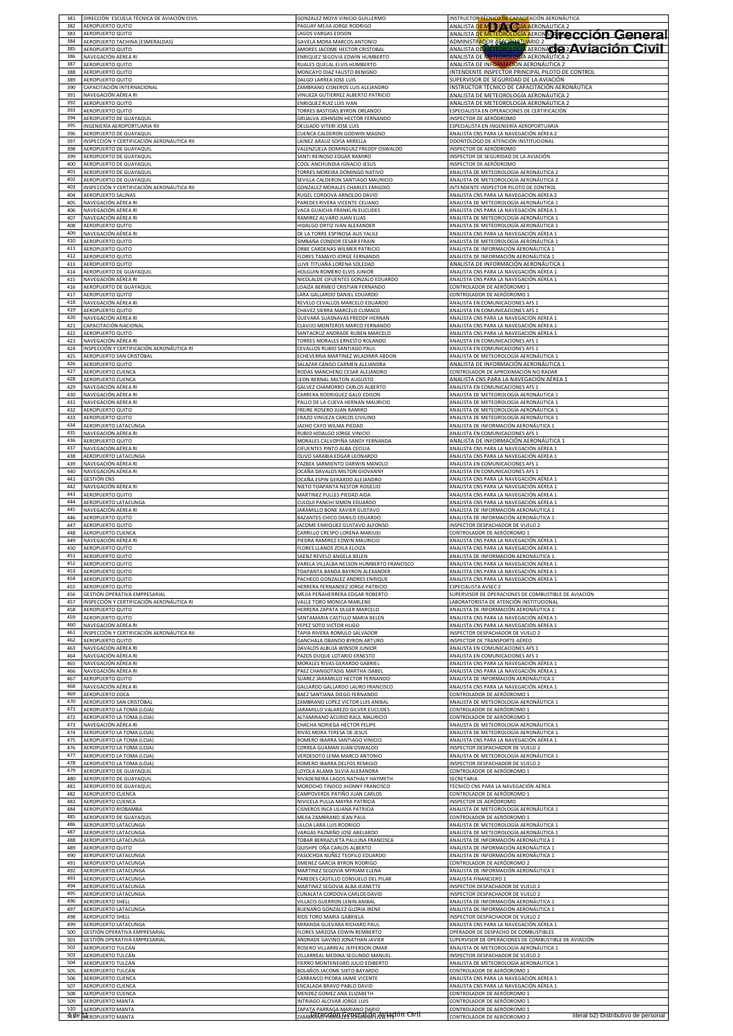| 382        | DIRECCIÓN ESCUELA TÉCNICA DE AVIACIÓN CIVIL | GONZALEZ MOYA VINICIO GUILLERMO                                    | INSTRUCTOR TÉCNICO DE CAPACITACIÓN AERONÁUTICA                                                       |
|------------|---------------------------------------------|--------------------------------------------------------------------|------------------------------------------------------------------------------------------------------|
| 383        | AEROPUERTO QUITO                            | PAGUAY MEJIA JORGE RODRIGO                                         |                                                                                                      |
|            | AEROPUERTO QUITO                            | LAGOS VARGAS EDISON                                                | <b>ANALISTA DE METÉOROLÓGIA AERONÁUTICA 2<br/>ANALISTA DE METÉOROLÓGIA AERONALITY COCIÓN GENETAL</b> |
| 384        | AEROPUERTO TACHINA (ESMERALDAS)             | GAVELA MORA MARCOS ANTONIO                                         | ADMINISTRADOR ALROPORTUARIO 2                                                                        |
| 385        | AEROPUERTO QUITO                            | AMORES JACOME HECTOR CRISTOBAL                                     | ANALISTA DE METEOROLOGÍA AERONACIO 2 AVIACIÓN CIVIL                                                  |
| 386<br>387 | NAVEGACIÓN AÉREA RI                         | ENRIQUEZ SEGOVIA EDWIN HUMBERTO                                    | ANALISTA DE METEOROLOGÍA AERONÁUTICA 2                                                               |
| 388        | AEROPUERTO QUITO                            | RUALES QUELAL ELVIS HUMBERTO                                       | ANALISTA DE INFORMACIÓN AERONÁUTICA 2                                                                |
|            | AEROPUERTO QUITO                            | MONCAYO DIAZ FAUSTO BENIGNO                                        | INTENDENTE INSPECTOR PRINCIPAL PILOTO DE CONTROL                                                     |
| 389        | AEROPUERTO QUITO                            | DALGO LARREA JOSE LUIS                                             | <u>SUPERVISOR DE SEGURIDAD DE LA AVIACIÓN</u>                                                        |
| 390        | CAPACITACIÓN INTERNACIONAL                  | ZAMBRANO CISNEROS LUIS ALEJANDRO                                   | INSTRUCTOR TÉCNICO DE CAPACITACIÓN AERONÁUTICA                                                       |
| 391        | NAVEGACIÓN AÉREA RI                         | VINUEZA GUTIERREZ ALBERTO PATRICIO                                 | ANALISTA DE METEOROLOGÍA AERONÁUTICA 2                                                               |
| 392        | AEROPUERTO QUITO                            | ENRIQUEZ RUIZ LUIS IVAN                                            | ANALISTA DE METEOROLOGÍA AERONÁUTICA 2                                                               |
| 393        | AEROPUERTO QUITO                            | <b>FORRES BASTIDAS BYRON ORLANDO</b>                               | ESPECIALISTA EN OPERACIONES DE CERTIFICACIÓN                                                         |
| 394        | AEROPUERTO DE GUAYAQUIL                     | RIJALVA JOHNSON HECTOR FERNANDO                                    | NSPECTOR DE AERÓDROMO                                                                                |
| 395        | INGENIERÍA AEROPORTUARIA RII                | DELGADO VITERI JOSE LUIS                                           | <u>ESPECIALISTA EN INGENIERÍA AEROPORTUARIA</u>                                                      |
| 396        | AEROPUERTO DE GUAYAQUIL                     | CUENCA CALDERON GODWIN MAGNO                                       | ANALISTA CNS PARA LA NAVEGACIÓN AÉREA 2                                                              |
| 397        | INSPECCIÓN Y CERTIFICACIÓN AERONÁUTICA RIL  | LAINEZ ARAUZ SOFIA MIRELLA                                         | ODONTÓLOGO DE ATENCIÓN INSTITUCIONAL                                                                 |
| 398        | AEROPUERTO DE GUAYAQUIL                     | VALENZUELA DOMINGUEZ FREDDY OSWALDO                                | INSPECTOR DE AERÓDROMO                                                                               |
| 399        | AEROPUERTO DE GUAYAQUIL                     | SANTI REINOSO EDGAR RAMIRO                                         | INSPECTOR DE SEGURIDAD DE LA AVIACIÓN                                                                |
| 400        | AEROPUERTO DE GUAYAQUI                      | COOL ANCHUNDIA IGNACIO JESUS                                       | INSPECTOR DE AERÓDROMO                                                                               |
| 401        | AEROPUERTO DE GUAYAQUIL                     | TORRES MOREIRA DOMINGO NATIVO                                      | ANALISTA DE METEOROLOGÍA AERONÁUTICA 2                                                               |
| 402        | AEROPUERTO DE GUAYAQUII                     | SEVILLA CALDERON SANTIAGO MAURICIO                                 | ANALISTA DE METEOROLOGÍA AERONÁUTICA 2                                                               |
| 403        | INSPECCIÓN Y CERTIFICACIÓN AERONÁUTICA RII  | GONZALEZ MORALES CHARLES EMIGDIO                                   | INTENDENTE INSPECTOR PILOTO DE CONTROL                                                               |
| 404        | <b>AEROPUERTO SALINAS</b>                   | RUGEL CORDOVA ARNOLDO DAVID                                        | ANALISTA CNS PARA LA NAVEGACIÓN AÉREA 2                                                              |
| 405        | VAVEGACIÓN AÉREA RI                         | PAREDES RIVERA VICENTE CELIANO                                     | ANALISTA DE METEOROLOGÍA AERONÁUTICA 1                                                               |
| 406        | VAVEGACIÓN AÉREA RI                         | VACA GUAICHA FRANKLIN EUCLIDES                                     | <u>ANALISTA CNS PARA LA NAVEGACIÓN AÉREA 1</u>                                                       |
| 407<br>408 | NAVEGACIÓN AÉREA RI                         | RAMIREZ ALVARO JUAN ELIAS                                          | ANALISTA DE METEOROLOGÍA AERONÁUTICA 1                                                               |
| 409        | AEROPUERTO QUITO                            | HIDALGO ORTIZ IVAN ALEXANDER                                       | ANALISTA DE METEOROLOGÍA AERONÁUTICA 1                                                               |
|            | NAVEGACIÓN AÉREA RI                         | DE LA TORRE ESPINOSA ALIS YALILE                                   | <u>ANALISTA CNS PARA LA NAVEGACIÓN AÉREA 1</u>                                                       |
| 410        | AEROPUERTO QUITO                            | SIMBAÑA CONDOR CESAR EFRAIN                                        | ANALISTA DE METEOROLOGÍA AERONÁUTICA 1                                                               |
| 411        | AEROPUERTO QUITO                            | ORBE CARDENAS WILMER PATRICIO                                      | ANALISTA DE INFORMACIÓN AERONÁUTICA 1                                                                |
| 412        | AEROPUERTO QUITO                            | FLORES TAMAYO JORGE FERNANDO                                       | ANALISTA DE INFORMACIÓN AERONÁUTICA 1                                                                |
| 413        | AEROPUERTO QUITO                            | LLIVE TITUAÑA LORENA SOLEDAD                                       | ANALISTA DE INFORMACIÓN AERONÁUTICA 1                                                                |
| 414<br>415 | AEROPUERTO DE GUAYAQUIL                     | HOLGUIN ROMERO ELVIS JUNIOR                                        | ANALISTA CNS PARA LA NAVEGACIÓN AÉREA                                                                |
| 416        | NAVEGACIÓN AÉREA RI                         | NICOLALDE CIFUENTES GONZALO EDUARDO                                | ANALISTA CNS PARA LA NAVEGACIÓN AÉREA 1                                                              |
|            | AEROPUERTO DE GUAYAQUIL                     | LOAIZA BERMEO CRISTIAN FERNANDO                                    | CONTROLADOR DE AERÓDROMO 1                                                                           |
| 417        | AEROPUERTO QUITO                            | ARA GALLARDO DANIEL EDUARDO                                        | CONTROLADOR DE AERÓDROMO 1                                                                           |
| 418        | NAVEGACIÓN AÉREA RI                         | REVELO CEVALLOS MARCELO EDUARDO                                    | ANALISTA EN COMUNICACIONES AFS 1                                                                     |
| 419        | AEROPUERTO QUITO                            | CHAVEZ SIERRA MARCELO CLIMACO                                      | ANALISTA EN COMUNICACIONES AFS 1                                                                     |
| 420        | NAVEGACIÓN AÉREA RI                         | <b>GUEVARA SUASNAVAS FREDDY HERNAN</b>                             | ANALISTA CNS PARA LA NAVEGACIÓN AÉREA 1                                                              |
| 421        | CAPACITACIÓN NACIONAL                       | CLAVIJO MONTEROS MARCO FERNANDO                                    | ANALISTA CNS PARA LA NAVEGACIÓN AÉREA 1                                                              |
| 422        | AEROPUERTO QUITO                            | SANTACRUZ ANDRADE RUBEN MARCELO                                    | ANALISTA CNS PARA LA NAVEGACIÓN AÉREA 1                                                              |
| 423        | NAVEGACIÓN AÉREA RI                         | TORRES MORALES ERNESTO ROLANDO                                     | ANALISTA EN COMUNICACIONES AFS 1                                                                     |
| 424        | INSPECCIÓN Y CERTIFICACIÓN AERONÁUTICA RI   | CEVALLOS RUBIO SANTIAGO PAUL                                       | ANALISTA EN COMUNICACIONES AFS 1                                                                     |
| 425        | AEROPUERTO SAN CRISTÓBAL                    | ECHEVERRIA MARTINEZ WLADIMIR ABDON                                 | ANALISTA DE METEOROLOGÍA AERONÁUTICA 1                                                               |
| 426        | AEROPUERTO QUITO                            | SALAZAR CANGO CARMEN ALEJANDRA                                     | ANALISTA DE INFORMACIÓN AERONÁUTICA 1                                                                |
| 427        | AEROPUERTO CUENCA                           | RODAS MANCHENO CESAR ALEJANDRO                                     | CONTROLADOR DE APROXIMACIÓN NO RADAR                                                                 |
| 428        | AEROPUERTO CUENCA                           | LEON BERNAL MILTON AUGUSTO                                         | ANALISTA CNS PARA LA NAVEGACIÓN AÉREA 1                                                              |
| 429        | NAVEGACIÓN AÉREA RI                         | GALVEZ CHAMORRO CARLOS ALBERTO                                     | ANALISTA EN COMUNICACIONES AFS 1                                                                     |
| 430        | VAVEGACIÓN AÉREA RI                         | CARRERA RODRIGUEZ GALO EDISON                                      | ANALISTA DE METEOROLOGÍA AERONÁUTICA 1                                                               |
| 431        | VAVEGACIÓN AÉREA RI                         | PALLO DE LA CUEVA HERNAN MAURICIO                                  | <u>ANALISTA DE METEOROLOGÍA AERONÁUTICA 1</u>                                                        |
| 432        | AEROPUERTO QUITO                            | FREIRE ROSERO JUAN RAMIRO                                          | <u>ANALISTA DE METEOROLOGÍA AERONÁUTICA 1</u>                                                        |
| 433        | AEROPUERTO QUITO                            | ERAZO VINUEZA CARLOS CIVILINO                                      | ANALISTA DE METEOROLOGÍA AERONÁUTICA 1                                                               |
| 434        | <b>AEROPUERTO LATACUNGA</b>                 | JACHO CAYO WILMA PIEDAD                                            | <u>ANALISTA DE INFORMACIÓN AERONÁUTICA 1</u>                                                         |
| 435        | NAVEGACIÓN AÉREA RI                         | RUBIO HIDALGO JORGE VINICIO                                        | ANALISTA EN COMUNICACIONES AFS 1                                                                     |
| 436        | AEROPUERTO QUITO                            | MORALES CALVOPIÑA SANDY FERNANDA                                   | ANALISTA DE INFORMACIÓN AERONÁUTICA 1                                                                |
| 437        | NAVEGACIÓN AÉREA RI                         | CIFUENTES PINTO ALBA CECILIA                                       | ANALISTA CNS PARA LA NAVEGACIÓN AÉREA 1                                                              |
| 438        | AEROPUERTO LATACUNGA                        | OLIVO SARABIA EDGAR LEONARDO                                       | ANALISTA CNS PARA LA NAVEGACIÓN AÉREA 1                                                              |
| 439        | NAVEGACIÓN AÉREA RI                         | YAZBEK SARMIENTO DARWIN MANOLO                                     | ANALISTA EN COMUNICACIONES AFS 1                                                                     |
| 440        | NAVEGACIÓN AÉREA RI                         | OCAÑA DAVALOS MILTON GIOVANNY                                      | ANALISTA EN COMUNICACIONES AFS 1                                                                     |
| 441        | GESTIÓN CNS                                 | OCAÑA ESPIN GERARDO ALEJANDRO                                      | ANALISTA CNS PARA LA NAVEGACIÓN AÉREA 1                                                              |
| 442        | NAVEGACIÓN AÉREA RI                         | NIETO TOAPANTA NESTOR ROGELIO                                      | ANALISTA CNS PARA LA NAVEGACIÓN AÉREA 1                                                              |
| 443        | AEROPUERTO QUITO                            | MARTINEZ PULLES PIEDAD AIDA                                        | ANALISTA CNS PARA LA NAVEGACIÓN AÉREA 1                                                              |
| 444        | AEROPUERTO LATACUNGA                        | CULQUI PANCHI SIMON EDUARDO                                        | ANALISTA CNS PARA LA NAVEGACIÓN AÉREA 1                                                              |
| 445        | NAVEGACIÓN AÉREA RI                         | JARAMILLO BONE XAVIER GUSTAVO                                      | ANALISTA DE INFORMACIÓN AERONÁUTICA 1                                                                |
| 446        | AEROPUERTO QUITO                            | BAZANTES CHICO DANILO EDUARDO                                      | ANALISTA DE INFORMACIÓN AERONÁUTICA 1                                                                |
| 447        | AEROPUERTO QUITO                            | JACOME ENRIQUEZ GUSTAVO ALFONSO                                    | INSPECTOR DESPACHADOR DE VUELO 2                                                                     |
| 448        | AEROPUERTO CUENCA                           | CARRILLO CRESPO LORENA MARIUXI                                     | CONTROLADOR DE AERÓDROMO 1                                                                           |
| 449        | NAVEGACIÓN AÉREA RI                         | PIEDRA RAMIREZ EDWIN MAURICIO                                      | ANALISTA CNS PARA LA NAVEGACIÓN AÉREA 1                                                              |
| 450        | AEROPUERTO QUITO                            | FLORES LLANOS ZOILA ELOIZA                                         | ANALISTA CNS PARA LA NAVEGACIÓN AÉREA 1                                                              |
| 451        | AEROPUERTO QUITO                            | SAENZ REVELO ANGELA BELEN                                          | ANALISTA DE INFORMACIÓN AERONÁUTICA 1                                                                |
| 452        | AEROPUERTO QUITO                            | VARELA VILLALBA NELSON HUMBERTO FRANCISCO                          | ANALISTA CNS PARA LA NAVEGACIÓN AÉREA 1                                                              |
| 453<br>454 | AEROPUERTO QUITO                            | TOAPANTA BANDA BAYRON ALEXANDER<br>PACHECO GONZALEZ ANDRES ENRIQUE | ANALISTA CNS PARA LA NAVEGACIÓN AÉREA 1                                                              |
| 455        | AEROPUERTO QUITO<br>AEROPUERTO QUITO        | <b>IERRERA FERNANDEZ JORGE PATRICIO</b>                            | ANALISTA CNS PARA LA NAVEGACIÓN AÉREA 1<br>ESPECIALISTA AVSEC 2                                      |
| 456        | GESTIÓN OPERATIVA EMPRESARIAL               | VIEJIA PEÑAHERRERA EDGAR ROBERTO                                   | SUPERVISOR DE OPERACIONES DE COMBUSTIBLE DE AVIACIÓN                                                 |
| 457        | INSPECCIÓN Y CERTIFICACIÓN AERONÁUTICA RI   | VALLE TORO MONICA MARLENE                                          | LABORATORISTA DE ATENCIÓN INSTITUCIONAL                                                              |
| 458        | AEROPUERTO QUITO                            | HERRERA ZAPATA OLGER MARCELO                                       | ANALISTA DE INFORMACIÓN AERONÁUTICA 1                                                                |
| 459        |                                             | SANTAMARIA CASTILLO MARIA BELEN                                    |                                                                                                      |
| 460        | AEROPUERTO QUITO<br>NAVEGACIÓN AÉREA RI     | YEPEZ SOTO VICTOR HUGO                                             | ANALISTA CNS PARA LA NAVEGACIÓN AÉREA 1<br>ANALISTA CNS PARA LA NAVEGACIÓN AÉREA 1                   |
| 461        | INSPECCIÓN Y CERTIFICACIÓN AERONÁUTICA RII  | TAPIA RIVERA ROMULO SALVADOR                                       | INSPECTOR DESPACHADOR DE VUELO 2                                                                     |
| 462        | AEROPUERTO QUITO                            | GANCHALA OBANDO BYRON ARTURO                                       | INSPECTOR DE TRANSPORTE AÉREO                                                                        |
| 463        | NAVEGACIÓN AÉREA RI                         | DAVALOS ALBUJA WINSOR JUNIOR                                       | ANALISTA EN COMUNICACIONES AFS                                                                       |
| 464        | NAVEGACIÓN AÉREA RI                         | PAZOS DUQUE LOTARIO ERNESTO                                        | ANALISTA EN COMUNICACIONES AFS 1                                                                     |
| 465        | NAVEGACIÓN AÉREA RI                         | MORALES RIVAS GERARDO GABRIEL                                      | ANALISTA CNS PARA LA NAVEGACIÓN AÉREA 1                                                              |
| 466        | NAVEGACIÓN AÉREA RI                         | PAEZ CHANGOTASIG MARTHA ISABEI                                     | ANALISTA CNS PARA LA NAVEGACIÓN AÉREA 1                                                              |
| 467<br>468 | AEROPUERTO QUITO<br>VAVEGACIÓN AÉREA RI     | SUAREZ JARAMILLO HECTOR FERNANDO                                   | ANALISTA DE INFORMACIÓN AERONÁUTICA 1                                                                |
| 469        | AEROPUERTO COCA                             | ALLARDO GALLARDO LAURO FRANCISCO<br>BAEZ SANTIANA DIEGO FERNANDO   | ANALISTA CNS PARA LA NAVEGACIÓN AÉREA 1<br>CONTROLADOR DE AERÓDROMO 1                                |
| 470        | AEROPUERTO SAN CRISTÓBAL                    | ZAMBRANO LOPEZ VICTOR LUIS ANIBAL                                  | ANALISTA DE METEOROLOGÍA AERONÁUTICA 1                                                               |
| 471        | AEROPUERTO LA TOMA (LOJA)                   | JARAMILLO VALAREZO GILVER EUCLIDES                                 | CONTROLADOR DE AERÓDROMO 1                                                                           |
| 472        | AEROPUERTO LA TOMA (LOJA)                   | ALTAMIRANO ACURIO RAUL MAURICIO                                    | CONTROLADOR DE AERÓDROMO 1                                                                           |
| 473        | NAVEGACIÓN AÉREA RI                         | CHACHA NORIEGA HECTOR FELIPE                                       | ANALISTA DE METEOROLOGÍA AERONÁUTICA 1                                                               |
| 474        | AEROPUERTO LA TOMA (LOJA)                   | RIVAS MORA TERESA DE JESUS                                         | ANALISTA DE METEOROLOGÍA AERONÁUTICA 1                                                               |
| 475        | AEROPUERTO LA TOMA (LOJA)                   | ROMERO IBARRA SANTIAGO VINICIO                                     | ANALISTA CNS PARA LA NAVEGACIÓN AÉREA 1                                                              |
| 476        | AEROPUERTO LA TOMA (LOJA)                   | CORREA GUAMAN JUAN OSWALDO                                         | INSPECTOR DESPACHADOR DE VUELO 2                                                                     |
| 477        | AEROPUERTO LA TOMA (LOJA)                   | VERDESOTO LEMA MARCO ANTONIO                                       | ANALISTA DE METEOROLOGÍA AERONÁUTICA 1                                                               |
| 478        | AEROPUERTO LA TOMA (LOJA)                   | ROMERO IBARRA DELFOS REMIGIO                                       | INSPECTOR DESPACHADOR DE VUELO 2                                                                     |
| 479        | AEROPUERTO DE GUAYAQUIL                     | LOYOLA ALAMA SILVIA ALEXANDRA                                      | CONTROLADOR DE AERÓDROMO 1                                                                           |
| 480        | <b>AEROPUERTO DE GUAYAQUIL</b>              | <b>IVADENEIRA LAGOS NATHALY HAYMETH</b>                            | SECRETARIA                                                                                           |
| 481        | AEROPUERTO DE GUAYAQUIL                     | MOROCHO TINOCO JHONNY FRANCISCO                                    | TÉCNICO CNS PARA LA NAVEGACIÓN AÉREA                                                                 |
| 482        | AEROPUERTO CUENCA                           | CAMPOVERDE PATIÑO JUAN CARLOS                                      | CONTROLADOR DE AERÓDROMO 1                                                                           |
| 483        | AEROPUERTO CUENCA                           | NIVICELA PULLA MAYRA PATRICIA                                      | INSPECTOR DE AERÓDROMO                                                                               |
| 484        | AEROPUERTO RIOBAMBA                         | CISNEROS INCA LILIANA PATRICIA                                     | ANALISTA DE METEOROLOGÍA AERONÁUTICA 1                                                               |
| 485        | AEROPUERTO DE GUAYAQUIL                     | MEJIA ZAMBRANO JEAN PAUL                                           | CONTROLADOR DE AERÓDROMO 1                                                                           |
| 486        | AEROPUERTO LATACUNGA                        | ULLOA LARA LUIS RODRIGO                                            | ANALISTA DE METEOROLOGÍA AERONÁUTICA 1                                                               |
| 487        | AEROPUERTO LATACUNGA                        | VARGAS PAZMIÑO JOSE ABELARDO                                       | ANALISTA DE METEOROLOGÍA AERONÁUTICA 1                                                               |
| 488        | AEROPUERTO LATACUNGA                        | TOBAR BERRAZUETA PAULINA FRANCISCA                                 | ANALISTA DE INFORMACIÓN AERONÁUTICA 1                                                                |
| 489        | AEROPUERTO QUITO                            | QUISHPE OÑA CARLOS ALBERTO                                         | ANALISTA DE INFORMACIÓN AERONÁUTICA 1                                                                |
| 490        | AEROPUERTO LATACUNGA                        | PASOCHOA NUÑEZ TEOFILO EDUARDO                                     | ANALISTA DE INFORMACIÓN AERONÁUTICA 1                                                                |
| 491        | AEROPUERTO LATACUNGA                        | JIMENEZ GARCIA BYRON RODRIGO                                       | CONTROLADOR DE AERÓDROMO 2                                                                           |
| 492        | AEROPUERTO LATACUNGA                        | <b>MARTINEZ SEGOVIA MYRIAM ELENA</b>                               | ANALISTA DE INFORMACIÓN AERONÁUTICA 1                                                                |
| 493        | AEROPUERTO LATACUNGA                        | AREDES CASTILLO CONSUELO DEL PILAR                                 | ANALISTA FINANCIERO 1                                                                                |
| 494<br>495 | <b>AEROPUERTO LATACUNGA</b>                 | MARTINEZ SEGOVIA ALBA JEANETTE                                     | INSPECTOR DESPACHADOR DE VUELO 2                                                                     |
| 496        | AEROPUERTO LATACUNGA                        | CUNALATA CORDOVA CARLOS DAVID                                      | INSPECTOR DESPACHADOR DE VUELO 2                                                                     |
|            | AEROPUERTO SHELL                            | VILLACIS GUERRON LENIN ANIBAL                                      | ANALISTA DE INFORMACIÓN AERONÁUTICA 1                                                                |
| 497        | AEROPUERTO LATACUNGA                        | BUENAÑO GONZALEZ GLORIA IRENE                                      | ANALISTA DE INFORMACIÓN AERONÁUTICA 1                                                                |
| 498        | AEROPUERTO SHELL                            | RIOS TORO MARIA GABRIELA                                           | INSPECTOR DESPACHADOR DE VUELO 2                                                                     |
| 499        | AEROPUERTO LATACUNGA                        | MIRANDA GUEVARA RICHARD PAUL                                       | ANALISTA CNS PARA LA NAVEGACIÓN AÉREA 1                                                              |
| 500        | GESTIÓN OPERATIVA EMPRESARIAL               | FLORES SARZOSA EDWIN REMBERTO                                      | OPERADOR DE DESPACHO DE COMBUSTIBLES                                                                 |
| 501        | GESTIÓN OPERATIVA EMPRESARIAL               | ANDRADE GAVINO JONATHAN JAVIER                                     | SUPERVISOR DE OPERACIONES DE COMBUSTIBLE DE AVIACIÓN                                                 |
| 502        | AEROPUERTO TULCÁN                           | ROSERO VILLARREAL JEFFERSON OMAR                                   | ANALISTA DE METEOROLOGÍA AERONÁUTICA 1                                                               |
| 503        | AEROPUERTO TULCÁN                           | VILLARREAL MEDINA SEGUNDO MANUEL                                   | INSPECTOR DESPACHADOR DE VUELO 2                                                                     |
| 504        | AEROPUERTO TULCÁN                           | FIERRO MONTENEGRO JULIO EDIBERTO                                   | ANALISTA DE METEOROLOGÍA AERONÁUTICA 1                                                               |
| 505        | <b><i>LEROPUERTO TULCÁN</i></b>             | BOLAÑOS JACOME SIXTO BAYARDO                                       | CONTROLADOR DE AERÓDROMO 1                                                                           |
| 506        | AEROPUERTO CUENCA                           | CARRANCO PIEDRA JAIME VICENTE                                      | ANALISTA CNS PARA LA NAVEGACIÓN AÉREA 1                                                              |
| 507        | AEROPUERTO CUENCA                           | ENCALADA BRAVO PABLO DAVID                                         | ANALISTA CNS PARA LA NAVEGACIÓN AÉREA 1                                                              |
| 508        | AEROPUERTO CUENCA                           | MENDEZ GOMEZ ANA ELIZABETH                                         | CONTROLADOR DE AERÓDROMO 1                                                                           |
| 509        | AEROPUERTO MANTA                            | INTRIAGO ALCIVAR JORGE LUIS                                        | CONTROLADOR DE AERÓDROMO 1                                                                           |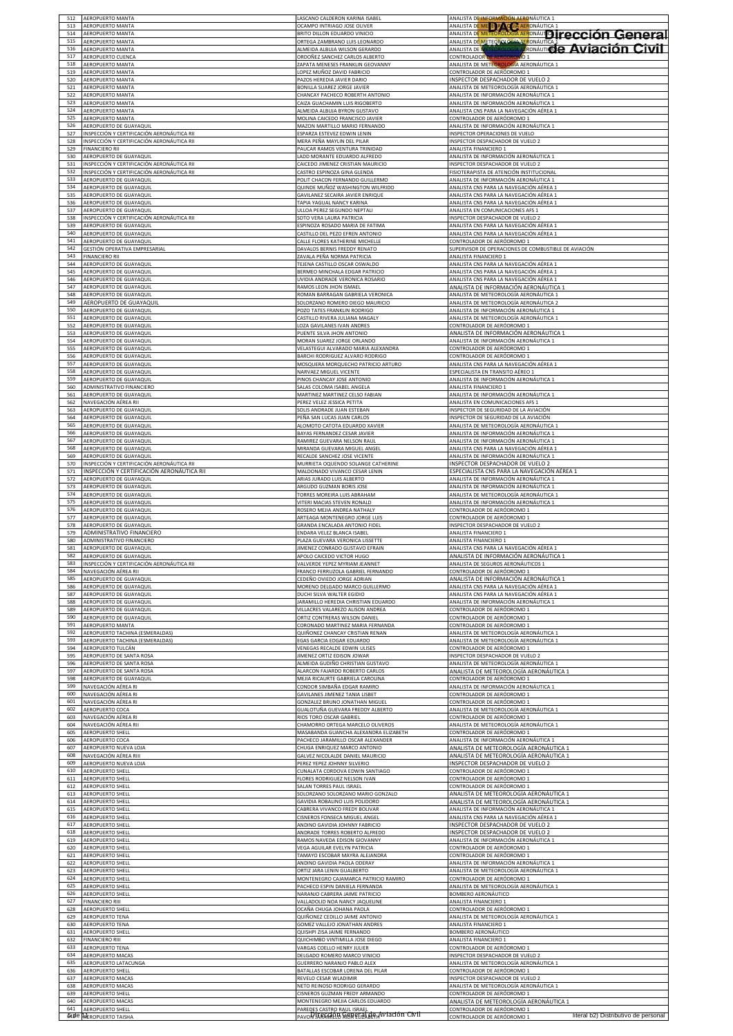| 513        | <b>AEROPUERTO MANTA</b><br><b>AEROPUERTO MANTA</b> | LASCANO CALDERON KARINA ISABEL<br>OCAMPO INTRIAGO JOSE OLIVER    | ANALISTA DE INFORMACIÓN AERONÁUTICA 1                                                                                       |
|------------|----------------------------------------------------|------------------------------------------------------------------|-----------------------------------------------------------------------------------------------------------------------------|
| 514        | <b>AEROPUERTO MANTA</b>                            | BRITO DILLON EDUARDO VINICIO                                     | <b>ANALISTA DE ME E DE Q ED AERONÁUTICA :<br/>ANALISTA DE METEOROLÓGIA AERONÁU DI FECCIÓN GENETAL</b>                       |
| 515        | <b>AEROPUERTO MANTA</b>                            | ORTEGA ZAMBRANO LUIS LEONARDO                                    | ANALISTA DE METEOROLOGÍA AERONÁUTICA                                                                                        |
| 516        | AEROPUERTO MANTA                                   | ALMEIDA ALBUJA WILSON GERARDO                                    | ANALISTA DE METEOROLOGÍA A ERONÁUTICIE AVIACIÓN CIVII                                                                       |
| 517        | AEROPUERTO CUENCA                                  | ORDOÑEZ SANCHEZ CARLOS ALBERTO                                   | <b>CONTROLADOR DE AERÓDROMO 1</b>                                                                                           |
| 518        | AEROPUERTO MANTA                                   | ZAPATA MENESES FRANKLIN GEOVANNY                                 | ANALISTA DE METEOROLOGÍA AERONÁUTICA 1                                                                                      |
| 519        | AEROPUERTO MANTA                                   | LOPEZ MUÑOZ DAVID FABRICIO                                       | CONTROLADOR DE AERÓDROMO 1                                                                                                  |
| 520        | AEROPUERTO MANTA                                   | PAZOS HEREDIA JAVIER DARIO                                       | INSPECTOR DESPACHADOR DE VUELO 2                                                                                            |
| 521        | <b>AEROPUERTO MANTA</b>                            | BONILLA SUAREZ JORGE JAVIER                                      | ANALISTA DE METEOROLOGÍA AERONÁUTICA 1                                                                                      |
| 522<br>523 | AEROPUERTO MANTA<br><b>AEROPUERTO MANTA</b>        | CHANCAY PACHECO ROBERTH ANTONIO                                  | ANALISTA DE INFORMACIÓN AERONÁUTICA 1                                                                                       |
| 524        | AEROPUERTO MANTA                                   | CAIZA GUACHAMIN LUIS RIGOBERTO<br>ALMEIDA ALBUJA BYRON GUSTAVO   | ANALISTA DE INFORMACIÓN AERONÁUTICA 1<br>ANALISTA CNS PARA LA NAVEGACIÓN AÉREA 1                                            |
| 525        | AEROPUERTO MANTA                                   | MOLINA CAICEDO FRANCISCO JAVIER                                  | CONTROLADOR DE AERÓDROMO 1                                                                                                  |
| 526        | AEROPUERTO DE GUAYAQUIL                            | MAZON MARTILLO MARIO FERNANDO                                    | ANALISTA DE INFORMACIÓN AERONÁUTICA 1                                                                                       |
| 527        | INSPECCIÓN Y CERTIFICACIÓN AERONÁUTICA RII         | ESPARZA ESTEVEZ EDWIN LENIN                                      | INSPECTOR OPERACIONES DE VUELO                                                                                              |
| 528        | INSPECCIÓN Y CERTIFICACIÓN AERONÁUTICA RII         | MERA PEÑA MAYLIN DEL PILAR                                       | INSPECTOR DESPACHADOR DE VUELO 2                                                                                            |
| 529        | <b>FINANCIERO RII</b>                              | PAUCAR RAMOS VENTURA TRINIDAD                                    | ANALISTA FINANCIERO 1                                                                                                       |
| 530        | AEROPUERTO DE GUAYAQUIL                            | LADD MORANTE EDUARDO ALFREDO                                     | ANALISTA DE INFORMACIÓN AERONÁUTICA 1                                                                                       |
| 531        | INSPECCIÓN Y CERTIFICACIÓN AERONÁUTICA RI          | CAICEDO JIMENEZ CRISTIAN MAURICIO                                | INSPECTOR DESPACHADOR DE VUELO 2                                                                                            |
| 532        | INSPECCIÓN Y CERTIFICACIÓN AERONÁUTICA RI          | CASTRO ESPINOZA GINA GLENDA                                      | FISIOTERAPISTA DE ATENCIÓN INSTITUCIONAL                                                                                    |
| 533        | AEROPUERTO DE GUAYAQUIL                            | POLIT CHACON FERNANDO GUILLERMO                                  | ANALISTA DE INFORMACIÓN AERONÁUTICA 1                                                                                       |
| 534        | AEROPUERTO DE GUAYAQUIL                            | QUINDE MUÑOZ WASHINGTON WILFRIDO                                 | ANALISTA CNS PARA LA NAVEGACIÓN AÉREA 1                                                                                     |
| 535        | AEROPUERTO DE GUAYAQUIL                            | GAVILANEZ SECAIRA JAVIER ENRIQUE                                 | ANALISTA CNS PARA LA NAVEGACIÓN AÉREA 1                                                                                     |
| 536        | AEROPUERTO DE GUAYAQUIL                            | TAPIA YAGUAL NANCY KARINA                                        | ANALISTA CNS PARA LA NAVEGACIÓN AÉREA 1                                                                                     |
| 537        | <b>AEROPUERTO DE GUAYAQUIL</b>                     | ULLOA PEREZ SEGUNDO NEPTALI                                      | ANALISTA EN COMUNICACIONES AFS 1                                                                                            |
| 538        | INSPECCIÓN Y CERTIFICACIÓN AERONÁUTICA RII         | SOTO VERA LAURA PATRICIA                                         | INSPECTOR DESPACHADOR DE VUELO 2                                                                                            |
| 539        | AEROPUERTO DE GUAYAQUIL                            | ESPINOZA ROSADO MARIA DE FATIMA                                  | ANALISTA CNS PARA LA NAVEGACIÓN AÉREA 1                                                                                     |
| 540        | AEROPUERTO DE GUAYAQUIL                            | CASTILLO DEL PEZO EFREN ANTONIO                                  | ANALISTA CNS PARA LA NAVEGACIÓN AÉREA 1                                                                                     |
| 541        | AEROPUERTO DE GUAYAQUIL                            | CALLE FLORES KATHERINE MICHELLE                                  | CONTROLADOR DE AERÓDROMO 1                                                                                                  |
| 542        | GESTIÓN OPERATIVA EMPRESARIAL                      | DAVALOS BERNIS FREDDY RENATO                                     | SUPERVISOR DE OPERACIONES DE COMBUSTIBLE DE AVIACIÓN                                                                        |
| 543        | <b>FINANCIERO RII</b>                              | ZAVALA PEÑA NORMA PATRICIA                                       | ANALISTA FINANCIERO 1                                                                                                       |
| 544        | AEROPUERTO DE GUAYAQUIL                            | TEJENA CASTILLO OSCAR OSWALDO                                    | ANALISTA CNS PARA LA NAVEGACIÓN AÉREA 1                                                                                     |
| 545        | AEROPUERTO DE GUAYAQUIL                            | BERMEO MINCHALA EDGAR PATRICIO                                   | ANALISTA CNS PARA LA NAVEGACIÓN AÉREA 1                                                                                     |
| 546        | AEROPUERTO DE GUAYAQUIL                            | UVIDIA ANDRADE VERONICA ROSARIO                                  | ANALISTA CNS PARA LA NAVEGACIÓN AÉREA 1                                                                                     |
| 547        | AEROPUERTO DE GUAYAQUIL                            | RAMOS LEON JHON ISMAEL                                           | ANALISTA DE INFORMACIÓN AERONÁUTICA 1                                                                                       |
| 548        | AEROPUERTO DE GUAYAQUIL                            | ROMAN BARRAGAN GABRIELA VERONICA                                 | ANALISTA DE METEOROLOGÍA AERONÁUTICA 1                                                                                      |
| 549        | AEROPUERTO DE GUAYAQUIL                            | <b>SOLORZANO ROMERO DIEGO MAURICIO</b>                           | ANALISTA DE METEOROLOGÍA AERONÁUTICA 2                                                                                      |
| 550        | AEROPUERTO DE GUAYAQUIL                            | POZO TATES FRANKLIN RODRIGO                                      | ANALISTA DE INFORMACIÓN AERONÁUTICA 1                                                                                       |
| 551        | AEROPUERTO DE GUAYAQUIL                            | CASTILLO RIVERA JULIANA MAGALY                                   | ANALISTA DE METEOROLOGÍA AERONÁUTICA 1                                                                                      |
| 552        | AEROPUERTO DE GUAYAQUIL                            | LOZA GAVILANES IVAN ANDRES                                       | CONTROLADOR DE AERÓDROMO 1                                                                                                  |
| 553        | AEROPUERTO DE GUAYAQUIL                            | PUENTE SILVA JHON ANTONIO                                        | ANALISTA DE INFORMACIÓN AERONÁUTICA 1                                                                                       |
| 554        | AEROPUERTO DE GUAYAQUIL                            | MORAN SUAREZ JORGE ORLANDO                                       | ANALISTA DE INFORMACIÓN AERONÁUTICA 1                                                                                       |
| 555        | AEROPUERTO DE GUAYAQUIL                            | VELASTEGUI ALVARADO MARIA ALEXANDRA                              | CONTROLADOR DE AERÓDROMO 1                                                                                                  |
| 556        | AEROPUERTO DE GUAYAQUIL                            | BARCHI RODRIGUEZ ALVARO RODRIGO                                  | CONTROLADOR DE AERÓDROMO 1                                                                                                  |
| 557        | AEROPUERTO DE GUAYAQUIL                            | MOSQUERA MORQUECHO PATRICIO ARTURO                               | ANALISTA CNS PARA LA NAVEGACIÓN AÉREA 1                                                                                     |
| 558        | AEROPUERTO DE GUAYAQUIL                            | NARVAEZ MIGUEL VICENTE                                           | ESPECIALISTA EN TRANSITO AÉREO 1                                                                                            |
| 559        | AEROPUERTO DE GUAYAQUIL                            | PINOS CHANCAY JOSE ANTONIO                                       | ANALISTA DE INFORMACIÓN AERONÁUTICA 1                                                                                       |
| 560        | ADMINISTRATIVO FINANCIERO                          | SALAS COLOMA ISABEL ANGELA                                       | ANALISTA FINANCIERO 1                                                                                                       |
| 561        | AEROPUERTO DE GUAYAQUIL                            | MARTINEZ MARTINEZ CELSO FABIAN                                   | ANALISTA DE INFORMACIÓN AERONÁUTICA 1                                                                                       |
| 562        | NAVEGACIÓN AÉREA RII                               | PEREZ VELEZ JESSICA PETITA                                       | ANALISTA EN COMUNICACIONES AFS 1                                                                                            |
| 563        | AEROPUERTO DE GUAYAQUIL                            | SOLIS ANDRADE JUAN ESTEBAN                                       | INSPECTOR DE SEGURIDAD DE LA AVIACIÓN                                                                                       |
| 564        | AEROPUERTO DE GUAYAQUIL                            | PEÑA SAN LUCAS JUAN CARLOS                                       | INSPECTOR DE SEGURIDAD DE LA AVIACIÓN                                                                                       |
| 565        | AEROPUERTO DE GUAYAQUIL                            | ALOMOTO CATOTA EDUARDO XAVIER                                    | ANALISTA DE METEOROLOGÍA AERONÁUTICA 1                                                                                      |
| 566        | AEROPUERTO DE GUAYAQUIL                            | BAYAS FERNANDEZ CESAR JAVIER                                     | ANALISTA DE INFORMACIÓN AERONÁUTICA 1                                                                                       |
| 567        | AEROPUERTO DE GUAYAQUIL                            | RAMIREZ GUEVARA NELSON RAUL                                      | ANALISTA DE INFORMACIÓN AERONÁUTICA 1                                                                                       |
| 568        | AEROPUERTO DE GUAYAQUIL                            | MIRANDA GUEVARA MIGUEL ANGE                                      | ANALISTA CNS PARA LA NAVEGACIÓN AÉREA :                                                                                     |
| 569        | AEROPUERTO DE GUAYAQUIL                            | RECALDE SANCHEZ JOSE VICENTE                                     | ANALISTA DE INFORMACIÓN AERONÁUTICA 1                                                                                       |
| 570        | INSPECCIÓN Y CERTIFICACIÓN AERONÁUTICA RI          | MURRIETA OQUENDO SOLANGE CATHERINE                               | INSPECTOR DESPACHADOR DE VUELO 2                                                                                            |
| 571        | INSPECCIÓN Y CERTIFICACIÓN AERONÁUTICA RII         | MALDONADO VIVANCO CESAR LENIN                                    | ESPECIALISTA CNS PARA LA NAVEGACIÓN AÉREA 1                                                                                 |
| 572        | AEROPUERTO DE GUAYAQUIL                            | ARIAS JURADO LUIS ALBERTO                                        | ANALISTA DE INFORMACIÓN AERONÁUTICA 1                                                                                       |
| 573        | AEROPUERTO DE GUAYAQUIL                            | ARGUDO GUZMAN BORIS JOSE                                         | ANALISTA DE INFORMACIÓN AERONÁUTICA 1                                                                                       |
| 574        | AEROPUERTO DE GUAYAQUIL                            | TORRES MOREIRA LUIS ABRAHAM                                      | ANALISTA DE METEOROLOGÍA AERONÁUTICA 1                                                                                      |
| 575        | AEROPUERTO DE GUAYAQUIL                            | VITERI MACIAS STEVEN RONALD                                      | ANALISTA DE INFORMACIÓN AERONÁUTICA 1                                                                                       |
| 576        | AEROPUERTO DE GUAYAQUIL                            | ROSERO MEJIA ANDREA NATHALY                                      | CONTROLADOR DE AERÓDROMO 1                                                                                                  |
| 577        | AEROPUERTO DE GUAYAQUIL                            | ARTEAGA MONTENEGRO JORGE LUIS                                    | CONTROLADOR DE AERÓDROMO 1                                                                                                  |
| 578        | AEROPUERTO DE GUAYAQUIL                            | GRANDA ENCALADA ANTONIO FIDEL                                    | INSPECTOR DESPACHADOR DE VUELO 2                                                                                            |
| 579        | ADMINISTRATIVO FINANCIERO                          | ENDARA VELEZ BLANCA ISABEL                                       | ANALISTA FINANCIERO 1                                                                                                       |
| 580        | ADMINISTRATIVO FINANCIERO                          | PLAZA GUEVARA VERONICA LISSETTE                                  | ANALISTA FINANCIERO 1                                                                                                       |
| 581        | AEROPUERTO DE GUAYAQUIL                            | IIMENEZ CONRADO GUSTAVO EFRAIN<br>APOLO CAICEDO VICTOR HUGO      | ANALISTA CNS PARA LA NAVEGACIÓN AÉREA :<br>ANALISTA DE INFORMACIÓN AERONÁUTICA 1                                            |
| 582        | AEROPUERTO DE GUAYAQUIL                            |                                                                  |                                                                                                                             |
| 583        | INSPECCIÓN Y CERTIFICACIÓN AERONÁUTICA RII         | VALVERDE YEPEZ MYRIAM JEANNET                                    | ANALISTA DE SEGUROS AERONÁUTICOS 1                                                                                          |
| 584        | NAVEGACIÓN AÉREA RII                               | FRANCO FERRUZOLA GABRIEL FERNANDO                                | CONTROLADOR DE AERÓDROMO 1                                                                                                  |
| 585        | AEROPUERTO DE GUAYAQUIL                            | CEDEÑO OVIEDO JORGE ADRIAN                                       | ANALISTA DE INFORMACIÓN AERONÁUTICA 1                                                                                       |
| 586        | AEROPUERTO DE GUAYAQUIL                            | MORENO DELGADO MARCO GUILLERMO                                   |                                                                                                                             |
| 587<br>588 | AEROPUERTO DE GUAYAQUIL<br>AEROPUERTO DE GUAYAQUIL | DUCHI SILVA WALTER EGIDIO<br>JARAMILLO HEREDIA CHRISTIAN EDUARDO | ANALISTA CNS PARA LA NAVEGACIÓN AÉREA 1<br>ANALISTA CNS PARA LA NAVEGACIÓN AÉREA 1<br>ANALISTA DE INFORMACIÓN AERONÁUTICA 1 |
| 589        | AEROPUERTO DE GUAYAQUIL                            | VILLACRES VALAREZO ALISON ANDREA                                 | CONTROLADOR DE AERÓDROMO 1                                                                                                  |
| 590        | AEROPUERTO DE GUAYAQUIL                            | ORTIZ CONTRERAS WILSON DANIEL                                    | CONTROLADOR DE AERÓDROMO 1                                                                                                  |
| 591        | AEROPUERTO MANTA                                   | CORONADO MARTINEZ MARIA FERNANDA                                 | CONTROLADOR DE AERÓDROMO 1                                                                                                  |
| 592        | AEROPUERTO TACHINA (ESMERALDAS                     | QUIÑONEZ CHANCAY CRISTIAN RENAN                                  | ANALISTA DE METEOROLOGÍA AERONÁUTICA 1                                                                                      |
| 593        | AEROPUERTO TACHINA (ESMERALDAS)                    | EGAS GARCIA EDGAR EDUARDO                                        | ANALISTA DE METEOROLOGÍA AERONÁUTICA 1                                                                                      |
| 594        | AEROPUERTO TULCÁN                                  | VENEGAS RECALDE EDWIN ULISES                                     | CONTROLADOR DE AERÓDROMO 1                                                                                                  |
| 595        | AEROPUERTO DE SANTA ROSA                           | JIMENEZ ORTIZ EDISON JOWAR                                       | INSPECTOR DESPACHADOR DE VUELO 2                                                                                            |
| 596        | AEROPUERTO DE SANTA ROSA                           | ALMEIDA GUDIÑO CHRISTIAN GUSTAVO                                 | ANALISTA DE METEOROLOGÍA AERONÁUTICA 1                                                                                      |
| 597        | AEROPUERTO DE SANTA ROSA                           | ALARCON FAJARDO ROBERTO CARLOS                                   | ANALISTA DE METEOROLOGÍA AERONÁUTICA 1                                                                                      |
| 598        | AEROPUERTO DE GUAYAQUIL                            | MEJIA RICAURTE GABRIELA CAROLINA                                 | CONTROLADOR DE AERÓDROMO 1                                                                                                  |
| 599        | NAVEGACIÓN AÉREA RI                                | CONDOR SIMBAÑA EDGAR RAMIRO                                      | ANALISTA DE INFORMACIÓN AERONÁUTICA 1                                                                                       |
| 600        | NAVEGACIÓN AÉREA RI                                | GAVILANES JIMENEZ TANIA LISBET                                   | CONTROLADOR DE AERÓDROMO 1                                                                                                  |
| 601        | NAVEGACIÓN AÉREA RI                                | GONZALEZ BRUNO JONATHAN MIGUEL                                   | CONTROLADOR DE AERÓDROMO 1                                                                                                  |
| 602        | AEROPUERTO COCA                                    | GUALOTUÑA GUEVARA FREDDY ALBERTO                                 | ANALISTA DE METEOROLOGÍA AERONÁUTICA 1                                                                                      |
| 603        | NAVEGACIÓN AÉREA RI                                | RIOS TORO OSCAR GABRIEL                                          | CONTROLADOR DE AERÓDROMO 1                                                                                                  |
| 604        | NAVEGACIÓN AÉREA RII                               | CHAMORRO ORTEGA MARCELO OLIVEROS                                 | ANALISTA DE METEOROLOGÍA AERONÁUTICA 1                                                                                      |
| 605        | AEROPUERTO SHELI                                   | MASABANDA GUANCHA ALEXANDRA ELIZABETH                            | CONTROLADOR DE AERÓDROMO                                                                                                    |
| 606        | AEROPUERTO COCA                                    | PACHECO JARAMILLO OSCAR ALEXANDER                                | ANALISTA DE INFORMACIÓN AERONÁUTICA 1                                                                                       |
| 607        | AEROPUERTO NUEVA LOJA                              | CHUGA ENRIQUEZ MARCO ANTONIO                                     | ANALISTA DE METEOROLOGÍA AERONÁUTICA 1                                                                                      |
| 608        | NAVEGACIÓN AÉREA RIII                              | GALVEZ NICOLALDE DANIEL MAURICIO                                 | ANALISTA DE METEOROLOGÍA AERONÁUTICA 1                                                                                      |
| 609        | AEROPUERTO NUEVA LOJA                              | PEREZ YEPEZ JOHNNY SILVERIO                                      | INSPECTOR DESPACHADOR DE VUELO 2                                                                                            |
| 610        | <b>AEROPUERTO SHELL</b>                            | CUNALATA CORDOVA EDWIN SANTIAGO                                  | CONTROLADOR DE AERÓDROMO 1                                                                                                  |
| 611        | AEROPUERTO SHELL                                   | FLORES RODRIGUEZ NELSON IVAN                                     | CONTROLADOR DE AERÓDROMO 1                                                                                                  |
| 612        | AEROPUERTO SHELL                                   | SALAN TORRES PAUL ISRAEL                                         | CONTROLADOR DE AERÓDROMO 1                                                                                                  |
| 613        | AEROPUERTO SHELL                                   | SOLORZANO SOLORZANO MARIO GONZALO                                | ANALISTA DE METEOROLOGÍA AERONÁUTICA 1                                                                                      |
| 614        | AEROPUERTO SHELL                                   | GAVIDIA ROBALINO LUIS POLIDORO                                   | ANALISTA DE METEOROLOGÍA AERONÁUTICA 1                                                                                      |
| 615        | AEROPUERTO SHELL                                   | CABRERA VIVANCO FREDY BOLIVAR                                    | ANALISTA DE INFORMACIÓN AERONÁUTICA 1                                                                                       |
| 616        | AEROPUERTO SHELL                                   | CISNEROS FONSECA MIGUEL ANGEL                                    | ANALISTA CNS PARA LA NAVEGACIÓN AÉREA 1                                                                                     |
| 617        | AEROPUERTO SHELI                                   | ANDINO GAVIDIA JOHNNY FABRICIO                                   | INSPECTOR DESPACHADOR DE VUELO 2                                                                                            |
| 618        | <b>AEROPUERTO SHELL</b>                            | ANDRADE TORRES ROBERTO ALFREDO                                   | INSPECTOR DESPACHADOR DE VUELO 2                                                                                            |
| 619        | AEROPUERTO SHELL                                   | RAMOS NAVEDA EDISON GIOVANNY                                     | ANALISTA DE INFORMACIÓN AERONÁUTICA 1                                                                                       |
| 620        | AEROPUERTO SHELL                                   | VEGA AGUILAR EVELYN PATRICIA                                     | CONTROLADOR DE AERÓDROMO 1                                                                                                  |
| 621        | AEROPUERTO SHELL                                   | TAMAYO ESCOBAR MAYRA ALEJANDRA                                   | CONTROLADOR DE AERÓDROMO 1                                                                                                  |
| 622        | <b>AEROPUERTO SHELL</b>                            | ANDINO GAVIDIA PAOLA ODERAY                                      | ANALISTA DE INFORMACIÓN AERONÁUTICA 1                                                                                       |
| 623        | AEROPUERTO SHELL                                   | ORTIZ JARA LENIN GUALBERTO                                       | ANALISTA DE METEOROLOGÍA AERONÁUTICA 1                                                                                      |
| 624        | AEROPUERTO SHELL                                   | MONTENEGRO CAJAMARCA PATRICIO RAMIRO                             | CONTROLADOR DE AERÓDROMO 1                                                                                                  |
| 625        | AEROPUERTO SHELL                                   | PACHECO ESPIN DANIELA FERNANDA                                   | ANALISTA DE METEOROLOGÍA AERONÁUTICA 1                                                                                      |
| 626        | AEROPUERTO SHELL                                   | NARANJO CABRERA JAIME PATRICIO                                   | BOMBERO AERONÁUTICO                                                                                                         |
| 627        | <b>FINANCIERO RIII</b>                             | VALLADOLID NOA NANCY JAQUELINE                                   | ANALISTA FINANCIERO 1                                                                                                       |
| 628        | <b>AEROPUERTO SHELL</b>                            | OCAÑA CHUGA JOHANA PAOLA                                         | CONTROLADOR DE AERÓDROMO 1                                                                                                  |
| 629        | AEROPUERTO TENA                                    | QUIÑONEZ CEDILLO JAIME ANTONIO                                   | ANALISTA DE METEOROLOGÍA AERONÁUTICA 1                                                                                      |
| 630        | <b>AEROPUERTO TENA</b>                             | GOMEZ VALLEJO JONATHAN ANDRES                                    | ANALISTA FINANCIERO 1                                                                                                       |
| 631        | AEROPUERTO SHELL                                   | QUISHPI ZISA JAIME FERNANDO                                      | BOMBERO AERONÁUTICO                                                                                                         |
| 632        | <b>FINANCIERO RIII</b>                             | QUICHIMBO VINTIMILLA JOSE DIEGO                                  | ANALISTA FINANCIERO 1                                                                                                       |
| 633        | AEROPUERTO TENA                                    | VARGAS COELLO HENRY JULIER                                       | CONTROLADOR DE AERÓDROMO 1                                                                                                  |
| 634        | AEROPUERTO MACAS                                   | DELGADO ROMERO MARCO VINICIO                                     | INSPECTOR DESPACHADOR DE VUELO 2                                                                                            |
| 635        | AEROPUERTO LATACUNGA                               | GUERRERO NARANJO PABLO ALEX                                      | ANALISTA DE METEOROLOGÍA AERONÁUTICA 1                                                                                      |
| 636        | <b>AEROPUERTO SHELL</b>                            | BATALLAS ESCOBAR LORENA DEL PILAR                                | CONTROLADOR DE AERÓDROMO 1                                                                                                  |
| 637        | <b>AEROPUERTO MACAS</b>                            | REVELO CESAR WLADIMIR                                            | INSPECTOR DESPACHADOR DE VUELO 2                                                                                            |
| 638        | AEROPUERTO MACAS                                   | NETO REINOSO RODRIGO GERARDO                                     | ANALISTA DE METEOROLOGÍA AERONÁUTICA 1                                                                                      |
| 639        | <b>AEROPUERTO SHELL</b>                            | CISNEROS GUZMAN FREDY ARMANDO                                    | CONTROLADOR DE AERÓDROMO 1                                                                                                  |
| 640        | AEROPUERTO MACAS                                   | MONTENEGRO MEJIA CARLOS EDUARDO                                  | ANALISTA DE METEOROLOGÍA AERONÁUTICA 1                                                                                      |
| 641        | <b>AEROPUERTO SHELL</b>                            | PAREDES CASTRO RAUL ISRAEL                                       | CONTROLADOR DE AERÓDROMO 1                                                                                                  |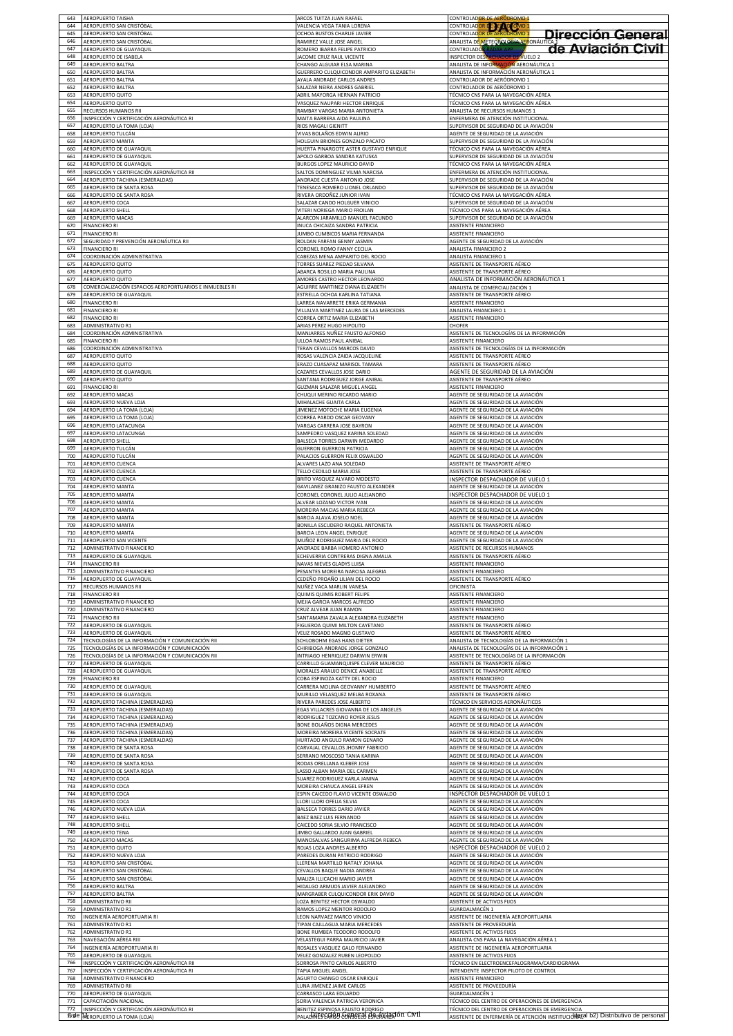| 643               | AEROPUERTO TAISHA                                                       | ARCOS TUITZA JUAN RAFAEL                                                                       | CONTROLADOR DE AERÓDROMO 1                                                                                   |
|-------------------|-------------------------------------------------------------------------|------------------------------------------------------------------------------------------------|--------------------------------------------------------------------------------------------------------------|
| 644               | AEROPUERTO SAN CRISTÓBAL                                                | VALENCIA VEGA TANIA LORENA                                                                     | CONTROLADOR DE AE LOROMO 1                                                                                   |
| 645<br>646        | AEROPUERTO SAN CRISTÓBAL<br>AEROPUERTO SAN CRISTÓBAL                    | OCHOA BUSTOS CHARLIE JAVIER<br>RAMIREZ VALLE JOSE ANGEL                                        | CONTROLADOR DE AERÓDROMO 1<br>Dirección General<br>ANALISTA DE METEOROLOGÍA AERONÁUTICA                      |
| 647<br>648        | AEROPUERTO DE GUAYAQUIL<br>AEROPUERTO DE ISABELA                        | ROMERO IBARRA FELIPE PATRICIO<br><b>IACOME CRUZ RAUL VICENTE</b>                               | de Aviación Civil<br><b>CONTROLADOR RADAR APP</b><br><b>INSPECTOR DESPACHADOR DE VUELO 2</b>                 |
| 649               | AEROPUERTO BALTRA                                                       | CHANGO ALGUIAR ELSA MARINA                                                                     | ANALISTA DE INFORMACIÓN AERONÁUTICA 1                                                                        |
| 650               | AEROPUERTO BALTRA                                                       | <b>SUERRERO CULQUICONDOR AMPARITO ELIZABETH</b>                                                | ANALISTA DE INFORMACIÓN AERONÁUTICA 1                                                                        |
| 651               | AEROPUERTO BALTRA                                                       | YALA ANDRADE CARLOS ANDRES                                                                     | CONTROLADOR DE AERÓDROMO 1                                                                                   |
| 652               | AEROPUERTO BALTRA                                                       | ALAZAR NEIRA ANDRES GABRIEL                                                                    | CONTROLADOR DE AERÓDROMO 1                                                                                   |
| 653               | AEROPUERTO QUITO                                                        | ABRIL MAYORGA HERNAN PATRICIO                                                                  | TÉCNICO CNS PARA LA NAVEGACIÓN AÉREA                                                                         |
| 654               | AEROPUERTO QUITO                                                        | VASQUEZ NAUPARI HECTOR ENRIQUE                                                                 | TÉCNICO CNS PARA LA NAVEGACIÓN AÉREA                                                                         |
| 655               | RECURSOS HUMANOS RII                                                    | RAMBAY VARGAS MARIA ANTONIETA                                                                  | ANALISTA DE RECURSOS HUMANOS 1                                                                               |
| 656               | INSPECCIÓN Y CERTIFICACIÓN AERONÁUTICA RI                               | MAITA BARRERA AIDA PAULINA                                                                     | ENFERMERA DE ATENCIÓN INSTITUCIONAL                                                                          |
| 657               | AEROPUERTO LA TOMA (LOJA)                                               | RIOS MAGALI GIENITT                                                                            | SUPERVISOR DE SEGURIDAD DE LA AVIACIÓN                                                                       |
| 658               | AEROPUERTO TULCÁN                                                       | VIVAS BOLAÑOS EDWIN ALIRIO                                                                     | AGENTE DE SEGURIDAD DE LA AVIACIÓN                                                                           |
| 659               | AEROPUERTO MANTA                                                        | HOLGUIN BRIONES GONZALO PACATO                                                                 | SUPERVISOR DE SEGURIDAD DE LA AVIACIÓN                                                                       |
| 660               | AEROPUERTO DE GUAYAQUII                                                 | HUERTA PINARGOTE ASTER GUSTAVO ENRIQUE                                                         | TÉCNICO CNS PARA LA NAVEGACIÓN AÉREA                                                                         |
| 661               | AEROPUERTO DE GUAYAQUIL                                                 | APOLO GARBOA SANDRA KATUSKA                                                                    | SUPERVISOR DE SEGURIDAD DE LA AVIACIÓN                                                                       |
| 662               | AEROPUERTO DE GUAYAQUIL                                                 | BURGOS LOPEZ MAURICIO DAVID                                                                    | TÉCNICO CNS PARA LA NAVEGACIÓN AÉREA                                                                         |
| 663               | INSPECCIÓN Y CERTIFICACIÓN AERONÁUTICA RII                              | SALTOS DOMINGUEZ VILMA NARCISA                                                                 | ENFERMERA DE ATENCIÓN INSTITUCIONAL                                                                          |
| 664               | AEROPUERTO TACHINA (ESMERALDAS)                                         | ANDRADE CUESTA ANTONIO JOSE                                                                    | SUPERVISOR DE SEGURIDAD DE LA AVIACIÓN                                                                       |
| 665               | AEROPUERTO DE SANTA ROSA                                                | <b>FENESACA ROMERO LIONEL ORLANDO</b>                                                          | SUPERVISOR DE SEGURIDAD DE LA AVIACIÓN                                                                       |
| 666               | AEROPUERTO DE SANTA ROSA                                                | RIVERA ORDOÑEZ JUNIOR IVAN                                                                     | TÉCNICO CNS PARA LA NAVEGACIÓN AÉREA                                                                         |
| 667               | AEROPUERTO COCA                                                         | SALAZAR CANDO HOLGUER VINICIO                                                                  | SUPERVISOR DE SEGURIDAD DE LA AVIACIÓN                                                                       |
| 668               | AEROPUERTO SHELL                                                        | VITERI NORIEGA MARIO FROILAN                                                                   | TÉCNICO CNS PARA LA NAVEGACIÓN AÉREA                                                                         |
| 669               | AEROPUERTO MACAS                                                        | ALARCON JARAMILLO MANUEL FACUNDO                                                               | SUPERVISOR DE SEGURIDAD DE LA AVIACIÓN                                                                       |
| 670               | <b>FINANCIERO RI</b>                                                    | <b>NUCA CHICAIZA SANDRA PATRICIA</b>                                                           | ASISTENTE FINANCIERO                                                                                         |
| 671               | <b>FINANCIERO RI</b>                                                    | <b>IUMBO CUMBICOS MARIA FERNANDA</b>                                                           | ASISTENTE FINANCIERO                                                                                         |
| 672<br>673        | SEGURIDAD Y PREVENCIÓN AERONÁUTICA RII<br><b>FINANCIERO RI</b>          | ROLDAN FARFAN GENNY JASMIN                                                                     | AGENTE DE SEGURIDAD DE LA AVIACIÓN                                                                           |
| 674               | COORDINACIÓN ADMINISTRATIVA                                             | CORONEL ROMO FANNY CECILIA<br>ABEZAS MENA AMPARITO DEL ROCIO                                   | ANALISTA FINANCIERO 2<br>ANALISTA FINANCIERO 1                                                               |
| 675               | <b>AEROPUERTO QUITO</b>                                                 | ORRES SUAREZ PIEDAD SILVANA                                                                    | ASISTENTE DE TRANSPORTE AÉREO                                                                                |
| 676               | AEROPUERTO QUITO                                                        | BARCA ROSILLO MARIA PAULINA                                                                    | ASISTENTE DE TRANSPORTE AÉREO                                                                                |
| 677               | AEROPUERTO QUITO                                                        | MORES CASTRO HECTOR LEONARDO                                                                   | ANALISTA DE INFORMACIÓN AERONÁUTICA 1                                                                        |
| 678               | COMERCIALIZACIÓN ESPACIOS AEROPORTUARIOS E INMUEBLES RI                 | <b>GUIRRE MARTINEZ DIANA ELIZABETH</b>                                                         | ANALISTA DE COMERCIALIZACIÓN 1                                                                               |
| 679               | AEROPUERTO DE GUAYAQUIL                                                 | <b>ESTRELLA OCHOA KARLINA TATIANA</b>                                                          | ASISTENTE DE TRANSPORTE AÉREO                                                                                |
| 680               | <b>FINANCIERO RI</b>                                                    | LARREA NAVARRETE ERIKA GERMANIA                                                                | ASISTENTE FINANCIERO                                                                                         |
| 681               | <b>FINANCIERO RI</b>                                                    | VILLALVA MARTINEZ LAURA DE LAS MERCEDES                                                        | ANALISTA FINANCIERO 1                                                                                        |
| 682               | FINANCIERO RI                                                           | CORREA ORTIZ MARIA ELIZABETH                                                                   | ASISTENTE FINANCIERO                                                                                         |
| 683<br>684<br>685 | ADMINISTRATIVO R1<br>COORDINACIÓN ADMINISTRATIVA                        | ARIAS PEREZ HUGO HIPOLITO<br>MANJARRES NUÑEZ FAUSTO ALFONSO                                    | CHOFER<br>ASISTENTE DE TECNOLOGÍAS DE LA INFORMACIÓN                                                         |
| 686<br>687        | FINANCIERO RI<br>COORDINACIÓN ADMINISTRATIVA<br><b>AEROPUERTO QUITO</b> | ULLOA RAMOS PAUL ANIBAI<br>TERAN CEVALLOS MARCOS DAVID<br>ROSAS VALENCIA ZAIDA JACQUELINE      | ASISTENTE FINANCIERO<br>ASISTENTE DE TECNOLOGÍAS DE LA INFORMACIÓN<br>ASISTENTE DE TRANSPORTE AÉREO          |
| 688               | AEROPUERTO QUITO                                                        | RAZO CUASAPAZ MARISOL TAMARA                                                                   | ASISTENTE DE TRANSPORTE AÉREO                                                                                |
| 689               | AEROPUERTO DE GUAYAQUIL                                                 | AZARES CEVALLOS JOSE DARIO                                                                     | AGENTE DE SEGURIDAD DE LA AVIACIÓN                                                                           |
| 690               | AEROPUERTO QUITO                                                        | ANTANA RODRIGUEZ JORGE ANIBAL                                                                  | ASISTENTE DE TRANSPORTE AÉREO                                                                                |
| 691               | <b>FINANCIERO RI</b>                                                    | GUZMAN SALAZAR MIGUEL ANGEL                                                                    | ASISTENTE FINANCIERO                                                                                         |
| 692               | AEROPUERTO MACAS                                                        | CHUQUI MERINO RICARDO MARIO                                                                    | AGENTE DE SEGURIDAD DE LA AVIACIÓN                                                                           |
| 693               | AEROPUERTO NUEVA LOJA                                                   | MIHALACHE GUAITA CARLA                                                                         | AGENTE DE SEGURIDAD DE LA AVIACIÓN                                                                           |
| 694               | AEROPUERTO LA TOMA (LOJA)                                               | JIMENEZ MOTOCHE MARIA EUGENIA                                                                  | AGENTE DE SEGURIDAD DE LA AVIACIÓN                                                                           |
| 695               | AEROPUERTO LA TOMA (LOJA)                                               | CORREA PARDO OSCAR GEOVANY                                                                     | AGENTE DE SEGURIDAD DE LA AVIACIÓN                                                                           |
| 696               | AEROPUERTO LATACUNGA                                                    | <b>VARGAS CARRERA JOSE BAYRON</b>                                                              | AGENTE DE SEGURIDAD DE LA AVIACIÓN                                                                           |
| 697               | AEROPUERTO LATACUNGA                                                    | SAMPEDRO VASQUEZ KARINA SOLEDAD                                                                | AGENTE DE SEGURIDAD DE LA AVIACIÓN                                                                           |
| 698               | AEROPUERTO SHELL                                                        | BALSECA TORRES DARWIN MEDARDO                                                                  | AGENTE DE SEGURIDAD DE LA AVIACIÓN                                                                           |
| 699               | AEROPUERTO TULCÁN                                                       | <b>SUERRON GUERRON PATRICIA</b>                                                                | AGENTE DE SEGURIDAD DE LA AVIACIÓN                                                                           |
| 700               | AEROPUERTO TULCÁN                                                       | PALACIOS GUERRON FELIX OSWALDO                                                                 | AGENTE DE SEGURIDAD DE LA AVIACIÓN                                                                           |
| 701               | AEROPUERTO CUENCA                                                       | ALVARES LAZO ANA SOLEDAD                                                                       | ASISTENTE DE TRANSPORTE AÉREO                                                                                |
| 702               | AEROPUERTO CUENCA                                                       | ELLO CEDILLO MARIA JOSE                                                                        | ASISTENTE DE TRANSPORTE AÉREO                                                                                |
| 703               | AEROPUERTO CUENCA                                                       | BRITO VASQUEZ ALVARO MODESTO                                                                   | INSPECTOR DESPACHADOR DE VUELO 1                                                                             |
| 704               | AEROPUERTO MANTA                                                        | GAVILANEZ GRANIZO FAUSTO ALEXANDER                                                             | AGENTE DE SEGURIDAD DE LA AVIACIÓN                                                                           |
| 705               | <b>AEROPUERTO MANTA</b>                                                 | CORONEL CORONEL JULIO ALEJANDRO                                                                | INSPECTOR DESPACHADOR DE VUELO 1                                                                             |
| 706               | AEROPUERTO MANTA                                                        | ALVEAR LOZANO VICTOR IVAN                                                                      | AGENTE DE SEGURIDAD DE LA AVIACIÓN                                                                           |
| 707               | AEROPUERTO MANTA                                                        | MOREIRA MACIAS MARIA REBECA                                                                    | AGENTE DE SEGURIDAD DE LA AVIACIÓN                                                                           |
| 708               | AEROPUERTO MANTA                                                        | BARCIA ALAVA JOSELO NOEI                                                                       | AGENTE DE SEGURIDAD DE LA AVIACIÓN                                                                           |
| 709               | AEROPUERTO MANTA                                                        | BONILLA ESCUDERO RAQUEL ANTONIETA                                                              | ASISTENTE DE TRANSPORTE AÉREO                                                                                |
| 710               | AEROPUERTO MANTA                                                        | <b>BARCIA LEON ANGEL ENRIQUE</b>                                                               | AGENTE DE SEGURIDAD DE LA AVIACIÓN                                                                           |
| 711               | AEROPUERTO SAN VICENTE                                                  | MUÑOZ RODRIGUEZ MARIA DEL ROCIO                                                                | AGENTE DE SEGURIDAD DE LA AVIACIÓN                                                                           |
| 712               | ADMINISTRATIVO FINANCIERO                                               | ANDRADE BARBA HOMERO ANTONIO                                                                   | ASISTENTE DE RECURSOS HUMANOS                                                                                |
| 713               | AEROPUERTO DE GUAYAQUIL                                                 | CHEVERRIA CONTRERAS DIGNA AMALIA                                                               | ASISTENTE DE TRANSPORTE AÉREO                                                                                |
| 714               | <b>FINANCIERO RII</b>                                                   | NAVAS NIEVES GLADYS LUISA                                                                      | ASISTENTE FINANCIERO                                                                                         |
| 715               | ADMINISTRATIVO FINANCIERO                                               | PESANTES MOREIRA NARCISA ALEGRIA                                                               | ASISTENTE FINANCIERO                                                                                         |
| 716               | AEROPUERTO DE GUAYAQUIL                                                 | CEDEÑO PROAÑO LILIAN DEL ROCIO                                                                 | ASISTENTE DE TRANSPORTE AÉREO                                                                                |
| 717               | RECURSOS HUMANOS RII                                                    | NUÑEZ VACA MARLIN VANESA                                                                       | OFICINISTA                                                                                                   |
| 718               | <b>FINANCIERO RII</b>                                                   | QUIMIS QUIMIS ROBERT FELIPE                                                                    | ASISTENTE FINANCIERO                                                                                         |
| 719               | ADMINISTRATIVO FINANCIERO                                               | MEJIA GARCIA MARCOS ALFREDO                                                                    | <b>ASISTENTE FINANCIERO</b>                                                                                  |
| 720               | ADMINISTRATIVO FINANCIERO                                               | CRUZ ALVEAR JUAN RAMON                                                                         | ASISTENTE FINANCIERO                                                                                         |
| 721               | <b>FINANCIERO RII</b>                                                   | SANTAMARIA ZAVALA ALEXANDRA ELIZABETH                                                          | ASISTENTE FINANCIERO                                                                                         |
| 722               | AEROPUERTO DE GUAYAQUIL                                                 | <b>IGUEROA QUIMI MILTON CAYETANO</b>                                                           | ASISTENTE DE TRANSPORTE AÉREO                                                                                |
| 723               | AEROPUERTO DE GUAYAQUIL                                                 | VELIZ ROSADO MAGNO GUSTAVO                                                                     | ASISTENTE DE TRANSPORTE AÉREO                                                                                |
| 724               | TECNOLOGÍAS DE LA INFORMACIÓN Y COMUNICACIÓN RII                        | CHLOBOHM EGAS HANS DIETER                                                                      | ANALISTA DE TECNOLOGÍAS DE LA INFORMACIÓN 1                                                                  |
| 725               | TECNOLOGÍAS DE LA INFORMACIÓN Y COMUNICACIÓN                            | HIRIBOGA ANDRADE JORGE GONZALO                                                                 | ANALISTA DE TECNOLOGÍAS DE LA INFORMACIÓN 1                                                                  |
| 726               | TECNOLOGÍAS DE LA INFORMACIÓN Y COMUNICACIÓN RII                        | NTRIAGO HENRIQUEZ DARWIN ERWIN                                                                 | ASISTENTE DE TECNOLOGÍAS DE LA INFORMACIÓN                                                                   |
| 727               | AEROPUERTO DE GUAYAQUIL                                                 | ARRILLO GUAMANQUISPE CLEVER MAURICIO                                                           | ASISTENTE DE TRANSPORTE AÉREO                                                                                |
| 728               | AEROPUERTO DE GUAYAQUIL                                                 | MORALES ARAUJO DENICE ANABELLE                                                                 | ASISTENTE DE TRANSPORTE AÉREO                                                                                |
| 729               | <b>FINANCIERO RII</b>                                                   | COBA ESPINOZA KATTY DEL ROCIO                                                                  | ASISTENTE FINANCIERO                                                                                         |
| 730               | AEROPUERTO DE GUAYAQUIL                                                 | CARRERA MOLINA GEOVANNY HUMBERTO                                                               | ASISTENTE DE TRANSPORTE AÉREO                                                                                |
| 731               | AEROPUERTO DE GUAYAQUIL                                                 | MURILLO VELASQUEZ MELBA ROXANA                                                                 | ASISTENTE DE TRANSPORTE AÉREO                                                                                |
| 732               | AEROPUERTO TACHINA (ESMERALDAS)                                         | <b>IVERA PAREDES JOSE ALBERTO</b>                                                              | TÉCNICO EN SERVICIOS AERONÁUTICOS                                                                            |
| 733               | AEROPUERTO TACHINA (ESMERALDAS                                          | GAS VILLACRES GIOVANNA DE LOS ANGELES                                                          | AGENTE DE SEGURIDAD DE LA AVIACIÓN                                                                           |
| 734               | AEROPUERTO TACHINA (ESMERALDAS)                                         | RODRIGUEZ TOZCANO ROYER JESUS                                                                  | AGENTE DE SEGURIDAD DE LA AVIACIÓN                                                                           |
| 735               | AEROPUERTO TACHINA (ESMERALDAS)                                         | BONE BOLAÑOS DIGNA MERCEDES                                                                    | AGENTE DE SEGURIDAD DE LA AVIACIÓN                                                                           |
| 736               | AEROPUERTO TACHINA (ESMERALDAS)                                         | MOREIRA MOREIRA VICENTE SOCRATE                                                                | AGENTE DE SEGURIDAD DE LA AVIACIÓN                                                                           |
| 737               | AEROPUERTO TACHINA (ESMERALDAS)                                         | HURTADO ANGULO RAMON GENARO                                                                    | AGENTE DE SEGURIDAD DE LA AVIACIÓN                                                                           |
| 738               | AEROPUERTO DE SANTA ROSA                                                | ARVAJAL CEVALLOS JHONNY FABRICIO                                                               | AGENTE DE SEGURIDAD DE LA AVIACIÓN                                                                           |
| 739<br>740<br>741 | AEROPUERTO DE SANTA ROSA<br>AEROPUERTO DE SANTA ROSA                    | SERRANO MOSCOSO TANIA KARINA<br><b>RODAS ORELLANA KLEBER JOSE</b>                              | AGENTE DE SEGURIDAD DE LA AVIACIÓN<br>AGENTE DE SEGURIDAD DE LA AVIACIÓN                                     |
| 742               | AEROPUERTO DE SANTA ROSA                                                | LASSO ALBAN MARIA DEL CARMEN                                                                   | AGENTE DE SEGURIDAD DE LA AVIACIÓN                                                                           |
| 743               | AEROPUERTO COCA                                                         | SUAREZ RODRIGUEZ KARLA JANINA                                                                  | AGENTE DE SEGURIDAD DE LA AVIACIÓN                                                                           |
| 744<br>745        | AEROPUERTO COCA<br>AEROPUERTO COCA<br>AEROPUERTO COCA                   | MOREIRA CHAUCA ANGEL EFREN<br>ESPIN CAICEDO FLAVIO VICENTE OSWALDO<br>LORI LLORI OFELIA SILVIA | AGENTE DE SEGURIDAD DE LA AVIACIÓN<br>INSPECTOR DESPACHADOR DE VUELO 1<br>AGENTE DE SEGURIDAD DE LA AVIACIÓN |
| 746<br>747        | AEROPUERTO NUEVA LOJA                                                   | BALSECA TORRES DARIO JAVIER                                                                    | AGENTE DE SEGURIDAD DE LA AVIACIÓN                                                                           |
| 748               | AEROPUERTO SHELL                                                        | BAEZ BAEZ LUIS FERNANDO                                                                        | AGENTE DE SEGURIDAD DE LA AVIACIÓN                                                                           |
| 749               | AEROPUERTO SHELL                                                        | AICEDO SORIA SILVIO FRANCISCO                                                                  | AGENTE DE SEGURIDAD DE LA AVIACIÓN                                                                           |
| 750<br>751        | AEROPUERTO TENA<br>AEROPUERTO MACAS<br>AEROPUERTO QUITO                 | IMBO GALLARDO JUAN GABRIEL<br>AANOSALVAS SANGURIMA ALFREDA REBECA<br>OJAS LOZA ANDRES ALBERTO  | AGENTE DE SEGURIDAD DE LA AVIACIÓN<br>AGENTE DE SEGURIDAD DE LA AVIACIÓN<br>INSPECTOR DESPACHADOR DE VUELO 2 |
| 752               | AEROPUERTO NUEVA LOJA                                                   | AREDES DURAN PATRICIO RODRIGO                                                                  | AGENTE DE SEGURIDAD DE LA AVIACIÓN                                                                           |
| 753               | AEROPUERTO SAN CRISTÓBAL                                                | LLERENA MARTILLO NATALY JOHANA                                                                 | AGENTE DE SEGURIDAD DE LA AVIACIÓN                                                                           |
| 754               | AEROPUERTO SAN CRISTÓBAL                                                | CEVALLOS BAQUE NADIA ANDREA                                                                    | AGENTE DE SEGURIDAD DE LA AVIACIÓN                                                                           |
| 755               | AEROPUERTO SAN CRISTÓBAL                                                | MALIZA ILLICACHI MARIO JAVIER                                                                  | AGENTE DE SEGURIDAD DE LA AVIACIÓN                                                                           |
| 756               | AEROPUERTO BALTRA                                                       | HIDALGO ARMIJOS JAVIER ALEJANDRO                                                               | AGENTE DE SEGURIDAD DE LA AVIACIÓN                                                                           |
| 757               | AEROPUERTO BALTRA                                                       | MARGRABER CULQUICONDOR ERIK DAVID                                                              | AGENTE DE SEGURIDAD DE LA AVIACIÓN                                                                           |
| 758               | ADMINISTRATIVO RII                                                      | LOZA BENITEZ HECTOR OSWALDO                                                                    | ASISTENTE DE ACTIVOS FIJOS                                                                                   |
| 759               | ADMINISTRATIVO R1                                                       | RAMOS LOPEZ MENTOR RODOLFO                                                                     | GUARDALMACÉN 1                                                                                               |
| 760               | INGENIERÍA AEROPORTUARIA RI                                             | LEON NARVAEZ MARCO VINICIO                                                                     | ASISTENTE DE INGENIERÍA AEROPORTUARIA                                                                        |
| 761               | ADMINISTRATIVO R1                                                       | <b>TIPAN CAILLAGUA MARIA MERCEDES</b>                                                          | ASISTENTE DE PROVEEDURÍA                                                                                     |
| 762               | <b>ADMINISTRATIVO R1</b>                                                | ONE RUMBEA TEODORO RODOLFO                                                                     | ASISTENTE DE ACTIVOS FIJOS                                                                                   |
| 763               | NAVEGACIÓN AÉREA RIII                                                   | VELASTEGUI PARRA MAURICIO JAVIER                                                               | ANALISTA CNS PARA LA NAVEGACIÓN AÉREA 1                                                                      |
| 764               | INGENIERÍA AEROPORTUARIA RI                                             | ROSALES VASQUEZ GALO FERNANDO                                                                  | ASISTENTE DE INGENIERÍA AEROPORTUARIA                                                                        |
| 765               | AEROPUERTO DE GUAYAQUIL                                                 | VELEZ GONZALEZ RUBEN LEOPOLDO                                                                  | ASISTENTE DE ACTIVOS FIJOS                                                                                   |
| 766               | INSPECCIÓN Y CERTIFICACIÓN AERONÁUTICA RII                              | SORROSA PINTO CARLOS ALBERTO                                                                   | TÉCNICO EN ELECTROENCEFALOGRAMA/CARDIOGRAMA                                                                  |
| 767               | INSPECCIÓN Y CERTIFICACIÓN AERONÁUTICA RI                               | TAPIA MIGUEL ANGEL                                                                             | INTENDENTE INSPECTOR PILOTO DE CONTROL                                                                       |
| 768               | ADMINISTRATIVO FINANCIERO                                               | AGURTO CHANGO OSCAR ENRIQUE                                                                    | ASISTENTE FINANCIERO                                                                                         |
| 769               | ADMINISTRATIVO RII                                                      | LUNA JIMENEZ JAIME CARLOS                                                                      | ASISTENTE DE PROVEEDURÍA                                                                                     |
| 770               | AEROPUERTO DE GUAYAQUIL                                                 | CARRASCO LARA EDUARDO                                                                          | GUARDALMACÉN 1                                                                                               |
| 771               | CAPACITACIÓN NACIONAL                                                   | SORIA VALENCIA PATRICIA VERONICA                                                               | TÉCNICO DEL CENTRO DE OPERACIONES DE EMERGENCIA                                                              |
| 772               | INSPECCIÓN Y CERTIFICACIÓN AERONÁUTICA RI                               | BENITEZ ESPINOSA FAUSTO RODRIGO                                                                | TÉCNICO DEL CENTRO DE OPERACIONES DE EMERGENCIA                                                              |
|                   | <b>fire ALEROPUERTO LA TOMA (LOJA)</b>                                  | PALADINES CARBO CORBOT OF ASPERANGEION CIVIL                                                   | ASISTENTE DE ENFERMERÍA DE ATENCIÓN INSTITUCIONEE D2) Distributivo de personal                               |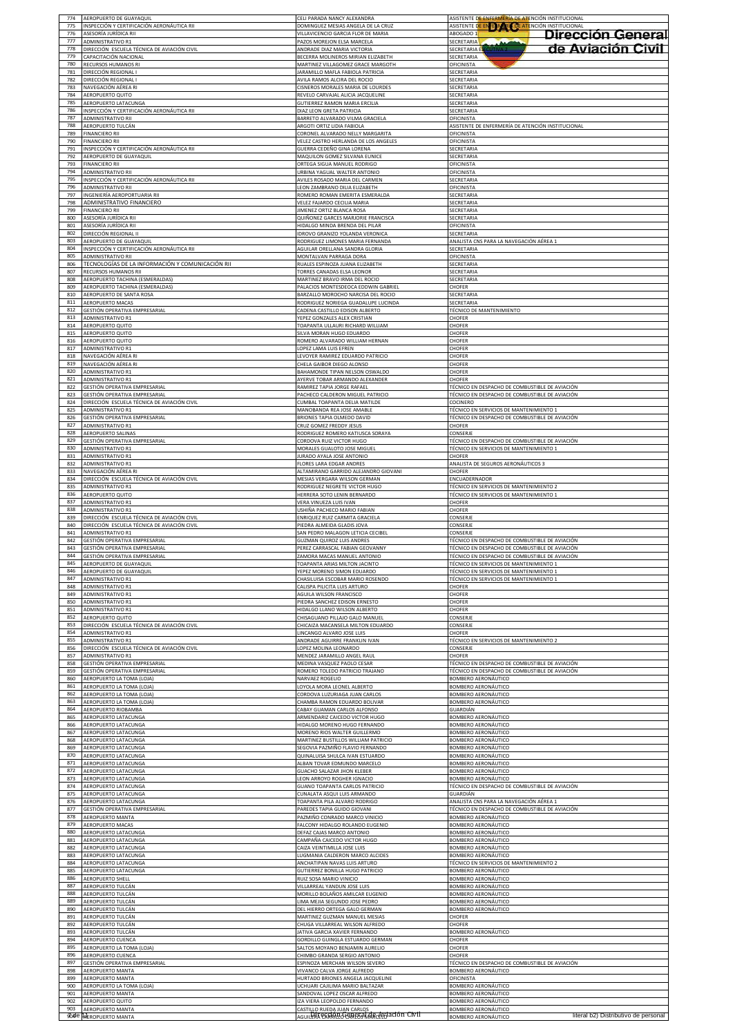| 774               | AEROPUERTO DE GUAYAQUII                                                                           | CELI PARADA NANCY ALEXANDRA                                                                                 | ASISTENTE DE ENFERMERÍA DE ATENCIÓN INSTITUCIONAL                                                         |
|-------------------|---------------------------------------------------------------------------------------------------|-------------------------------------------------------------------------------------------------------------|-----------------------------------------------------------------------------------------------------------|
| 775               | INSPECCIÓN Y CERTIFICACIÓN AERONÁUTICA RII                                                        | DOMINGUEZ MESIAS ANGELA DE LA CRUZ                                                                          | ASISTENTE DE EN EN DERIN DE ATENCIÓN INSTITUCIONAL                                                        |
| 776<br>777        | ASESORÍA JURÍDICA RII<br><b>ADMINISTRATIVO R1</b>                                                 | VILLAVICENCIO GARCIA FLOR DE MARIA<br>PAZOS MOREJON ELSA MARCELA                                            | ABOGADO 1<br>Dirección General<br><b>SECRETARIA</b>                                                       |
| 778<br>779        | DIRECCIÓN ESCUELA TÉCNICA DE AVIACIÓN CIVIL<br>CAPACITACIÓN NACIONAL                              | ANDRADE DIAZ MARIA VICTORIA<br>BECERRA MOLINEROS MIRIAN ELIZABETH                                           | de Aviación Civil<br><b>SECRETARIA E</b><br>UTIVA <sub>2</sub><br>SECRETARIA                              |
| 780               | RECURSOS HUMANOS RI                                                                               | MARTINEZ VILLAGOMEZ GRACE MARGOTH                                                                           | OFICINISTA                                                                                                |
| 781               | DIRECCIÓN REGIONAL I                                                                              | JARAMILLO MAFLA FABIOLA PATRICIA                                                                            | SECRETARIA                                                                                                |
| 782               | DIRECCIÓN REGIONAL I                                                                              | AVILA RAMOS ALCIRA DEL ROCIO                                                                                | SECRETARIA                                                                                                |
| 783               | NAVEGACIÓN AÉREA RI                                                                               | CISNEROS MORALES MARIA DE LOURDES                                                                           | SECRETARIA                                                                                                |
| 784               | AEROPUERTO QUITO                                                                                  | REVELO CARVAJAL ALICIA JACQUELINE                                                                           | SECRETARIA                                                                                                |
| 785               | AEROPUERTO LATACUNGA                                                                              | <b>GUTIERREZ RAMON MARIA ERCILIA</b>                                                                        | SECRETARIA                                                                                                |
| 786               | INSPECCIÓN Y CERTIFICACIÓN AERONÁUTICA RII                                                        | DIAZ LEON GRETA PATRICIA                                                                                    | SECRETARIA                                                                                                |
| 787               | ADMINISTRATIVO RII                                                                                | BARRETO ALVARADO VILMA GRACIELA                                                                             | <b>OFICINISTA</b>                                                                                         |
| 788               | AEROPUERTO TULCÁN                                                                                 | ARGOTI ORTIZ LIDIA FABIOLA                                                                                  | ASISTENTE DE ENFERMERÍA DE ATENCIÓN INSTITUCIONAL                                                         |
| 789               | <b>FINANCIERO RII</b>                                                                             | CORONEL ALVARADO NELLY MARGARITA                                                                            | OFICINISTA                                                                                                |
| 790               | FINANCIERO RII                                                                                    | <b>/ELEZ CASTRO HERLANDA DE LOS ANGELES</b>                                                                 | OFICINISTA                                                                                                |
| 791               | <u>INSPECCIÓN Y CERTIFICACIÓN AERONÁUTICA RII</u>                                                 | GUERRA CEDEÑO GINA LORENA                                                                                   | SECRETARIA                                                                                                |
| 792               | AEROPUERTO DE GUAYAQUIL                                                                           | MAQUILON GOMEZ SILVANA EUNICE                                                                               | SECRETARIA                                                                                                |
| 793               | <b>FINANCIERO RII</b>                                                                             | ORTEGA SIGUA MANUEL RODRIGO                                                                                 | OFICINISTA                                                                                                |
| 794               | ADMINISTRATIVO RII                                                                                | URBINA YAGUAL WALTER ANTONIO                                                                                | OFICINISTA                                                                                                |
| 795               | INSPECCIÓN Y CERTIFICACIÓN AERONÁUTICA RII                                                        | AVILES ROSADO MARIA DEL CARMEN                                                                              | SECRETARIA                                                                                                |
| 796               | ADMINISTRATIVO RII                                                                                | LEON ZAMBRANO DILIA ELIZABETH                                                                               | OFICINISTA                                                                                                |
| 797               | INGENIERÍA AEROPORTUARIA RII                                                                      | ROMERO ROMAN EMERITA ESMERALDA                                                                              | SECRETARIA                                                                                                |
| 798               | ADMINISTRATIVO FINANCIERO                                                                         | VELEZ FAJARDO CECILIA MARIA                                                                                 | SECRETARIA                                                                                                |
| 799               | FINANCIERO RII                                                                                    | JIMENEZ ORTIZ BLANCA ROSA                                                                                   | SECRETARIA                                                                                                |
| 800<br>801<br>802 | ASESORÍA JURÍDICA RII<br>ASESORÍA JURÍDICA RII                                                    | QUIÑONEZ GARCES MARJORIE FRANCISCA<br>HIDALGO MINDA BRENDA DEL PILAR                                        | SECRETARIA<br>OFICINISTA                                                                                  |
| 803<br>804        | DIRECCIÓN REGIONAL II<br>AEROPUERTO DE GUAYAQUIL<br>INSPECCIÓN Y CERTIFICACIÓN AERONÁUTICA RII    | DROVO GRANIZO YOLANDA VERONICA<br><b>RODRIGUEZ LIMONES MARIA FERNANDA</b><br>AGUILAR ORELLANA SANDRA GLORIA | SECRETARIA<br><u>ANALISTA CNS PARA LA NAVEGACIÓN AÉREA 1</u>                                              |
| 805<br>806        | ADMINISTRATIVO RII<br>TECNOLOGÍAS DE LA INFORMACIÓN Y COMUNICACIÓN RII                            | MONTALVAN PARRAGA DORA<br>RUALES ESPINOZA JUANA ELIZABETH                                                   | SECRETARIA<br>OFICINISTA<br>SECRETARIA                                                                    |
| 807               | RECURSOS HUMANOS RII                                                                              | TORRES CANADAS ELSA LEONOR                                                                                  | SECRETARIA                                                                                                |
| 808               | AEROPUERTO TACHINA (ESMERALDAS)                                                                   | MARTINEZ BRAVO IRMA DEL ROCIO                                                                               | SECRETARIA                                                                                                |
| 809               | AEROPUERTO TACHINA (ESMERALDAS)                                                                   | PALACIOS MONTESDEOCA EDDWIN GABRIEL                                                                         | CHOFER                                                                                                    |
| 810               | AEROPUERTO DE SANTA ROSA                                                                          | BARZALLO MOROCHO NARCISA DEL ROCIO                                                                          | SECRETARIA                                                                                                |
| 811               | AEROPUERTO MACAS                                                                                  | RODRIGUEZ NORIEGA GUADALUPE LUCINDA                                                                         | SECRETARIA                                                                                                |
| 812               | GESTIÓN OPERATIVA EMPRESARIAL                                                                     | CADENA CASTILLO EDISON ALBERTO                                                                              | TÉCNICO DE MANTENIMIENTO                                                                                  |
| 813               | <b>ADMINISTRATIVO R1</b>                                                                          | YEPEZ GONZALES ALEX CRISTIAN                                                                                | CHOFER                                                                                                    |
| 814               | AEROPUERTO QUITO                                                                                  | TOAPANTA ULLAURI RICHARD WILLIAM                                                                            | CHOFER                                                                                                    |
| 815               | AEROPUERTO QUITO                                                                                  | SILVA MORAN HUGO EDUARDO                                                                                    | CHOFER                                                                                                    |
| 816               | AEROPUERTO QUITO                                                                                  | ROMERO ALVARADO WILLIAM HERNAN                                                                              | CHOFER                                                                                                    |
| 817               | ADMINISTRATIVO R1                                                                                 | LOPEZ LAMA LUIS EFREN                                                                                       | CHOFER                                                                                                    |
| 818               | NAVEGACIÓN AÉREA RI                                                                               | LEVOYER RAMIREZ EDUARDO PATRICIO                                                                            | CHOFER                                                                                                    |
| 819               | NAVEGACIÓN AÉREA RI                                                                               | CHELA GAIBOR DIEGO ALONSO                                                                                   | CHOFER                                                                                                    |
| 820               | ADMINISTRATIVO R1                                                                                 | BAHAMONDE TIPAN NELSON OSWALDO                                                                              | CHOFER                                                                                                    |
| 821               | ADMINISTRATIVO R1                                                                                 | AYERVE TOBAR ARMANDO ALEXANDER                                                                              | CHOFER                                                                                                    |
| 822               | GESTIÓN OPERATIVA EMPRESARIAL                                                                     | RAMIREZ TAPIA JORGE RAFAEI                                                                                  | TÉCNICO EN DESPACHO DE COMBUSTIBLE DE AVIACIÓN                                                            |
| 823               | GESTIÓN OPERATIVA EMPRESARIAL                                                                     | PACHECO CALDERON MIGUEL PATRICIO                                                                            | TÉCNICO EN DESPACHO DE COMBUSTIBLE DE AVIACIÓN                                                            |
| 824               | DIRECCIÓN ESCUELA TÉCNICA DE AVIACIÓN CIVIL                                                       | CUMBAL TOAPANTA DELIA MATILDE                                                                               | COCINERO                                                                                                  |
| 825               | ADMINISTRATIVO R1                                                                                 | MANOBANDA REA JOSE AMABLE                                                                                   | TÉCNICO EN SERVICIOS DE MANTENIMIENTO 1                                                                   |
| 826               | GESTIÓN OPERATIVA EMPRESARIAL                                                                     | BRIONES TAPIA OLMEDO DAVID                                                                                  | TÉCNICO EN DESPACHO DE COMBUSTIBLE DE AVIACIÓN                                                            |
| 827               | ADMINISTRATIVO R1                                                                                 | RUZ GOMEZ FREDDY JESUS                                                                                      | CHOFER                                                                                                    |
| 828               | AEROPUERTO SALINAS                                                                                | RODRIGUEZ ROMERO KATIUSCA SORAYA                                                                            | CONSERJE                                                                                                  |
| 829               | GESTIÓN OPERATIVA EMPRESARIAL                                                                     | CORDOVA RUIZ VICTOR HUGO                                                                                    | TÉCNICO EN DESPACHO DE COMBUSTIBLE DE AVIACIÓN                                                            |
| 830               | ADMINISTRATIVO R1                                                                                 | MORALES GUALOTO JOSE MIGUEL                                                                                 | TÉCNICO EN SERVICIOS DE MANTENIMIENTO 1                                                                   |
| 831               | ADMINISTRATIVO R1                                                                                 | JURADO AYALA JOSE ANTONIO                                                                                   | CHOFER                                                                                                    |
| 832               | ADMINISTRATIVO R1                                                                                 | FLORES LARA EDGAR ANDRES                                                                                    | ANALISTA DE SEGUROS AERONÁUTICOS 3                                                                        |
| 833               | NAVEGACIÓN AÉREA RI                                                                               | ALTAMIRANO GARRIDO ALEJANDRO GIOVANI                                                                        | CHOFER                                                                                                    |
| 834               | DIRECCIÓN ESCUELA TÉCNICA DE AVIACIÓN CIVIL                                                       | MESIAS VERGARA WILSON GERMAN                                                                                | ENCUADERNADOR                                                                                             |
| 835               | ADMINISTRATIVO R1                                                                                 | RODRIGUEZ NEGRETE VICTOR HUGO                                                                               | TÉCNICO EN SERVICIOS DE MANTENIMIENTO 2                                                                   |
| 836               | AEROPUERTO QUITO                                                                                  | HERRERA SOTO LENIN BERNARDO                                                                                 | TÉCNICO EN SERVICIOS DE MANTENIMIENTO 1                                                                   |
| 837               | <b>ADMINISTRATIVO R1</b>                                                                          | VERA VINUEZA LUIS IVAN                                                                                      | CHOFER                                                                                                    |
| 838               | <b>ADMINISTRATIVO R1</b>                                                                          | USHIÑA PACHECO MARIO FABIAN                                                                                 | CHOFER                                                                                                    |
| 839               | DIRECCIÓN ESCUELA TÉCNICA DE AVIACIÓN CIVIL                                                       | NRIQUEZ RUIZ CARMITA GRACIELA                                                                               | CONSERJE                                                                                                  |
| 840               | DIRECCIÓN ESCUELA TÉCNICA DE AVIACIÓN CIVIL                                                       | PIEDRA ALMEIDA GLADIS JOVA                                                                                  | CONSERJE                                                                                                  |
| 841               | <b>ADMINISTRATIVO R1</b>                                                                          | SAN PEDRO MALAGON LETICIA CECIBEL                                                                           | CONSERJE                                                                                                  |
| 842               | GESTIÓN OPERATIVA EMPRESARIAL                                                                     | <b>GUZMAN QUIROZ LUIS ANDRES</b>                                                                            | TÉCNICO EN DESPACHO DE COMBUSTIBLE DE AVIACIÓN                                                            |
| 843               | GESTIÓN OPERATIVA EMPRESARIAL                                                                     | PEREZ CARRASCAL FABIAN GEOVANNY                                                                             | TÉCNICO EN DESPACHO DE COMBUSTIBLE DE AVIACIÓN                                                            |
| 844               | GESTIÓN OPERATIVA EMPRESARIAL                                                                     | ZAMORA MACAS MANUEL ANTONIO                                                                                 | TÉCNICO EN DESPACHO DE COMBUSTIBLE DE AVIACIÓN                                                            |
| 845               | AFROPUFRTO DE GUAYAQUII                                                                           | TOAPANTA ARIAS MILTON IACINTO                                                                               | TÉCNICO EN SERVICIOS DE MANTENIMIENTO 1                                                                   |
| 846               | AEROPUERTO DE GUAYAQUIL                                                                           | YEPEZ MORENO SIMON EDUARDO                                                                                  | TÉCNICO EN SERVICIOS DE MANTENIMIENTO 1                                                                   |
| 847               | <b>ADMINISTRATIVO R1</b>                                                                          | CHASILUISA ESCOBAR MARIO ROSENDO                                                                            | TÉCNICO EN SERVICIOS DE MANTENIMIENTO 1                                                                   |
| 848               | ADMINISTRATIVO R1                                                                                 | CALISPA PILICITA LUIS ARTURO                                                                                | CHOFER                                                                                                    |
| 849               | ADMINISTRATIVO R1                                                                                 | AGUILA WILSON FRANCISCO                                                                                     | CHOFER                                                                                                    |
| 850               | <b>ADMINISTRATIVO R1</b>                                                                          | PIEDRA SANCHEZ EDISON ERNESTO                                                                               | CHOFER                                                                                                    |
| 851               | <b>ADMINISTRATIVO R1</b>                                                                          | HIDALGO LLANO WILSON ALBERTO                                                                                | CHOFER                                                                                                    |
| 852               | AEROPUERTO QUITO                                                                                  | CHISAGUANO PILLAJO GALO MANUEL                                                                              | CONSERJE                                                                                                  |
| 853               | DIRECCIÓN ESCUELA TÉCNICA DE AVIACIÓN CIVIL                                                       | CHICAIZA MACANSELA MILTON EDUARDO                                                                           | CONSERJE                                                                                                  |
| 854<br>855<br>856 | ADMINISTRATIVO R1<br>ADMINISTRATIVO R1                                                            | LINCANGO ALVARO JOSE LUIS<br>ANDRADE AGUIRRE FRANKLIN IVAN                                                  | CHOFER<br>TÉCNICO EN SERVICIOS DE MANTENIMIENTO 2<br>CONSERJE                                             |
| 857<br>858        | DIRECCIÓN ESCUELA TÉCNICA DE AVIACIÓN CIVIL<br>ADMINISTRATIVO R1<br>GESTIÓN OPERATIVA EMPRESARIAL | LOPEZ MOLINA LEONARDO<br>MENDEZ JARAMILLO ANGEL RAUL<br>MEDINA VASQUEZ PAOLO CESAR                          | CHOFER<br>TÉCNICO EN DESPACHO DE COMBUSTIBLE DE AVIACIÓN                                                  |
| 859               | GESTIÓN OPERATIVA EMPRESARIAL                                                                     | ROMERO TOLEDO PATRICIO TRAJANO                                                                              | TÉCNICO EN DESPACHO DE COMBUSTIBLE DE AVIACIÓN                                                            |
| 860               | AEROPUERTO LA TOMA (LOJA)                                                                         | NARVAEZ ROGELIO                                                                                             | BOMBERO AERONÁUTICO                                                                                       |
| 861               | AEROPUERTO LA TOMA (LOJA)                                                                         | LOYOLA MORA LEONEL ALBERTO                                                                                  | BOMBERO AERONÁUTICO                                                                                       |
| 862               | AEROPUERTO LA TOMA (LOJA)                                                                         | CORDOVA LUZURIAGA JUAN CARLOS                                                                               | BOMBERO AERONÁUTICO                                                                                       |
| 863               | AEROPUERTO LA TOMA (LOJA)                                                                         | CHAMBA RAMON EDUARDO BOLIVAR                                                                                | BOMBERO AERONÁUTICO                                                                                       |
| 864               | AEROPUERTO RIOBAMBA                                                                               | ABAY GUAMAN CARLOS ALFONSO                                                                                  | GUARDIÁN                                                                                                  |
| 865               | <b>AEROPUERTO LATACUNGA</b>                                                                       | ARMENDARIZ CAICEDO VICTOR HUGO                                                                              | <b>BOMBERO AERONÁUTICO</b>                                                                                |
| 866               | AEROPUERTO LATACUNGA                                                                              | HIDALGO MORENO HUGO FERNANDO                                                                                | BOMBERO AERONÁUTICO                                                                                       |
| 867               | AEROPUERTO LATACUNGA                                                                              | MORENO RIOS WALTER GUILLERMO                                                                                | BOMBERO AERONÁUTICO                                                                                       |
| 868               | AEROPUERTO LATACUNGA                                                                              | MARTINEZ BUSTILLOS WILLIAM PATRICIO                                                                         | BOMBERO AERONÁUTICO                                                                                       |
| 869               | AEROPUERTO LATACUNGA                                                                              | SEGOVIA PAZMIÑO FLAVIO FERNANDO                                                                             | BOMBERO AERONÁUTICO                                                                                       |
| 870               | AEROPUERTO LATACUNGA                                                                              | QUINALUISA SHULCA IVAN ESTUARDO                                                                             | BOMBERO AERONÁUTICO                                                                                       |
| 871               | AEROPUERTO LATACUNGA                                                                              | ALBAN TOVAR EDMUNDO MARCELO                                                                                 | BOMBERO AERONÁUTICO                                                                                       |
| 872               | AEROPUERTO LATACUNGA                                                                              | GUACHO SALAZAR JHON KLEBER                                                                                  | BOMBERO AERONÁUTICO                                                                                       |
| 873               | AEROPUERTO LATACUNGA                                                                              | LEON ARROYO ROGHER IGNACIO                                                                                  | BOMBERO AERONÁUTICO                                                                                       |
| 874               | AEROPUERTO LATACUNGA                                                                              | <b>GUANO TOAPANTA CARLOS PATRICIO</b>                                                                       | TÉCNICO EN DESPACHO DE COMBUSTIBLE DE AVIACIÓN                                                            |
| 875               | AEROPUERTO LATACUNGA                                                                              | CUNALATA ASQUI LUIS ARMANDO                                                                                 | GUARDIÁN                                                                                                  |
| 876               | AEROPUERTO LATACUNGA                                                                              | OAPANTA PILA ALVARO RODRIGO                                                                                 | ANALISTA CNS PARA LA NAVEGACIÓN AÉREA 1                                                                   |
| 877               | GESTIÓN OPERATIVA EMPRESARIAL                                                                     | PAREDES TAPIA GUIDO GIOVANI                                                                                 | TÉCNICO EN DESPACHO DE COMBUSTIBLE DE AVIACIÓN                                                            |
| 878               | AEROPUERTO MANTA                                                                                  | PAZMIÑO CONRADO MARCO VINICIO                                                                               | BOMBERO AERONÁUTICO                                                                                       |
| 879<br>880<br>881 | AEROPUERTO MACAS<br>AEROPUERTO LATACUNGA                                                          | FALCONY HIDALGO ROLANDO EUGENIO<br>DEFAZ CAJAS MARCO ANTONIO                                                | BOMBERO AERONÁUTICO<br>BOMBERO AERONÁUTICO                                                                |
| 882<br>883        | AEROPUERTO LATACUNGA<br>AEROPUERTO LATACUNGA<br>AEROPUERTO LATACUNGA                              | CAMPAÑA CAICEDO VICTOR HUGO<br>CAIZA VEINTIMILLA JOSE LUIS<br>LUGMANIA CALDERON MARCO ALCIDES               | BOMBERO AERONÁUTICO<br>BOMBERO AERONÁUTICO<br>BOMBERO AERONÁUTICO                                         |
| 884               | AEROPUERTO LATACUNGA                                                                              | ANCHATIPAN NAVAS LUIS ARTURO                                                                                | TÉCNICO EN SERVICIOS DE MANTENIMIENTO 2                                                                   |
| 885               | AEROPUERTO LATACUNGA                                                                              | GUTIERREZ BONILLA HUGO PATRICIO                                                                             | BOMBERO AERONÁUTICO                                                                                       |
| 886               | AEROPUERTO SHELL                                                                                  | RUIZ SOSA MARIO VINICIO                                                                                     | BOMBERO AERONÁUTICO                                                                                       |
| 887               | AEROPUERTO TULCÁN                                                                                 | VILLARREAL YANDUN JOSE LUIS                                                                                 | BOMBERO AERONÁUTICO                                                                                       |
| 888               | AEROPUERTO TULCÁN                                                                                 | MORILLO BOLAÑOS AMILCAR EUGENIO                                                                             | BOMBERO AERONÁUTICO                                                                                       |
| 889               | AEROPUERTO TULCÁN                                                                                 | LIMA MEJIA SEGUNDO JOSE PEDRO                                                                               | BOMBERO AERONÁUTICO                                                                                       |
| 890               | AEROPUERTO TULCÁN                                                                                 | DEL HIERRO ORTEGA GALO GERMAN                                                                               | BOMBERO AERONÁUTICO                                                                                       |
| 891               | AEROPUERTO TULCÁN                                                                                 | MARTINEZ GUZMAN MANUEL MESIAS                                                                               | CHOFER                                                                                                    |
| 892               | AEROPUERTO TULCÁN                                                                                 | CHUGA VILLARREAL WILSON ALFREDO                                                                             | CHOFER                                                                                                    |
| 893               | AEROPUERTO TULCÁN                                                                                 | JATIVA GARCIA XAVIER FERNANDO                                                                               | BOMBERO AERONÁUTICO                                                                                       |
| 894               | AEROPUERTO CUENCA                                                                                 | GORDILLO GUINGLA ESTUARDO GERMAN                                                                            | CHOFER                                                                                                    |
| 895               | AEROPUERTO LA TOMA (LOJA)                                                                         | SALTOS MOYANO BENJAMIN AURELIO                                                                              | CHOFER                                                                                                    |
| 896               | AEROPUERTO CUENCA                                                                                 | CHIMBO GRANDA SERGIO ANTONIO                                                                                | CHOFER                                                                                                    |
| 897               | GESTIÓN OPERATIVA EMPRESARIAL                                                                     | ESPINOZA MERCHAN WILSON SEVERO                                                                              | TÉCNICO EN DESPACHO DE COMBUSTIBLE DE AVIACIÓN                                                            |
| 898               | AEROPUERTO MANTA                                                                                  | VIVANCO CALVA JORGE ALFREDO                                                                                 | <b>BOMBERO AERONÁUTICO</b>                                                                                |
| 899               | AEROPUERTO MANTA                                                                                  | HURTADO BRIONES ANGELA JACQUELINE                                                                           | OFICINISTA                                                                                                |
| 900               | AEROPUERTO LA TOMA (LOJA)                                                                         | UCHUARI CAJILIMA MARIO BALTAZAR                                                                             | BOMBERO AERONÁUTICO                                                                                       |
| 901               | AEROPUERTO MANTA                                                                                  | ANDOVAL LOPEZ OSCAR ALFREDO                                                                                 | BOMBERO AERONÁUTICO                                                                                       |
| 902<br>903        | AEROPUERTO QUITO<br>AEROPUERTO MANTA<br>90de AEROPUERTO MANTA                                     | IZA VIERA LEOPOLDO FERNANDO<br>CASTILLO RUEDA JUAN CARLOS<br>AGUILERA CARRA CAREGA MARCA WACION CIVIL       | BOMBERO AERONÁUTICO<br>BOMBERO AERONÁUTICO<br>literal b2) Distributivo de personal<br>BOMBERO AERONÁUTICO |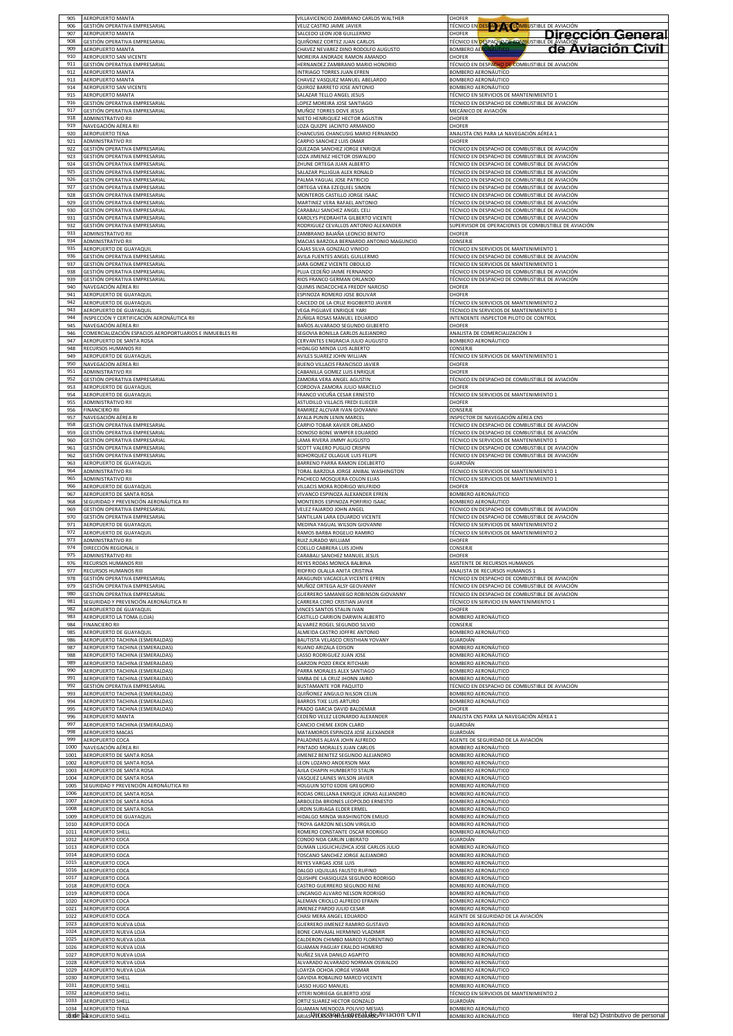| 905        | <b>AEROPUERTO MANTA</b>                                            | VILLAVICENCIO ZAMBRANO CARLOS WALTHER                               | <b>CHOFER</b>                                                                                                       |
|------------|--------------------------------------------------------------------|---------------------------------------------------------------------|---------------------------------------------------------------------------------------------------------------------|
| 906        | GESTIÓN OPERATIVA EMPRESARIAL                                      | VELIZ CASTRO JAIME JAVIER                                           | <b>TÉCNICO EN DES ACTAD COMBUSTIBLE DE AVIACIÓN</b>                                                                 |
| 907        | <b>AEROPUERTO MANTA</b>                                            | SALCEDO LEON JOB GUILLERMO                                          | Dirección General<br>CHOFER                                                                                         |
| 908<br>909 | GESTIÓN OPERATIVA EMPRESARIAL                                      | QUIÑONEZ CORTEZ JUAN CARLOS                                         | <b><u>TECNICO EN DESPAÇÃO DE CAMBUSTIBLE DE AMAGOR<br/>TECNICO EN DESPAÇÃO DE CAMBUSTIBLE DE AVÍACIÓN CIVIL</u></b> |
| 910        | AEROPUERTO MANTA<br><b>AEROPUERTO SAN VICENTE</b>                  | CHAVEZ NEVAREZ DINO RODOLFO AUGUSTO<br>MOREIRA ANDRADE RAMON AMANDO |                                                                                                                     |
| 911<br>912 | GESTIÓN OPERATIVA EMPRESARIAL                                      | HERNANDEZ ZAMBRANO MARIO HONORIO                                    | TÉCNICO EN DESPACHO DE COMBUSTIBLE DE AVIACIÓN                                                                      |
| 913        | AEROPUERTO MANTA                                                   | INTRIAGO TORRES JUAN EFREN                                          | BOMBERO AERONÁUTICO                                                                                                 |
|            | <b>AEROPUERTO MANTA</b>                                            | CHAVEZ VASQUEZ MANUEL ABELARDO                                      | BOMBERO AERONÁUTICO                                                                                                 |
| 914        | AEROPUERTO SAN VICENTE                                             | QUIROZ BARRETO JOSE ANTONIO                                         | BOMBERO AERONÁUTICO                                                                                                 |
| 915        | AEROPUERTO MANTA                                                   | SALAZAR TELLO ANGEL JESUS                                           | TÉCNICO EN SERVICIOS DE MANTENIMIENTO 1                                                                             |
| 916        | GESTIÓN OPERATIVA EMPRESARIAL                                      | LOPEZ MOREIRA JOSE SANTIAGO                                         | TÉCNICO EN DESPACHO DE COMBUSTIBLE DE AVIACIÓN                                                                      |
| 917        | GESTIÓN OPERATIVA EMPRESARIAL                                      | MUÑOZ TORRES DOVE JESUS                                             | MECÁNICO DE AVIACIÓN                                                                                                |
| 918        | ADMINISTRATIVO RII                                                 | NIETO HENRIQUEZ HECTOR AGUSTIN                                      | CHOFER                                                                                                              |
| 919        | NAVEGACIÓN AÉREA RII                                               | LOZA QUIZPE JACINTO ARMANDO                                         | CHOFER                                                                                                              |
| 920        | AEROPUERTO TENA                                                    | CHANCUSIG CHANCUSIG MARIO FERNANDO                                  | ANALISTA CNS PARA LA NAVEGACIÓN AÉREA 1                                                                             |
| 921        | ADMINISTRATIVO RII                                                 | CARPIO SANCHEZ LUIS OMAR                                            | CHOFER                                                                                                              |
| 922        | SESTIÓN OPERATIVA EMPRESARIAL                                      | QUEZADA SANCHEZ JORGE ENRIQUE                                       | TÉCNICO EN DESPACHO DE COMBUSTIBLE DE AVIACIÓN                                                                      |
| 923        | GESTIÓN OPERATIVA EMPRESARIAL                                      | LOZA JIMENEZ HECTOR OSWALDO                                         | TÉCNICO EN DESPACHO DE COMBUSTIBLE DE AVIACIÓN                                                                      |
| 924        | GESTIÓN OPERATIVA EMPRESARIAL                                      | ZHUNE ORTEGA JUAN ALBERTO                                           | TÉCNICO EN DESPACHO DE COMBUSTIBLE DE AVIACIÓN                                                                      |
| 925        | GESTIÓN OPERATIVA EMPRESARIAL                                      | SALAZAR PILLIGUA ALEX RONALD                                        | TÉCNICO EN DESPACHO DE COMBUSTIBLE DE AVIACIÓN                                                                      |
| 926        | GESTIÓN OPERATIVA EMPRESARIAL                                      | PALMA YAGUAL JOSE PATRICIO                                          | TÉCNICO EN DESPACHO DE COMBUSTIBLE DE AVIACIÓN                                                                      |
| 927        | GESTIÓN OPERATIVA EMPRESARIAL                                      | ORTEGA VERA EZEQUIEL SIMON                                          | TÉCNICO EN DESPACHO DE COMBUSTIBLE DE AVIACIÓN                                                                      |
| 928        | GESTIÓN OPERATIVA EMPRESARIAL                                      | MONTEROS CASTILLO JORGE ISAAC                                       | TÉCNICO EN DESPACHO DE COMBUSTIBLE DE AVIACIÓN                                                                      |
| 929        | GESTIÓN OPERATIVA EMPRESARIAL                                      | MARTINEZ VERA RAFAEL ANTONIO                                        | TÉCNICO EN DESPACHO DE COMBUSTIBLE DE AVIACIÓN                                                                      |
| 930        | GESTIÓN OPERATIVA EMPRESARIAL                                      | CARABALI SANCHEZ ANGEL CELI                                         | TÉCNICO EN DESPACHO DE COMBUSTIBLE DE AVIACIÓN                                                                      |
| 931        | GESTIÓN OPERATIVA EMPRESARIAL                                      | KAROLYS PIEDRAHITA GILBERTO VICENTE                                 | TÉCNICO EN DESPACHO DE COMBUSTIBLE DE AVIACIÓN                                                                      |
| 932        | GESTIÓN OPERATIVA EMPRESARIAL                                      | RODRIGUEZ CEVALLOS ANTONIO ALEXANDER                                | SUPERVISOR DE OPERACIONES DE COMBUSTIBLE DE AVIACIÓN                                                                |
| 933        | ADMINISTRATIVO RII                                                 | ZAMBRANO BAJAÑA LEONCIO BENITO                                      | CHOFER                                                                                                              |
| 934        | ADMINISTRATIVO RII                                                 | MACIAS BARZOLA BERNARDO ANTONIO MAGUNCIO                            | CONSERJE                                                                                                            |
| 935<br>936 | <b>AEROPUERTO DE GUAYAQUIL</b>                                     | CAJAS SILVA GONZALO VINICIO                                         | TÉCNICO EN SERVICIOS DE MANTENIMIENTO 1                                                                             |
| 937        | <u>GESTIÓN OPERATIVA EMPRESARIAL</u>                               | AVILA FUENTES ANGEL GUILLERMO                                       | TÉCNICO EN DESPACHO DE COMBUSTIBLE DE AVIACIÓN                                                                      |
|            | GESTIÓN OPERATIVA EMPRESARIAL                                      | JARA GOMEZ VICENTE OBDULIO                                          | TÉCNICO EN SERVICIOS DE MANTENIMIENTO 1                                                                             |
| 938        | GESTIÓN OPERATIVA EMPRESARIAL                                      | PLUA CEDEÑO JAIME FERNANDO                                          | TÉCNICO EN DESPACHO DE COMBUSTIBLE DE AVIACIÓN                                                                      |
| 939        | GESTIÓN OPERATIVA EMPRESARIAL                                      | RIOS FRANCO GERMAN ORLANDO                                          | TÉCNICO EN DESPACHO DE COMBUSTIBLE DE AVIACIÓN                                                                      |
| 940        | NAVEGACIÓN AÉREA RII                                               | QUIMIS INDACOCHEA FREDDY NARCISO                                    | CHOFER                                                                                                              |
| 941        | AEROPUERTO DE GUAYAQUII                                            | ESPINOZA ROMERO JOSE BOLIVAR                                        | CHOFER                                                                                                              |
| 942        | AEROPUERTO DE GUAYAQUIL                                            | CAICEDO DE LA CRUZ RIGOBERTO JAVIER                                 | TÉCNICO EN SERVICIOS DE MANTENIMIENTO 2                                                                             |
| 943        | AEROPUERTO DE GUAYAQUIL                                            | VEGA PIGUAVE ENRIQUE YARI                                           | TÉCNICO EN SERVICIOS DE MANTENIMIENTO 1                                                                             |
| 944        | INSPECCIÓN Y CERTIFICACIÓN AERONÁUTICA RII                         | ZUÑIGA ROSAS MANUEL EDUARDO                                         | INTENDENTE INSPECTOR PILOTO DE CONTROL                                                                              |
| 945        | NAVEGACIÓN AÉREA RII                                               | BAÑOS ALVARADO SEGUNDO GILBERTO                                     | CHOFER                                                                                                              |
| 946        | COMERCIALIZACIÓN ESPACIOS AEROPORTUARIOS E INMUEBLES RII           | SEGOVIA BONILLA CARLOS ALEJANDRO                                    | ANALISTA DE COMERCIALIZACIÓN 3                                                                                      |
| 947        | <b>LEROPUERTO DE SANTA ROSA</b>                                    | CERVANTES ENGRACIA JULIO AUGUSTO                                    | BOMBERO AERONÁUTICO                                                                                                 |
| 948        | RECURSOS HUMANOS RII                                               | HIDALGO MINDA LUIS ALBERTO                                          | CONSERJE                                                                                                            |
| 949        | AEROPUERTO DE GUAYAQUIL                                            | AVILES SUAREZ JOHN WILLIAN                                          | TÉCNICO EN SERVICIOS DE MANTENIMIENTO 1                                                                             |
| 950        | NAVEGACIÓN AÉREA RII                                               | BUENO VILLACIS FRANCISCO JAVIER                                     | CHOFER                                                                                                              |
| 951        | ADMINISTRATIVO RII                                                 | CABANILLA GOMEZ LUIS ENRIQUE                                        | CHOFER                                                                                                              |
| 952        | GESTIÓN OPERATIVA EMPRESARIAL                                      | ZAMORA VERA ANGEL AGUSTIN                                           | TÉCNICO EN DESPACHO DE COMBUSTIBLE DE AVIACIÓN                                                                      |
| 953        | AEROPUERTO DE GUAYAQUIL                                            | CORDOVA ZAMORA JULIO MARCELO                                        | CHOFER                                                                                                              |
| 954        | AEROPUERTO DE GUAYAQUIL                                            | FRANCO VICUÑA CESAR ERNESTO                                         | TÉCNICO EN SERVICIOS DE MANTENIMIENTO 1                                                                             |
| 955        | ADMINISTRATIVO RII                                                 | ASTUDILLO VILLACIS FREDI ELIECER                                    | CHOFER                                                                                                              |
| 956        | INANCIERO RII                                                      | RAMIREZ ALCIVAR IVAN GIOVANNI                                       | CONSERJI                                                                                                            |
| 957        | NAVEGACIÓN AÉREA RI                                                | AYALA PUNIN LENIN MARCEL                                            | INSPECTOR DE NAVEGACIÓN AÉREA CNS                                                                                   |
| 958        | GESTIÓN OPERATIVA EMPRESARIAL                                      | CARPIO TOBAR XAVIER ORLANDO                                         | TÉCNICO EN DESPACHO DE COMBUSTIBLE DE AVIACIÓN                                                                      |
| 959        | GESTIÓN OPERATIVA EMPRESARIAL                                      | DONOSO BONE WIMPER EDUARDO                                          | TÉCNICO EN DESPACHO DE COMBUSTIBLE DE AVIACIÓN                                                                      |
| 960        | GESTIÓN OPERATIVA EMPRESARIAL                                      | LAMA RIVERA JIMMY AUGUSTO                                           | TÉCNICO EN SERVICIOS DE MANTENIMIENTO 1                                                                             |
| 961<br>962 | SESTIÓN OPERATIVA EMPRESARIAL                                      | SCOTT VALERO PUGLIO CRISPIN                                         | TÉCNICO EN DESPACHO DE COMBUSTIBLE DE AVIACIÓN                                                                      |
| 963        | <u>SESTIÓN OPERATIVA EMPRESARIAL</u>                               | <b>BOHORQUEZ OLLAGUE LUIS FELIPE</b>                                | TÉCNICO EN DESPACHO DE COMBUSTIBLE DE AVIACIÓN                                                                      |
|            | AEROPUERTO DE GUAYAQUIL                                            | BARRENO PARRA RAMON EDELBERTO                                       | GUARDIÁN                                                                                                            |
| 964        | ADMINISTRATIVO RII                                                 | TORAL BARZOLA JORGE ANIBAL WASHINGTON                               | TÉCNICO EN SERVICIOS DE MANTENIMIENTO 1                                                                             |
| 965        | ADMINISTRATIVO RII                                                 | PACHECO MOSQUERA COLON ELIAS                                        | TÉCNICO EN SERVICIOS DE MANTENIMIENTO 1                                                                             |
| 966        | AEROPUERTO DE GUAYAQUIL                                            | VILLACIS MORA RODRIGO WILFRIDO                                      | CHOFER                                                                                                              |
| 967        | AEROPUERTO DE SANTA ROSA                                           | VIVANCO ESPINOZA ALEXANDER EFREN                                    | BOMBERO AERONÁUTICO                                                                                                 |
| 968        | SEGURIDAD Y PREVENCIÓN AERONÁUTICA RII                             | MONTEROS ESPINOZA PORFIRIO ISAAC                                    | BOMBERO AERONÁUTICO                                                                                                 |
| 969        | GESTIÓN OPERATIVA EMPRESARIAL                                      | VELEZ FAJARDO JOHN ANGEL                                            | TÉCNICO EN DESPACHO DE COMBUSTIBLE DE AVIACIÓN                                                                      |
| 970        | GESTIÓN OPERATIVA EMPRESARIAL                                      | SANTILLAN LARA EDUARDO VICENTE                                      | TÉCNICO EN DESPACHO DE COMBUSTIBLE DE AVIACIÓN                                                                      |
| 971        | AEROPUERTO DE GUAYAQUIL                                            | MEDINA YAGUAL WILSON GIOVANNI                                       | TÉCNICO EN SERVICIOS DE MANTENIMIENTO 2                                                                             |
| 972        | AEROPUERTO DE GUAYAQUIL                                            | RAMOS BARBA ROGELIO RAMIRO                                          | TÉCNICO EN SERVICIOS DE MANTENIMIENTO 2                                                                             |
| 973        | <b>IDMINISTRATIVO RII</b>                                          | RUIZ JURADO WILLIAM                                                 | CHOFER                                                                                                              |
| 974        | DIRECCIÓN REGIONAL II                                              | COELLO CABRERA LUIS JOHN                                            | CONSERJE                                                                                                            |
| 975        | ADMINISTRATIVO RII                                                 | CARABALI SANCHEZ MANUEL JESUS                                       | CHOFER                                                                                                              |
| 976        | RECURSOS HUMANOS RIII                                              | REYES RODAS MONICA BALBINA                                          | ASISTENTE DE RECURSOS HUMANOS                                                                                       |
| 977        | <b>RECURSOS HUMANOS RIII</b>                                       | RIOFRIO OLALLA ANITA CRISTINA                                       | ANALISTA DE RECURSOS HUMANOS 1                                                                                      |
| 978        | GESTIÓN OPERATIVA EMPRESARIAL                                      | ARAGUNDI VACACELA VICENTE EFREN                                     | TÉCNICO EN DESPACHO DE COMBUSTIBLE DE AVIACIÓN                                                                      |
| 979        | GESTIÓN OPERATIVA EMPRESARIAL                                      | MUÑOZ ORTEGA ALSY GEOVANNY                                          | TÉCNICO EN DESPACHO DE COMBUSTIBLE DE AVIACIÓN                                                                      |
| 980        | GESTIÓN OPERATIVA EMPRESARIAL                                      | GUERRERO SAMANIEGO ROBINSON GIOVANNY                                | TÉCNICO EN DESPACHO DE COMBUSTIBLE DE AVIACIÓN                                                                      |
| 981        | SEGURIDAD Y PREVENCIÓN AERONÁUTICA RI                              | CARRERA CORO CRISTIAN JAVIER                                        | TÉCNICO EN SERVICIO EN MANTENIMIENTO 1                                                                              |
| 982        | AEROPUERTO DE GUAYAQUIL                                            | VINCES SANTOS STALIN IVAN                                           | CHOFER                                                                                                              |
| 983        | AEROPUERTO LA TOMA (LOJA)                                          | CASTILLO CARRION DARWIN ALBERTO                                     | BOMBERO AERONÁUTICO                                                                                                 |
| 984        | <b>FINANCIERO RII</b>                                              | ALVAREZ ROGEL SEGUNDO SILVIO                                        | CONSERJE                                                                                                            |
| 985        | AEROPUERTO DE GUAYAQUIL                                            | ALMEIDA CASTRO JOFFRE ANTONIO                                       | BOMBERO AERONÁUTICO                                                                                                 |
| 986        | AEROPUERTO TACHINA (ESMERALDAS)                                    | BAUTISTA VELASCO CRISTHIAN YOVANY                                   | GUARDIÁN                                                                                                            |
| 987<br>988 | AEROPUERTO TACHINA (ESMERALDAS)                                    | RUANO ARIZALA EDISON                                                | BOMBERO AERONÁUTICO<br>BOMBERO AERONÁUTICO                                                                          |
| 989        | AEROPUERTO TACHINA (ESMERALDAS)<br>AEROPUERTO TACHINA (ESMERALDAS) | LASSO RODRIGUEZ JUAN JOSE<br><b>GARZON POZO ERICK RITCHARI</b>      | BOMBERO AERONÁUTICO                                                                                                 |
| 990        | AEROPUERTO TACHINA (ESMERALDAS)                                    | PARRA MORALES ALEX SANTIAGO                                         | BOMBERO AERONÁUTICO                                                                                                 |
| 991        | AEROPUERTO TACHINA (ESMERALDAS)                                    | SIMBA DE LA CRUZ JHONN JAIRO                                        | BOMBERO AERONÁUTICO                                                                                                 |
| 992        | GESTIÓN OPERATIVA EMPRESARIAL                                      | BUSTAMANTE YOR PAQUITO                                              | TÉCNICO EN DESPACHO DE COMBUSTIBLE DE AVIACIÓN                                                                      |
| 993        | AEROPUERTO TACHINA (ESMERALDAS)                                    | QUIÑONEZ ANGULO NILSON CELIN                                        | BOMBERO AERONÁUTICO                                                                                                 |
| 994        | AEROPUERTO TACHINA (ESMERALDAS)                                    | <b>BARROS TIXE LUIS ARTURO</b>                                      | BOMBERO AERONÁUTICO                                                                                                 |
| 995        | AEROPUERTO TACHINA (ESMERALDAS)                                    | PRADO GARCIA DAVID BALDEMAR                                         | CHOFER                                                                                                              |
| 996        | AEROPUERTO MANTA                                                   | CEDEÑO VELEZ LEONARDO ALEXANDER                                     | ANALISTA CNS PARA LA NAVEGACIÓN AÉREA 1                                                                             |
| 997        | AEROPUERTO TACHINA (ESMERALDAS)                                    | CANCIO CHEME EXON CLARD                                             | GUARDIÁN                                                                                                            |
| 998        | <b>AEROPUERTO MACAS</b>                                            | MATAMOROS ESPINOZA JOSE ALEXANDER                                   | GUARDIÁN                                                                                                            |
| 999        | <b>AEROPUERTO COCA</b>                                             | PALADINES ALAVA JOHN ALFREDO                                        | AGENTE DE SEGURIDAD DE LA AVIACIÓN                                                                                  |
| 1000       | NAVEGACIÓN AÉREA RII                                               | PINTADO MORALES JUAN CARLOS                                         | BOMBERO AERONÁUTICO                                                                                                 |
| 1001       | AEROPUERTO DE SANTA ROSA                                           | JIMENEZ BENITEZ SEGUNDO ALEJANDRO                                   | BOMBERO AERONÁUTICO                                                                                                 |
| 1002       | AEROPUERTO DE SANTA ROSA                                           | LEON LOZANO ANDERSON MAX                                            | BOMBERO AERONÁUTICO                                                                                                 |
| 1003       | AEROPUERTO DE SANTA ROSA                                           | AJILA CHAPIN HUMBERTO STALIN                                        | BOMBERO AERONÁUTICO                                                                                                 |
| 1004       | AEROPUERTO DE SANTA ROSA                                           | VASQUEZ LAINES WILSON JAVIER                                        | BOMBERO AERONÁUTICO                                                                                                 |
| 1005       | SEGURIDAD Y PREVENCIÓN AERONÁUTICA RII                             | HOLGUIN SOTO EDDIE GREGORIO                                         | BOMBERO AERONÁUTICO                                                                                                 |
| 1006       | AEROPUERTO DE SANTA ROSA                                           | RODAS ORELLANA ENRIQUE JONAS ALEJANDRO                              | BOMBERO AERONÁUTICO                                                                                                 |
| 1007       | AEROPUERTO DE SANTA ROSA                                           | ARBOLEDA BRIONES LEOPOLDO ERNESTO                                   | BOMBERO AERONÁUTICO                                                                                                 |
| 1008       | AEROPUERTO DE SANTA ROSA                                           | URDIN SURIAGA ELDER ERMEL                                           | BOMBERO AERONÁUTICO                                                                                                 |
| 1009       | AEROPUERTO DE GUAYAQUIL                                            | HIDALGO MINDA WASHINGTON EMILIO                                     | BOMBERO AERONÁUTICO                                                                                                 |
| 1010       | <b>LEROPUERTO COCA</b>                                             | TROYA GARZON NELSON VIRGILIO                                        | BOMBERO AERONÁUTICO                                                                                                 |
| 1011       | <b>AEROPUERTO SHELL</b>                                            | ROMERO CONSTANTE OSCAR RODRIGO                                      | BOMBERO AERONÁUTICO                                                                                                 |
| 1012       | <b>AEROPUERTO COCA</b>                                             | CONDO NOA CARLIN LIBERATO                                           | GUARDIÁN                                                                                                            |
| 1013       | AEROPUERTO COCA                                                    | DUMAN LLIGUICHUZHCA JOSE CARLOS JULIO                               | BOMBERO AERONÁUTICO                                                                                                 |
| 1014       | AEROPUERTO COCA                                                    | TOSCANO SANCHEZ JORGE ALEJANDRO                                     | BOMBERO AERONÁUTICO                                                                                                 |
| 1015       | AEROPUERTO COCA                                                    | REYES VARGAS JOSE LUIS                                              | BOMBERO AERONÁUTICO                                                                                                 |
| 1016       | AEROPUERTO COCA                                                    | DALGO UQUILLAS FAUSTO RUFINO                                        | BOMBERO AERONÁUTICO                                                                                                 |
| 1017       | AEROPUERTO COCA                                                    | QUISHPE CHASIQUIZA SEGUNDO RODRIGO                                  | BOMBERO AERONÁUTICO                                                                                                 |
| 1018       | AEROPUERTO COCA                                                    | CASTRO GUERRERO SEGUNDO RENE                                        | BOMBERO AERONÁUTICO                                                                                                 |
| 1019       | AEROPUERTO COCA                                                    | LINCANGO ALVARO NELSON RODRIGO                                      | BOMBERO AERONÁUTICO                                                                                                 |
| 1020       | AEROPUERTO COCA                                                    | ALEMAN CRIOLLO ALFREDO EFRAIN                                       | BOMBERO AERONÁUTICO                                                                                                 |
| 1021       | AEROPUERTO COCA                                                    | JIMENEZ PARDO JULIO CESAR                                           | BOMBERO AERONÁUTICO                                                                                                 |
| 1022       | <b>AEROPUERTO COCA</b>                                             | CHASI MERA ANGEL EDUARDO                                            | AGENTE DE SEGURIDAD DE LA AVIACIÓN                                                                                  |
| 1023       | <b>AEROPUERTO NUEVA LOJA</b>                                       | GUERRERO JIMENEZ RAMIRO GUSTAVO                                     | BOMBERO AERONÁUTICO                                                                                                 |
| 1024       | AEROPUERTO NUEVA LOJA                                              | BONE CARVAJAL HERMINIO VLADIMIR                                     | BOMBERO AERONÁUTICO                                                                                                 |
| 1025       | AEROPUERTO NUEVA LOJA                                              | CALDERON CHIMBO MARCO FLORENTINO                                    | BOMBERO AERONÁUTICO                                                                                                 |
| 1026       | AEROPUERTO NUEVA LOJA                                              | GUAMAN PAGUAY ERALDO HOMERO                                         | BOMBERO AERONÁUTICO                                                                                                 |
| 1027       | AEROPUERTO NUEVA LOJA                                              | NUÑEZ SILVA DANILO AGAPITO                                          | BOMBERO AERONÁUTICO                                                                                                 |
| 1028       | AEROPUERTO NUEVA LOJA                                              | ALVARADO ALVARADO NORMAN OSWALDO                                    | BOMBERO AERONÁUTICO                                                                                                 |
| 1029       | AEROPUERTO NUEVA LOJA                                              | LOAYZA OCHOA JORGE VISMAR                                           | BOMBERO AERONÁUTICO                                                                                                 |
| 1030       | AEROPUERTO SHELL                                                   | GAVIDIA ROBALINO MARCO VICENTE                                      | BOMBERO AERONÁUTICO                                                                                                 |
| 1031       | AEROPUERTO SHELL                                                   | LASSO HUGO MANUEL                                                   | BOMBERO AERONÁUTICO                                                                                                 |
| 1032       | AEROPUERTO SHELL                                                   | VITERI NORIEGA GILBERTO JOSE                                        | TÉCNICO EN SERVICIOS DE MANTENIMIENTO 2                                                                             |
| 1033       | AEROPUERTO SHELL                                                   | ORTIZ SUAREZ HECTOR GONZALO                                         | GUARDIÁN                                                                                                            |
| 1034       | AEROPUERTO TENA                                                    | GUAMAN MENDOZA POLIVIO MESIA:                                       | BOMBERO AERONÁUTICO                                                                                                 |
|            | 1835e MEROPUERTO SHELL                                             | ARIAS VELESSI WILLIEN ESTA ALA AVIACIÓN CIVIL                       | literal b2) Distributivo de personal<br>BOMBERO AERONÁUTICO                                                         |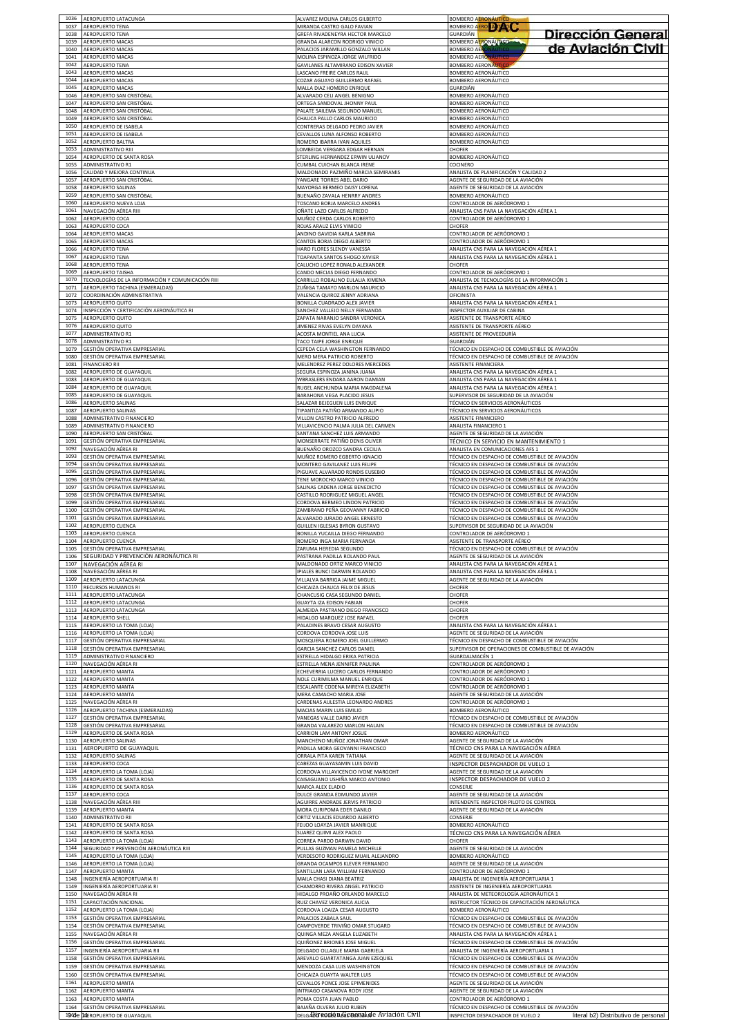| 1036                 | AEROPUERTO LATACUNGA                                                                            | ALVAREZ MOLINA CARLOS GILBERTO                                                                       | <b>BOMBERO AERONÁUTICO</b>                                                                                                                         |
|----------------------|-------------------------------------------------------------------------------------------------|------------------------------------------------------------------------------------------------------|----------------------------------------------------------------------------------------------------------------------------------------------------|
| 1037                 | AEROPUERTO TENA                                                                                 | MIRANDA CASTRO GALO FAVIAN                                                                           | BOMBERO AERO A TAO                                                                                                                                 |
| 1038<br>1039         | AEROPUERTO TENA<br>AEROPUERTO MACAS                                                             | GREFA RIVADENEYRA HECTOR MARCELO<br>GRANDA ALARCON RODRIGO VINICIO                                   | Dirección General<br><b>GUARDIÁN</b><br>BOMBERO AERONÁUTICO                                                                                        |
| 1040<br>1041         | AEROPUERTO MACAS<br>AEROPUERTO MACAS                                                            | PALACIOS JARAMILLO GONZALO WILLAN<br>MOLINA ESPINOZA JORGE WILFRIDO                                  | de Aviación Civil<br><b>BOMBERO AER</b><br><b>BOMBERO AERONAUTICO</b>                                                                              |
| 1042                 | AEROPUERTO TENA                                                                                 | GAVILANES ALTAMIRANO EDISON XAVIER                                                                   | <b>BOMBERO AERONAUTI</b>                                                                                                                           |
| 1043                 | AEROPUERTO MACAS                                                                                | LASCANO FREIRE CARLOS RAUL                                                                           | <b>BOMBERO AERONÁUTICO</b>                                                                                                                         |
| 1044                 | AEROPUERTO MACAS                                                                                | COZAR AGUAYO GUILLERMO RAFAEL                                                                        | BOMBERO AERONÁUTICO                                                                                                                                |
| 1045                 | <b>AEROPUERTO MACAS</b>                                                                         | MALLA DIAZ HOMERO ENRIQUE                                                                            | GUARDIÁN                                                                                                                                           |
| 1046                 | AEROPUERTO SAN CRISTÓBAL                                                                        | ALVARADO CELI ANGEL BENIGNO                                                                          | BOMBERO AERONÁUTICO                                                                                                                                |
| 1047                 | <b>AEROPUERTO SAN CRISTÓBAL</b>                                                                 | ORTEGA SANDOVAL JHONNY PAUL                                                                          | <b>BOMBERO AERONÁUTICO</b>                                                                                                                         |
| 1048                 | AEROPUERTO SAN CRISTÓBAL                                                                        | PALATE SAILEMA SEGUNDO MANUEL                                                                        | BOMBERO AERONÁUTICO                                                                                                                                |
| 1049                 | AEROPUERTO SAN CRISTÓBAL                                                                        | CHAUCA PALLO CARLOS MAURICIO                                                                         | BOMBERO AERONÁUTICO                                                                                                                                |
| 1050                 | AEROPUERTO DE ISABELA                                                                           | CONTRERAS DELGADO PEDRO JAVIER                                                                       | BOMBERO AERONÁUTICO                                                                                                                                |
| 1051                 | AEROPUERTO DE ISABELA                                                                           | CEVALLOS LUNA ALFONSO ROBERTO                                                                        | BOMBERO AERONÁUTICO                                                                                                                                |
| 1052<br>1053<br>1054 | AEROPUERTO BALTRA<br><b>ADMINISTRATIVO RIII</b>                                                 | ROMERO IBARRA IVAN AQUILES<br>LOMBEIDA VERGARA EDGAR HERNAN<br>STERLING HERNANDEZ ERWIN ULIANOV      | BOMBERO AERONÁUTICO<br>CHOFER                                                                                                                      |
| 1055<br>1056         | AEROPUERTO DE SANTA ROSA<br>ADMINISTRATIVO R1<br>CALIDAD Y MEJORA CONTINUA                      | CUMBAL CUICHAN BLANCA IRENE<br>MALDONADO PAZMIÑO MARCIA SEMIRAMIS                                    | BOMBERO AERONÁUTICO<br>COCINERC<br>ANALISTA DE PLANIFICACIÓN Y CALIDAD 2                                                                           |
| 1057                 | AEROPUERTO SAN CRISTÓBAL                                                                        | YANGARE TORRES ABEL DARIO                                                                            | AGENTE DE SEGURIDAD DE LA AVIACIÓN                                                                                                                 |
| 1058                 | AEROPUERTO SALINAS                                                                              | MAYORGA BERMEO DAISY LORENA                                                                          | AGENTE DE SEGURIDAD DE LA AVIACIÓN                                                                                                                 |
| 1059                 | AEROPUERTO SAN CRISTÓBAL                                                                        | BUENAÑO ZAVALA HENRRY ANDRES                                                                         | BOMBERO AERONÁUTICO                                                                                                                                |
| 1060                 | AEROPUERTO NUEVA LOJA                                                                           | TOSCANO BORJA MARCELO ANDRES                                                                         | CONTROLADOR DE AERÓDROMO 1                                                                                                                         |
| 1061                 | NAVEGACIÓN AÉREA RIII                                                                           | OÑATE LAZO CARLOS ALFREDO                                                                            | ANALISTA CNS PARA LA NAVEGACIÓN AÉREA 1                                                                                                            |
| 1062                 | AEROPUERTO COCA                                                                                 | MUÑOZ CERDA CARLOS ROBERTO                                                                           | CONTROLADOR DE AERÓDROMO 1                                                                                                                         |
| 1063                 | AEROPUERTO COCA                                                                                 | ROJAS ARAUZ ELVIS VINICIO                                                                            | CHOFER                                                                                                                                             |
| 1064                 | AEROPUERTO MACAS                                                                                | ANDINO GAVIDIA KARLA SABRINA                                                                         | CONTROLADOR DE AERÓDROMO 1                                                                                                                         |
| 1065                 | AEROPUERTO MACAS                                                                                | CANTOS BORJA DIEGO ALBERTO                                                                           | CONTROLADOR DE AERÓDROMO 1                                                                                                                         |
| 1066                 | <b>AEROPUERTO TENA</b>                                                                          | HARO FLORES SLENDY VANESSA                                                                           | ANALISTA CNS PARA LA NAVEGACIÓN AÉREA 1                                                                                                            |
| 1067                 | AEROPUERTO TENA                                                                                 | TOAPANTA SANTOS SHOGO XAVIER                                                                         | ANALISTA CNS PARA LA NAVEGACIÓN AÉREA 1                                                                                                            |
| 1068                 | AEROPUERTO TENA                                                                                 | CALUCHO LOPEZ RONALD ALEXANDER                                                                       | CHOFER                                                                                                                                             |
| 1069                 | AEROPUERTO TAISHA                                                                               | CANDO MECIAS DIEGO FERNANDO                                                                          | CONTROLADOR DE AERÓDROMO 1                                                                                                                         |
| 1070                 | TECNOLOGÍAS DE LA INFORMACIÓN Y COMUNICACIÓN RIII                                               | CARRILLO ROBALINO EULALIA XIMENA                                                                     | ANALISTA DE TECNOLOGÍAS DE LA INFORMACIÓN 1                                                                                                        |
| 1071                 | AEROPUERTO TACHINA (ESMERALDAS)                                                                 | ZUÑIGA TAMAYO MARLON MAURICIO                                                                        | ANALISTA CNS PARA LA NAVEGACIÓN AÉREA 1                                                                                                            |
| 1072                 | COORDINACIÓN ADMINISTRATIVA                                                                     | VALENCIA QUIROZ JENNY ADRIANA                                                                        | OFICINISTA                                                                                                                                         |
| 1073                 | <b>AEROPUERTO QUITO</b>                                                                         | BONILLA CUADRADO ALEX JAVIER                                                                         | ANALISTA CNS PARA LA NAVEGACIÓN AÉREA 1                                                                                                            |
| 1074                 | INSPECCIÓN Y CERTIFICACIÓN AERONÁUTICA RI                                                       | SANCHEZ VALLEJO NELLY FERNANDA                                                                       | INSPECTOR AUXILIAR DE CABINA                                                                                                                       |
| 1075                 | AEROPUERTO QUITO                                                                                | ZAPATA NARANJO SANDRA VERONICA                                                                       | ASISTENTE DE TRANSPORTE AÉREO                                                                                                                      |
| 1076                 | AEROPUERTO QUITO                                                                                | JIMENEZ RIVAS EVELYN DAYANA                                                                          | ASISTENTE DE TRANSPORTE AÉREO                                                                                                                      |
| 1077                 | ADMINISTRATIVO R1                                                                               | ACOSTA MONTIEL ANA LUCIA                                                                             | ASISTENTE DE PROVEEDURÍA                                                                                                                           |
| 1078                 | <b>ADMINISTRATIVO R1</b>                                                                        | TACO TAIPE JORGE ENRIQUE                                                                             | GUARDIÁN                                                                                                                                           |
| 1079                 | GESTIÓN OPERATIVA EMPRESARIAL                                                                   | CEPEDA CELA WASHINGTON FERNANDO                                                                      | TÉCNICO EN DESPACHO DE COMBUSTIBLE DE AVIACIÓN                                                                                                     |
| 1080                 | GESTIÓN OPERATIVA EMPRESARIAL                                                                   | MERO MERA PATRICIO ROBERTO                                                                           | TÉCNICO EN DESPACHO DE COMBUSTIBLE DE AVIACIÓN                                                                                                     |
| 1081                 | FINANCIERO RII                                                                                  | MELENDREZ PEREZ DOLORES MERCEDES                                                                     | ASISTENTE FINANCIERA                                                                                                                               |
| 1082                 | AEROPUERTO DE GUAYAQUIL                                                                         | SEGURA ESPINOZA JANINA JUANA                                                                         | ANALISTA CNS PARA LA NAVEGACIÓN AÉREA 1                                                                                                            |
| 1083                 | AEROPUERTO DE GUAYAQUII                                                                         | WBRASLERS ENDARA AARON DAMIAN                                                                        | ANALISTA CNS PARA LA NAVEGACIÓN AÉREA 1                                                                                                            |
| 1084                 | <b>AEROPUERTO DE GUAYAQUIL</b>                                                                  | RUGEL ANCHUNDIA MARIA MAGDALENA                                                                      | ANALISTA CNS PARA LA NAVEGACIÓN AÉREA 1                                                                                                            |
| 1085                 | AEROPUERTO DE GUAYAQUIL                                                                         | BARAHONA VEGA PLACIDO JESUS                                                                          | SUPERVISOR DE SEGURIDAD DE LA AVIACIÓN                                                                                                             |
| 1086                 | AEROPUERTO SALINAS                                                                              | SALAZAR BEJEGUEN LUIS ENRIQUE                                                                        | TÉCNICO EN SERVICIOS AERONÁUTICOS                                                                                                                  |
| 1087                 | AEROPUERTO SALINAS                                                                              | TIPANTIZA PATIÑO ARMANDO ALIPIO                                                                      | TÉCNICO EN SERVICIOS AERONÁUTICOS                                                                                                                  |
| 1088                 | ADMINISTRATIVO FINANCIERO                                                                       | VILLON CASTRO PATRICIO ALFREDO                                                                       | ASISTENTE FINANCIERO                                                                                                                               |
| 1089                 | ADMINISTRATIVO FINANCIERO                                                                       | VILLAVICENCIO PALMA JULIA DEL CARMEN                                                                 | ANALISTA FINANCIERO 1                                                                                                                              |
| 1090                 | AEROPUERTO SAN CRISTÓBAL                                                                        | SANTANA SANCHEZ LUIS ARMANDO                                                                         | AGENTE DE SEGURIDAD DE LA AVIACIÓN                                                                                                                 |
| 1091                 | GESTIÓN OPERATIVA EMPRESARIAL                                                                   | MONSERRATE PATIÑO DENIS OLIVER                                                                       | TÉCNICO EN SERVICIO EN MANTENIMIENTO 1                                                                                                             |
| 1092                 | NAVEGACIÓN AÉREA RI                                                                             | BUENAÑO OROZCO SANDRA CECILIA                                                                        | ANALISTA EN COMUNICACIONES AFS 1                                                                                                                   |
| 1093                 | GESTIÓN OPERATIVA EMPRESARIAL                                                                   | MUÑOZ ROMERO EGBERTO IGNACIO                                                                         | TÉCNICO EN DESPACHO DE COMBUSTIBLE DE AVIACIÓN                                                                                                     |
| 1094                 | GESTIÓN OPERATIVA EMPRESARIAL                                                                   | MONTERO GAVILANEZ LUIS FELIPE                                                                        | TÉCNICO EN DESPACHO DE COMBUSTIBLE DE AVIACIÓN                                                                                                     |
| 1095                 | SESTIÓN OPERATIVA EMPRESARIAL                                                                   | PIGUAVE ALVARADO RONDIS EUSEBIO                                                                      | TÉCNICO EN DESPACHO DE COMBUSTIBLE DE AVIACIÓN                                                                                                     |
| 1096<br>1097<br>1098 | SESTIÓN OPERATIVA EMPRESARIAL<br>SESTIÓN OPERATIVA EMPRESARIAL                                  | TENE MOROCHO MARCO VINICIO<br>ALINAS CADENA JORGE BENEDICTO                                          | TÉCNICO EN DESPACHO DE COMBUSTIBLE DE AVIACIÓN<br>TÉCNICO EN DESPACHO DE COMBUSTIBLE DE AVIACIÓN                                                   |
| 1099<br>1100         | GESTIÓN OPERATIVA EMPRESARIAL<br>GESTIÓN OPERATIVA EMPRESARIAL<br>GESTIÓN OPERATIVA EMPRESARIAL | CASTILLO RODRIGUEZ MIGUEL ANGEL<br>CORDOVA BERMEO LINDON PATRICIO<br>ZAMBRANO PEÑA GEOVANNY FABRICIO | TÉCNICO EN DESPACHO DE COMBUSTIBLE DE AVIACIÓN<br>TÉCNICO EN DESPACHO DE COMBUSTIBLE DE AVIACIÓN<br>TÉCNICO EN DESPACHO DE COMBUSTIBLE DE AVIACIÓN |
| 1101                 | GESTIÓN OPERATIVA EMPRESARIAL                                                                   | ALVARADO JURADO ANGEL ERNESTO                                                                        | TÉCNICO EN DESPACHO DE COMBUSTIBLE DE AVIACIÓN                                                                                                     |
| 1102                 | AEROPUERTO CUENCA                                                                               | GUILLEN IGLESIAS BYRON GUSTAVO                                                                       | SUPERVISOR DE SEGURIDAD DE LA AVIACIÓN                                                                                                             |
| 1103                 | AEROPUERTO CUENCA                                                                               | BONILLA YUCAILLA DIEGO FERNANDO                                                                      | CONTROLADOR DE AERÓDROMO 1                                                                                                                         |
| 1104                 | AEROPUERTO CUENCA                                                                               | ROMERO INGA MARIA FERNANDA                                                                           | ASISTENTE DE TRANSPORTE AÉREO                                                                                                                      |
| 1105                 | GESTIÓN OPERATIVA EMPRESARIAL                                                                   | ZARUMA HEREDIA SEGUNDO                                                                               | TÉCNICO EN DESPACHO DE COMBUSTIBLE DE AVIACIÓN                                                                                                     |
| 1106                 | SEGURIDAD Y PREVENCIÓN AERONÁUTICA RI                                                           | PASTRANA PADILLA ROLANDO PAUL                                                                        | AGENTE DE SEGURIDAD DE LA AVIACIÓN                                                                                                                 |
| 1107                 | NAVEGACIÓN AÉREA RI                                                                             | MALDONADO ORTIZ MARCO VINICIO                                                                        | ANALISTA CNS PARA LA NAVEGACIÓN AÉREA 1                                                                                                            |
| 1108                 | NAVEGACIÓN AÉREA RI                                                                             | IPIALES BUNCI DARWIN ROLANDO                                                                         | ANALISTA CNS PARA LA NAVEGACIÓN AÉREA 1                                                                                                            |
| 1109                 | AEROPUERTO LATACUNGA                                                                            | VILLALVA BARRIGA JAIME MIGUEL                                                                        | AGENTE DE SEGURIDAD DE LA AVIACIÓN                                                                                                                 |
| 1110                 | RECURSOS HUMANOS RI                                                                             | CHICAIZA CHAUCA FELIX DE JESUS                                                                       | CHOFER                                                                                                                                             |
| 1111                 | AEROPUERTO LATACUNGA                                                                            | CHANCUSIG CASA SEGUNDO DANIEL                                                                        | CHOFER                                                                                                                                             |
| 1112                 | AEROPUERTO LATACUNGA                                                                            | GUAYTA IZA EDISON FABIAN                                                                             | CHOFER                                                                                                                                             |
| 1113                 | AEROPUERTO LATACUNGA                                                                            | ALMEIDA PASTRANO DIEGO FRANCISCO                                                                     | CHOFER                                                                                                                                             |
| 1114                 | AEROPUERTO SHELL                                                                                | HIDALGO MARQUEZ JOSE RAFAEL                                                                          | CHOFER                                                                                                                                             |
| 1115                 | AEROPUERTO LA TOMA (LOJA)                                                                       | PALADINES BRAVO CESAR AUGUSTO                                                                        | ANALISTA CNS PARA LA NAVEGACIÓN AÉREA 1                                                                                                            |
| 1116                 | AEROPUERTO LA TOMA (LOJA)                                                                       | CORDOVA CORDOVA JOSE LUIS                                                                            | AGENTE DE SEGURIDAD DE LA AVIACIÓN                                                                                                                 |
| 1117                 | GESTIÓN OPERATIVA EMPRESARIAL                                                                   | MOSQUERA ROMERO JOEL GUILLERMO                                                                       | TÉCNICO EN DESPACHO DE COMBUSTIBLE DE AVIACIÓN                                                                                                     |
| 1118                 | GESTIÓN OPERATIVA EMPRESARIAL                                                                   | GARCIA SANCHEZ CARLOS DANIEL                                                                         | SUPERVISOR DE OPERACIONES DE COMBUSTIBLE DE AVIACIÓN                                                                                               |
| 1119                 | ADMINISTRATIVO FINANCIERO                                                                       | ESTRELLA HIDALGO ERIKA PATRICIA                                                                      | GUARDALMACÉN 1                                                                                                                                     |
| 1120                 | VAVEGACIÓN AÉREA RI                                                                             | ESTRELLA MENA JENNIFER PAULINA                                                                       | CONTROLADOR DE AERÓDROMO 1                                                                                                                         |
| 1121                 | <b>AEROPUERTO MANTA</b>                                                                         | ECHEVERRIA LUCERO CARLOS FERNANDO                                                                    | CONTROLADOR DE AERÓDROMO 1                                                                                                                         |
| 1122                 | <b>AEROPUERTO MANTA</b>                                                                         | NOLE CURIMILMA MANUEL ENRIQUE                                                                        | CONTROLADOR DE AERÓDROMO 1                                                                                                                         |
| 1123                 | AEROPUERTO MANTA                                                                                | ESCALANTE CODENA MIREYA ELIZABETH                                                                    | CONTROLADOR DE AERÓDROMO 1                                                                                                                         |
| 1124                 | AEROPUERTO MANTA                                                                                | MERA CAMACHO MARIA JOSE                                                                              | AGENTE DE SEGURIDAD DE LA AVIACIÓN                                                                                                                 |
| 1125                 | NAVEGACIÓN AÉREA RI                                                                             | CARDENAS AULESTIA LEONARDO ANDRES                                                                    | CONTROLADOR DE AERÓDROMO 1                                                                                                                         |
| 1126                 | AEROPUERTO TACHINA (ESMERALDAS)                                                                 | MACIAS MARIN LUIS EMILIO                                                                             | BOMBERO AERONÁUTICO                                                                                                                                |
| 1127                 | GESTIÓN OPERATIVA EMPRESARIAL                                                                   | VANEGAS VALLE DARIO JAVIER                                                                           | TÉCNICO EN DESPACHO DE COMBUSTIBLE DE AVIACIÓN                                                                                                     |
| 1128                 | GESTIÓN OPERATIVA EMPRESARIAL                                                                   | GRANDA VALAREZO MARLON HALAIN                                                                        | TÉCNICO EN DESPACHO DE COMBUSTIBLE DE AVIACIÓN                                                                                                     |
| 1129                 | AEROPUERTO DE SANTA ROSA                                                                        | CARRION LAM ANTONY JOSUE                                                                             | BOMBERO AERONÁUTICO                                                                                                                                |
| 1130                 | AEROPUERTO SALINAS                                                                              | MANCHENO MUÑOZ JONATHAN OMAR                                                                         | AGENTE DE SEGURIDAD DE LA AVIACIÓN                                                                                                                 |
| 1131                 | AEROPUERTO DE GUAYAQUIL                                                                         | PADILLA MORA GEOVANNI FRANCISCO                                                                      | TÉCNICO CNS PARA LA NAVEGACIÓN AÉREA                                                                                                               |
| 1132                 | AEROPUERTO SALINAS                                                                              | ORRALA PITA KAREN TATIANA                                                                            | AGENTE DE SEGURIDAD DE LA AVIACIÓN                                                                                                                 |
| 1133                 | AEROPUERTO COCA                                                                                 | CABEZAS GUAYASAMIN LUIS DAVID                                                                        | INSPECTOR DESPACHADOR DE VUELO 1                                                                                                                   |
| 1134                 | AEROPUERTO LA TOMA (LOJA)                                                                       | CORDOVA VILLAVICENCIO IVONE MARGOHT                                                                  | AGENTE DE SEGURIDAD DE LA AVIACIÓN                                                                                                                 |
| 1135                 | AEROPUERTO DE SANTA ROSA                                                                        | CAISAGUANO USHIÑA MARCO ANTONIO                                                                      | INSPECTOR DESPACHADOR DE VUELO 2                                                                                                                   |
| 1136                 | AEROPUERTO DE SANTA ROSA                                                                        | MARCA ALEX ELADIO                                                                                    | CONSERJE                                                                                                                                           |
| 1137                 | AEROPUERTO COCA                                                                                 | DULCE GRANDA EDMUNDO JAVIER                                                                          | AGENTE DE SEGURIDAD DE LA AVIACIÓN                                                                                                                 |
| 1138                 | NAVEGACIÓN AÉREA RIII                                                                           | AGUIRRE ANDRADE JERVIS PATRICIO                                                                      | INTENDENTE INSPECTOR PILOTO DE CONTROL                                                                                                             |
| 1139                 | AEROPUERTO MANTA                                                                                | MORA CURIPOMA EDER DANILO                                                                            | AGENTE DE SEGURIDAD DE LA AVIACIÓN                                                                                                                 |
| 1140                 | <b>ADMINISTRATIVO RII</b>                                                                       | ORTIZ VILLACIS EDUARDO ALBERTO                                                                       | CONSERJE                                                                                                                                           |
| 1141                 | AEROPUERTO DE SANTA ROSA                                                                        | FEIJOO LOAYZA JAVIER MANRIQUE                                                                        | BOMBERO AERONÁUTICO                                                                                                                                |
| 1142                 | AEROPUERTO DE SANTA ROSA                                                                        | SUAREZ QUIMI ALEX PAOLO                                                                              | TÉCNICO CNS PARA LA NAVEGACIÓN AÉREA                                                                                                               |
| 1143                 | AEROPUERTO LA TOMA (LOJA)                                                                       | CORREA PARDO DARWIN DAVID                                                                            | CHOFER                                                                                                                                             |
| 1144                 | SEGURIDAD Y PREVENCIÓN AERONÁUTICA RIII                                                         | PULLAS GUZMAN PAMELA MICHELLE                                                                        | AGENTE DE SEGURIDAD DE LA AVIACIÓN                                                                                                                 |
| 1145                 | AEROPUERTO LA TOMA (LOJA)                                                                       | VERDESOTO RODRIGUEZ MIJAIL ALEJANDRO                                                                 | BOMBERO AERONÁUTICO                                                                                                                                |
| 1146                 | AEROPUERTO LA TOMA (LOJA)                                                                       | GRANDA OCAMPOS KLEVER FERNANDO                                                                       | AGENTE DE SEGURIDAD DE LA AVIACIÓN                                                                                                                 |
| 1147                 | <b>AEROPUERTO MANTA</b>                                                                         | SANTILLAN LARA WILLIAM FERNANDO                                                                      | CONTROLADOR DE AERÓDROMO 1                                                                                                                         |
| 1148                 | INGENIERÍA AEROPORTUARIA RI                                                                     | MAILA CHASI DIANA BEATRIZ                                                                            | ANALISTA DE INGENIERÍA AEROPORTUARIA 1                                                                                                             |
| 1149                 | INGENIERÍA AEROPORTUARIA RI                                                                     | CHAMORRO RIVERA ANGEL PATRICIO                                                                       | ASISTENTE DE INGENIERÍA AEROPORTUARIA                                                                                                              |
| 1150                 | NAVEGACIÓN AÉREA RI                                                                             | HIDALGO PROAÑO ORLANDO MARCELO                                                                       | ANALISTA DE METEOROLOGÍA AERONÁUTICA 1                                                                                                             |
| 1151                 | CAPACITACIÓN NACIONAL                                                                           | RUIZ CHAVEZ VERONICA ALICIA                                                                          | INSTRUCTOR TÉCNICO DE CAPACITACIÓN AERONÁUTICA                                                                                                     |
| 1152                 | AEROPUERTO LA TOMA (LOJA)                                                                       | CORDOVA LOAIZA CESAR AUGUSTO                                                                         | BOMBERO AERONÁUTICO                                                                                                                                |
| 1153                 | GESTIÓN OPERATIVA EMPRESARIAL                                                                   | PALACIOS ZABALA SAUI                                                                                 | TÉCNICO EN DESPACHO DE COMBUSTIBLE DE AVIACIÓN                                                                                                     |
| 1154                 | GESTIÓN OPERATIVA EMPRESARIAL                                                                   | CAMPOVERDE TRIVIÑO OMAR STUGARD                                                                      | TÉCNICO EN DESPACHO DE COMBUSTIBLE DE AVIACIÓN                                                                                                     |
| 1155                 | NAVEGACIÓN AÉREA RI                                                                             | QUINGA MEZA ANGELA ELIZABETH                                                                         | ANALISTA CNS PARA LA NAVEGACIÓN AÉREA 1                                                                                                            |
| 1156                 | GESTIÓN OPERATIVA EMPRESARIAL                                                                   | QUIÑONEZ BRIONES JOSE MIGUEL                                                                         | TÉCNICO EN DESPACHO DE COMBUSTIBLE DE AVIACIÓN                                                                                                     |
| 1157                 | INGENIERÍA AEROPORTUARIA RII                                                                    | DELGADO OLLAGUE MARIA GABRIELA                                                                       | ANALISTA DE INGENIERÍA AEROPORTUARIA 1                                                                                                             |
| 1158                 | GESTIÓN OPERATIVA EMPRESARIAL                                                                   | AREVALO GUARTATANGA JUAN EZEQUIEL                                                                    | TÉCNICO EN DESPACHO DE COMBUSTIBLE DE AVIACIÓN                                                                                                     |
| 1159                 | <b>GESTIÓN OPERATIVA EMPRESARIAL</b>                                                            | MENDOZA CASA LUIS WASHINGTON                                                                         | TÉCNICO EN DESPACHO DE COMBUSTIBLE DE AVIACIÓN                                                                                                     |
| 1160                 | GESTIÓN OPERATIVA EMPRESARIAL                                                                   | CHICAIZA GUAYTA WALTER LUIS                                                                          | TÉCNICO EN DESPACHO DE COMBUSTIBLE DE AVIACIÓN                                                                                                     |
| 1161                 | AEROPUERTO MANTA                                                                                | CEVALLOS PONCE JOSE EPIMENIDES                                                                       | AGENTE DE SEGURIDAD DE LA AVIACIÓN                                                                                                                 |
| 1162                 | AEROPUERTO MANTA                                                                                | INTRIAGO CASANOVA RODY JOSE                                                                          | AGENTE DE SEGURIDAD DE LA AVIACIÓN                                                                                                                 |
| 1163                 | AEROPUERTO MANTA                                                                                | POMA COSTA JUAN PABLO                                                                                | CONTROLADOR DE AERÓDROMO 1                                                                                                                         |
| 1164                 | GESTIÓN OPERATIVA EMPRESARIAL                                                                   | BAJAÑA OLVERA JULIO RUBEN                                                                            | TÉCNICO EN DESPACHO DE COMBUSTIBLE DE AVIACIÓN                                                                                                     |
|                      | 1965e MEROPUERTO DE GUAYAQUIL                                                                   | DELGAD <b>U ROGIÓ A GEOGNAL</b> de Aviación Civil                                                    | INSPECTOR DESPACHADOR DE VUELO 2<br>literal b2) Distributivo de personal                                                                           |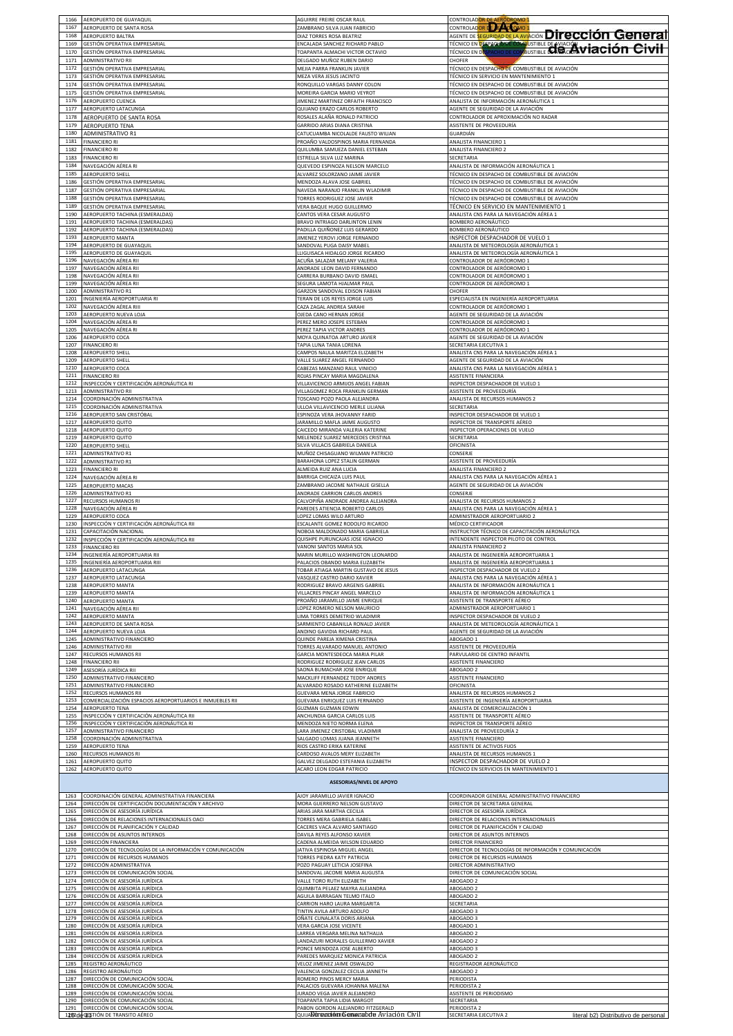| 1166                 | AEROPUERTO DE GUAYAQUIL                                                                                    | AGUIRRE FREIRE OSCAR RAUL                                                                    | CONTROLADOR DE AERÓDROMO 1<br>CONTROLADOR LES ESTADO 1                                                                                                                 |
|----------------------|------------------------------------------------------------------------------------------------------------|----------------------------------------------------------------------------------------------|------------------------------------------------------------------------------------------------------------------------------------------------------------------------|
| 1167                 | AEROPUERTO DE SANTA ROSA                                                                                   | ZAMBRANO SILVA JUAN FABRICIO                                                                 |                                                                                                                                                                        |
| 1168                 | AEROPUERTO BALTRA                                                                                          | DIAZ TORRES ROSA BEATRIZ                                                                     | AGENTE DE SEGURIDAD DE LA AVIACIÓN DIFECCIÓN GENETAL                                                                                                                   |
| 1169                 | GESTIÓN OPERATIVA EMPRESARIAL                                                                              | ENCALADA SANCHEZ RICHARD PABLO                                                               |                                                                                                                                                                        |
| 1170                 | GESTIÓN OPERATIVA EMPRESARIAL                                                                              | TOAPANTA ALMACHI VICTOR OCTAVIO                                                              | AGENIE DE ROOM<br>TÉCNICO EN DESPAGAD DE COMBUSTIBLE DE NAGO <b>AVIACIÓN DE LOTO EN LA CIVIL</b><br>TÉCNICO EN DASPACHO DE COMBUSTIBLE DE <b>RUGICON VIACIÓN CIVIL</b> |
| 1171                 | ADMINISTRATIVO RII                                                                                         | DELGADO MUÑOZ RUBEN DARIO                                                                    | CHOFER                                                                                                                                                                 |
| 1172                 | GESTIÓN OPERATIVA EMPRESARIAL                                                                              | MEJIA PARRA FRANKLIN JAVIER                                                                  | TÉCNICO EN DESPACHO DE COMBUSTIBLE DE AVIACIÓN                                                                                                                         |
| 1173                 | GESTIÓN OPERATIVA EMPRESARIAL                                                                              | MEZA VERA JESUS JACINTO                                                                      | TÉCNICO EN SERVICIO EN MANTENIMIENTO 1                                                                                                                                 |
| 1174                 | GESTIÓN OPERATIVA EMPRESARIAL                                                                              | RONQUILLO VARGAS DANNY COLON                                                                 | TÉCNICO EN DESPACHO DE COMBUSTIBLE DE AVIACIÓN                                                                                                                         |
| 1175                 | GESTIÓN OPERATIVA EMPRESARIAL                                                                              | MOREIRA GARCIA MARIO VEYROT                                                                  | TÉCNICO EN DESPACHO DE COMBUSTIBLE DE AVIACIÓN                                                                                                                         |
| 1176                 | AEROPUERTO CUENCA                                                                                          | JIMENEZ MARTINEZ ORFAITH FRANCISCO                                                           | ANALISTA DE INFORMACIÓN AERONÁUTICA 1                                                                                                                                  |
| 1177                 | AEROPUERTO LATACUNGA                                                                                       | QUIJANO ERAZO CARLOS ROBERTO                                                                 | AGENTE DE SEGURIDAD DE LA AVIACIÓN                                                                                                                                     |
| 1178                 | AEROPUERTO DE SANTA ROSA                                                                                   | ROSALES ALAÑA RONALD PATRICIO                                                                | CONTROLADOR DE APROXIMACIÓN NO RADAR                                                                                                                                   |
| 1179                 | AEROPUERTO TENA                                                                                            | GARRIDO ARIAS DIANA CRISTINA                                                                 | ASISTENTE DE PROVEEDURÍA                                                                                                                                               |
| 1180                 | ADMINISTRATIVO R1                                                                                          | CATUCUAMBA NICOLALDE FAUSTO WILIAN                                                           | GUARDIÁN                                                                                                                                                               |
| 1181                 | <b>FINANCIERO RI</b>                                                                                       | PROAÑO VALDOSPINOS MARIA FERNANDA                                                            | ANALISTA FINANCIERO 1                                                                                                                                                  |
| 1182                 | <b>FINANCIERO RI</b>                                                                                       | QUILUMBA SAMUEZA DANIEL ESTEBAN                                                              | ANALISTA FINANCIERO 2                                                                                                                                                  |
| 1183                 | <b>FINANCIERO RI</b>                                                                                       | ESTRELLA SILVA LUZ MARINA                                                                    | SECRETARIA                                                                                                                                                             |
| 1184                 | NAVEGACIÓN AÉREA RI                                                                                        | QUEVEDO ESPINOZA NELSON MARCELO                                                              | ANALISTA DE INFORMACIÓN AERONÁUTICA 1                                                                                                                                  |
| 1185                 | AEROPUERTO SHELL                                                                                           | ALVAREZ SOLORZANO JAIME JAVIER                                                               | TÉCNICO EN DESPACHO DE COMBUSTIBLE DE AVIACIÓN                                                                                                                         |
| 1186                 | GESTIÓN OPERATIVA EMPRESARIAL                                                                              | MENDOZA ALAVA JOSE GABRIEL                                                                   | TÉCNICO EN DESPACHO DE COMBUSTIBLE DE AVIACIÓN                                                                                                                         |
| 1187                 | GESTIÓN OPERATIVA EMPRESARIAL                                                                              | NAVEDA NARANJO FRANKLIN WLADIMIR                                                             | TÉCNICO EN DESPACHO DE COMBUSTIBLE DE AVIACIÓN                                                                                                                         |
| 1188                 | GESTIÓN OPERATIVA EMPRESARIAL                                                                              | TORRES RODRIGUEZ JOSE JAVIER                                                                 | TÉCNICO EN DESPACHO DE COMBUSTIBLE DE AVIACIÓN                                                                                                                         |
| 1189                 | GESTIÓN OPERATIVA EMPRESARIAL                                                                              | VERA BAQUE HUGO GUILLERMO                                                                    | TÉCNICO EN SERVICIO EN MANTENIMIENTO 1                                                                                                                                 |
| 1190                 | AEROPUERTO TACHINA (ESMERALDAS)                                                                            | CANTOS VERA CESAR AUGUSTO                                                                    | ANALISTA CNS PARA LA NAVEGACIÓN AÉREA 1                                                                                                                                |
| 1191                 | AEROPUERTO TACHINA (ESMERALDAS)                                                                            | BRAVO INTRIAGO DARLINTON LENIN                                                               | BOMBERO AERONÁUTICO                                                                                                                                                    |
| 1192                 | AEROPUERTO TACHINA (ESMERALDAS)                                                                            | PADILLA QUIÑONEZ LUIS GERARDO                                                                | BOMBERO AERONÁUTICO                                                                                                                                                    |
| 1193                 | AEROPUERTO MANTA                                                                                           | IIMENEZ YEROVI JORGE FERNANDO                                                                | INSPECTOR DESPACHADOR DE VUELO 1                                                                                                                                       |
| 1194                 | AEROPUERTO DE GUAYAQUIL                                                                                    | SANDOVAL PUGA DAISY MABEL                                                                    | ANALISTA DE METEOROLOGÍA AERONÁUTICA 1                                                                                                                                 |
| 1195                 | AEROPUERTO DE GUAYAQUIL                                                                                    | LLIGUISACA HIDALGO JORGE RICARDO                                                             | ANALISTA DE METEOROLOGÍA AERONÁUTICA 1                                                                                                                                 |
| 1196                 | NAVEGACIÓN AÉREA RII                                                                                       | ACUÑA SALAZAR MELANY VALERIA                                                                 | CONTROLADOR DE AERÓDROMO 1                                                                                                                                             |
| 1197                 | NAVEGACIÓN AÉREA RII                                                                                       | ANDRADE LEON DAVID FERNANDO                                                                  | CONTROLADOR DE AERÓDROMO 1                                                                                                                                             |
| 1198                 | NAVEGACIÓN AÉREA RII                                                                                       | CARRERA BURBANO DAVID ISMAEI                                                                 | CONTROLADOR DE AERÓDROMO 1                                                                                                                                             |
| 1199                 | NAVEGACIÓN AÉREA RII                                                                                       | SEGURA LAMOTA HJALMAR PAUL                                                                   | CONTROLADOR DE AERÓDROMO 1                                                                                                                                             |
| 1200                 | ADMINISTRATIVO R1                                                                                          | GARZON SANDOVAL EDISON FABIAN                                                                | CHOFER                                                                                                                                                                 |
| 1201                 | INGENIERÍA AEROPORTUARIA RI                                                                                | TERAN DE LOS REYES JORGE LUIS                                                                | ESPECIALISTA EN INGENIERÍA AEROPORTUARIA                                                                                                                               |
| 1202                 | NAVEGACIÓN AÉREA RIII                                                                                      | CAZA ZAGAL ANDREA SARAHI                                                                     | CONTROLADOR DE AERÓDROMO 1                                                                                                                                             |
| 1203                 | AEROPUERTO NUEVA LOJA                                                                                      | OJEDA CANO HERNAN JORGE                                                                      | AGENTE DE SEGURIDAD DE LA AVIACIÓN                                                                                                                                     |
| 1204                 | NAVEGACIÓN AÉREA RI                                                                                        | PEREZ MERO JOSEPE ESTEBAN                                                                    | CONTROLADOR DE AERÓDROMO 1                                                                                                                                             |
| 1205                 | NAVEGACIÓN AÉREA RI                                                                                        | PEREZ TAPIA VICTOR ANDRES                                                                    | CONTROLADOR DE AERÓDROMO 1                                                                                                                                             |
| 1206                 | AEROPUERTO COCA                                                                                            | MOYA QUINATOA ARTURO JAVIER                                                                  | AGENTE DE SEGURIDAD DE LA AVIACIÓN                                                                                                                                     |
| 1207                 | <b>FINANCIERO RI</b>                                                                                       | TAPIA LUNA TANIA LORENA                                                                      | SECRETARIA EJECUTIVA 1                                                                                                                                                 |
| 1208                 | AEROPUERTO SHELL                                                                                           | CAMPOS NAULA MARITZA ELIZABETH                                                               | ANALISTA CNS PARA LA NAVEGACIÓN AÉREA 1                                                                                                                                |
| 1209                 | AEROPUERTO SHELL                                                                                           | VALLE SUAREZ ANGEL FERNANDO                                                                  | AGENTE DE SEGURIDAD DE LA AVIACIÓN                                                                                                                                     |
| 1210                 | AEROPUERTO COCA                                                                                            | CABEZAS MANZANO RAUL VINICIO                                                                 | ANALISTA CNS PARA LA NAVEGACIÓN AÉREA 1                                                                                                                                |
| 1211                 | <b>FINANCIERO RII</b>                                                                                      | ROJAS PINCAY MARIA MAGDALENA                                                                 | ASISTENTE FINANCIERA                                                                                                                                                   |
| 1212                 | INSPECCIÓN Y CERTIFICACIÓN AERONÁUTICA RI                                                                  | VILLAVICENCIO ARMIJOS ANGEL FABIAN                                                           | INSPECTOR DESPACHADOR DE VUELO 1                                                                                                                                       |
| 1213                 | ADMINISTRATIVO RII                                                                                         | VILLAGOMEZ ROCA FRANKLIN GERMAN                                                              | ASISTENTE DE PROVEEDURÍA                                                                                                                                               |
| 1214                 | COORDINACIÓN ADMINISTRATIVA                                                                                | TOSCANO POZO PAOLA ALEJANDRA                                                                 | ANALISTA DE RECURSOS HUMANOS 2                                                                                                                                         |
| 1215                 | COORDINACIÓN ADMINISTRATIVA                                                                                | ULLOA VILLAVICENCIO MERLE LILIANA                                                            | SECRETARIA                                                                                                                                                             |
| 1216                 | AEROPUERTO SAN CRISTÓBAL                                                                                   | ESPINOZA VERA JHOVANNY FARID                                                                 | INSPECTOR DESPACHADOR DE VUELO 1                                                                                                                                       |
| 1217                 | AEROPUERTO QUITO                                                                                           | JARAMILLO MAFLA JAIME AUGUSTO                                                                | INSPECTOR DE TRANSPORTE AÉREO                                                                                                                                          |
| 1218                 | AEROPUERTO QUITO                                                                                           | CAICEDO MIRANDA VALERIA KATERINE                                                             | INSPECTOR OPERACIONES DE VUELO                                                                                                                                         |
| 1219                 | AEROPUERTO QUITO                                                                                           | MELENDEZ SUAREZ MERCEDES CRISTINA                                                            | SECRETARIA                                                                                                                                                             |
| 1220                 | AEROPUERTO SHELL                                                                                           | SILVA VILLACIS GABRIELA DANIELA                                                              | OFICINISTA                                                                                                                                                             |
| 1221                 | ADMINISTRATIVO R1                                                                                          | MUÑOZ CHISAGUANO WILMAN PATRICIO                                                             | CONSERJE                                                                                                                                                               |
| 1222                 | <b>ADMINISTRATIVO R1</b>                                                                                   | BARAHONA LOPEZ STALIN GERMAN                                                                 | ASISTENTE DE PROVEEDURÍA                                                                                                                                               |
| 1223                 | <b>FINANCIERO RI</b>                                                                                       | ALMEIDA RUIZ ANA LUCIA                                                                       | ANALISTA FINANCIERO 2                                                                                                                                                  |
| 1224                 | NAVEGACIÓN AÉREA RI                                                                                        | BARRIGA CHICAIZA LUIS PAUL                                                                   | ANALISTA CNS PARA LA NAVEGACIÓN AÉREA 1                                                                                                                                |
| 1225                 | AEROPUERTO MACAS                                                                                           | ZAMBRANO JACOME NATHALIE GISELLA                                                             | AGENTE DE SEGURIDAD DE LA AVIACIÓN                                                                                                                                     |
| 1226                 | <b>ADMINISTRATIVO R1</b>                                                                                   | ANDRADE CARRION CARLOS ANDRES                                                                | CONSERJE                                                                                                                                                               |
| 1227                 | <b>RECURSOS HUMANOS RI</b>                                                                                 | CALVOPIÑA ANDRADE ANDREA ALEJANDRA                                                           | ANALISTA DE RECURSOS HUMANOS 2                                                                                                                                         |
| 1228                 | NAVEGACIÓN AÉREA RI                                                                                        | PAREDES ATIENCIA ROBERTO CARLOS                                                              | ANALISTA CNS PARA LA NAVEGACIÓN AÉREA 1                                                                                                                                |
| 1229                 | AEROPUERTO COCA                                                                                            | LOPEZ LOMAS WILO ARTURO                                                                      | ADMINISTRADOR AEROPORTUARIO 2                                                                                                                                          |
| 1230                 | INSPECCIÓN Y CERTIFICACIÓN AERONÁUTICA RII                                                                 | ESCALANTE GOMEZ RODOLFO RICARDO                                                              | MÉDICO CERTIFICADOR                                                                                                                                                    |
| 1231                 | CAPACITACIÓN NACIONAL                                                                                      | NOBOA MALDONADO MARIA GABRIELA                                                               | INSTRUCTOR TÉCNICO DE CAPACITACIÓN AERONÁUTICA                                                                                                                         |
| 1232                 | INSPECCIÓN Y CERTIFICACIÓN AERONÁUTICA RII                                                                 | QUISHPE PURUNCAJAS JOSE IGNACIO                                                              | INTENDENTE INSPECTOR PILOTO DE CONTROL                                                                                                                                 |
| 1233                 | <b>FINANCIERO RII</b>                                                                                      | VANONI SANTOS MARIA SOL                                                                      | <b>ANALISTA FINANCIERO 2</b>                                                                                                                                           |
| 1234                 | INGENIERÍA AEROPORTUARIA RII                                                                               | MARIN MURILLO WASHINGTON LEONARDO                                                            | ANALISTA DE INGENIERÍA AEROPORTUARIA 1                                                                                                                                 |
| 1235                 | INGENIERÍA AEROPORTUARIA RIII                                                                              | PALACIOS OBANDO MARIA ELIZABETH                                                              | ANALISTA DE INGENIERÍA AEROPORTUARIA 1                                                                                                                                 |
| 1236                 | AFROPUFRTO LATACUNGA                                                                                       | TOBAR ATIAGA MARTIN GUSTAVO DE JESUS                                                         | INSPECTOR DESPACHADOR DE VUELO 2                                                                                                                                       |
| 1237                 | AEROPUERTO LATACUNGA                                                                                       | VASQUEZ CASTRO DARIO XAVIER                                                                  | ANALISTA CNS PARA LA NAVEGACIÓN AÉREA 1                                                                                                                                |
| 1238                 | AEROPUERTO MANTA                                                                                           | RODRIGUEZ BRAVO ARGENIS GABRIEL                                                              | ANALISTA DE INFORMACIÓN AERONÁUTICA 1                                                                                                                                  |
| 1239                 | AEROPUERTO MANTA                                                                                           | VILLACRES PINCAY ANGEL MARCELO                                                               | ANALISTA DE INFORMACIÓN AERONÁUTICA 1                                                                                                                                  |
| 1240                 | AEROPUERTO MANTA                                                                                           | PROAÑO JARAMILLO JAIME ENRIQUE                                                               | ASISTENTE DE TRANSPORTE AÉREO                                                                                                                                          |
| 1241                 | NAVEGACIÓN AÉREA RII                                                                                       | LOPEZ ROMERO NELSON MAURICIO                                                                 | ADMINISTRADOR AEROPORTUARIO 1                                                                                                                                          |
| 1242                 | AEROPUERTO MANTA                                                                                           | LIMA TORRES DEMETRIO WLADIMIR                                                                | INSPECTOR DESPACHADOR DE VUELO 2                                                                                                                                       |
| 1243                 | AEROPUERTO DE SANTA ROSA                                                                                   | SARMIENTO CABANILLA RONALD JAVIER                                                            | ANALISTA DE METEOROLOGÍA AERONÁUTICA 1                                                                                                                                 |
| 1244                 | AEROPUERTO NUEVA LOJA                                                                                      | ANDINO GAVIDIA RICHARD PAUL                                                                  | AGENTE DE SEGURIDAD DE LA AVIACIÓN                                                                                                                                     |
| 1245                 | ADMINISTRATIVO FINANCIERO                                                                                  | QUINDE PAREJA XIMENA CRISTINA                                                                | ABOGADO 1                                                                                                                                                              |
| 1246                 | ADMINISTRATIVO RII                                                                                         | TORRES ALVARADO MANUEL ANTONIO                                                               | ASISTENTE DE PROVEEDURÍA                                                                                                                                               |
| 1247                 | RECURSOS HUMANOS RII                                                                                       | GARCIA MONTESDEOCA MARIA PILAR                                                               | PARVULARIO DE CENTRO INFANTIL                                                                                                                                          |
| 1248                 | FINANCIERO RII                                                                                             | RODRIGUEZ RODRIGUEZ JEAN CARLOS                                                              | ASISTENTE FINANCIERO                                                                                                                                                   |
| 1249                 | ASESORÍA JURÍDICA RII                                                                                      | SAONA BUMACHAR JOSE ENRIQUE                                                                  | ABOGADO 2                                                                                                                                                              |
| 1250                 | ADMINISTRATIVO FINANCIERO                                                                                  | MACKLIFF FERNANDEZ TEDDY ANDRES                                                              | ASISTENTE FINANCIERO                                                                                                                                                   |
| 1251                 | ADMINISTRATIVO FINANCIERO                                                                                  | ALVARADO ROSADO KATHERINE ELIZABETH                                                          | OFICINISTA                                                                                                                                                             |
| 1252                 | RECURSOS HUMANOS RII                                                                                       | GUEVARA MENA JORGE FABRICIO                                                                  | ANALISTA DE RECURSOS HUMANOS 2                                                                                                                                         |
| 1253<br>1254         | COMERCIALIZACIÓN ESPACIOS AEROPORTUARIOS E INMUEBLES RII                                                   | GUEVARA ENRIQUEZ LUIS FERNANDO<br>GUZMAN GUZMAN EDWIN                                        | ASISTENTE DE INGENIERÍA AEROPORTUARIA                                                                                                                                  |
| 1255<br>1256         | AEROPUERTO TENA<br>INSPECCIÓN Y CERTIFICACIÓN AERONÁUTICA RII<br>INSPECCIÓN Y CERTIFICACIÓN AERONÁUTICA RI | ANCHUNDIA GARCIA CARLOS LUIS                                                                 | ANALISTA DE COMERCIALIZACIÓN 1<br>ASISTENTE DE TRANSPORTE AÉREO                                                                                                        |
| 1257<br>1258         | ADMINISTRATIVO FINANCIERO                                                                                  | MENDOZA NIETO NORMA ELENA<br>LARA JIMENEZ CRISTOBAL VLADIMIR<br>SALGADO LOMAS JUANA JEANNETH | INSPECTOR DE TRANSPORTE AÉREO<br>ANALISTA DE PROVEEDURÍA 2<br>ASISTENTE FINANCIERO                                                                                     |
| 1259<br>1260         | COORDINACIÓN ADMINISTRATIVA<br>AEROPUERTO TENA                                                             | RIOS CASTRO ERIKA KATERINE                                                                   | ASISTENTE DE ACTIVOS FIJOS                                                                                                                                             |
| 1261                 | RECURSOS HUMANOS RI                                                                                        | CARDOSO AVALOS MERY ELIZABETH                                                                | ANALISTA DE RECURSOS HUMANOS 1                                                                                                                                         |
|                      | AEROPUERTO QUITO                                                                                           | GALVEZ DELGADO ESTEFANIA ELIZABETH                                                           | INSPECTOR DESPACHADOR DE VUELO 2                                                                                                                                       |
| 1262                 | AEROPUERTO QUITO                                                                                           | ACARO LEON EDGAR PATRICIO                                                                    | TÉCNICO EN SERVICIOS EN MANTENIMIENTO 1                                                                                                                                |
| 1263                 |                                                                                                            |                                                                                              |                                                                                                                                                                        |
| 1264<br>1265         | COORDINACIÓN GENERAL ADMINISTRATIVA FINANCIERA                                                             | <b>ASESORIAS/NIVEL DE APOYO</b><br>AJOY JARAMILLO JAVIER IGNACIO                             | COORDINADOR GENERAL ADMINISTRATIVO FINANCIERO                                                                                                                          |
|                      | DIRECCIÓN DE CERTIFICACIÓN DOCUMENTACIÓN Y ARCHIVO                                                         | MORA GUERRERO NELSON GUSTAVO                                                                 | DIRECTOR DE SECRETARIA GENERAL                                                                                                                                         |
|                      | DIRECCIÓN DE ASESORÍA JURÍDICA                                                                             | ARIAS JARA MARTHA CECILIA                                                                    | DIRECTOR DE ASESORÍA JURÍDICA                                                                                                                                          |
| 1266                 | DIRECCIÓN DE RELACIONES INTERNACIONALES OACI                                                               | TORRES MERA GABRIELA ISABEL                                                                  | DIRECTOR DE RELACIONES INTERNACIONALES                                                                                                                                 |
| 1267                 | DIRECCIÓN DE PLANIFICACIÓN Y CALIDAD                                                                       | CACERES VACA ALVARO SANTIAGO                                                                 | DIRECTOR DE PLANIFICACIÓN Y CALIDAD                                                                                                                                    |
| 1268                 | DIRECCIÓN DE ASUNTOS INTERNOS                                                                              | DAVILA REYES ALFONSO XAVIER                                                                  | DIRECTOR DE ASUNTOS INTERNOS                                                                                                                                           |
| 1269                 | DIRECCIÓN FINANCIERA                                                                                       | CADENA ALMEIDA WILSON EDUARDO                                                                | DIRECTOR FINANCIERO                                                                                                                                                    |
| 1270                 | DIRECCIÓN DE TECNOLOGÍAS DE LA INFORMACIÓN Y COMUNICACIÓN                                                  | ATIVA ESPINOSA MIGUEL ANGEL                                                                  | DIRECTOR DE TECNOLOGÍAS DE INFORMACIÓN Y COMUNICACIÓN                                                                                                                  |
| 1271<br>1272<br>1273 | DIRECCIÓN DE RECURSOS HUMANOS<br>DIRECCIÓN ADMINISTRATIVA                                                  | TORRES PIEDRA KATY PATRICIA<br>POZO PAGUAY LETICIA JOSEFINA                                  | DIRECTOR DE RECURSOS HUMANOS<br>DIRECTOR ADMINISTRATIVO                                                                                                                |
| 1274                 | DIRECCIÓN DE COMUNICACIÓN SOCIAL                                                                           | SANDOVAL JACOME MARIA AUGUSTA                                                                | DIRECTOR DE COMUNICACIÓN SOCIAL                                                                                                                                        |
| 1275                 | DIRECCIÓN DE ASESORÍA JURÍDICA                                                                             | VALLE TORO RUTH ELIZABETH                                                                    | ABOGADO 2                                                                                                                                                              |
| 1276                 | DIRECCIÓN DE ASESORÍA JURÍDICA                                                                             | QUIMBITA PELAEZ MAYRA ALEJANDRA                                                              | ABOGADO 2                                                                                                                                                              |
|                      | DIRECCIÓN DE ASESORÍA JURÍDICA                                                                             | AGUILA BARRAGAN TELMO ITALO                                                                  | ABOGADO 2                                                                                                                                                              |
| 1277                 | DIRECCIÓN DE ASESORÍA JURÍDICA                                                                             | CARRION HARO LAURA MARGARITA                                                                 | SECRETARIA                                                                                                                                                             |
| 1278                 | DIRECCIÓN DE ASESORÍA JURÍDICA                                                                             | TINTIN AVILA ARTURO ADOLFO                                                                   | ABOGADO 3                                                                                                                                                              |
| 1279                 | <u>DIRECCIÓN DE ASESORÍA JURÍDICA</u>                                                                      | <u>OÑATE CUNALATA DORIS ARIANA</u>                                                           | ABOGADO 3                                                                                                                                                              |
| 1280                 | DIRECCIÓN DE ASESORÍA JURÍDICA                                                                             | VERA GARCIA JOSE VICENTE                                                                     | ABOGADO 1                                                                                                                                                              |
| 1281                 | DIRECCIÓN DE ASESORÍA JURÍDICA                                                                             | LARREA VERGARA MELINA NATHALIA                                                               | ABOGADO 2                                                                                                                                                              |
| 1282                 | DIRECCIÓN DE ASESORÍA JURÍDICA                                                                             | LANDAZURI MORALES GUILLERMO XAVIER                                                           | ABOGADO 2                                                                                                                                                              |
| 1283                 | DIRECCIÓN DE ASESORÍA JURÍDICA                                                                             | PONCE MENDOZA JOSE ALBERTO                                                                   | ABOGADO 3                                                                                                                                                              |
| 1284                 | DIRECCIÓN DE ASESORÍA JURÍDICA                                                                             | PAREDES MARQUEZ MONICA PATRICIA                                                              | ABOGADO 2                                                                                                                                                              |
| 1285                 | REGISTRO AERONÁUTICO                                                                                       | VELOZ JIMENEZ JAIME OSWALDO                                                                  | REGISTRADOR AERONÁUTICO                                                                                                                                                |
| 1286                 | REGISTRO AERONÁUTICO                                                                                       | VALENCIA GONZALEZ CECILIA JANNETH                                                            | ABOGADO 2                                                                                                                                                              |
| 1287                 | DIRECCIÓN DE COMUNICACIÓN SOCIAL                                                                           | ROMERO PINOS MERCY MARIA                                                                     | PERIODISTA                                                                                                                                                             |
| 1288                 | DIRECCIÓN DE COMUNICACIÓN SOCIAL                                                                           | PALACIOS GUEVARA JOHANNA MALENA                                                              | PERIODISTA 2                                                                                                                                                           |
| 1289                 | DIRECCIÓN DE COMUNICACIÓN SOCIAL                                                                           | JURADO VEGA JAVIER ALEJANDRO                                                                 | ASISTENTE DE PERIODISMO                                                                                                                                                |
| 1290                 | DIRECCIÓN DE COMUNICACIÓN SOCIAL                                                                           | TOAPANTA TAPIA LIDIA MARGOT                                                                  | SECRETARIA                                                                                                                                                             |
| 1291                 | DIRECCIÓN DE COMUNICACIÓN SOCIAL                                                                           | PABON GORDON ALEJANDRO FITZGERALD                                                            | PERIODISTA 2                                                                                                                                                           |